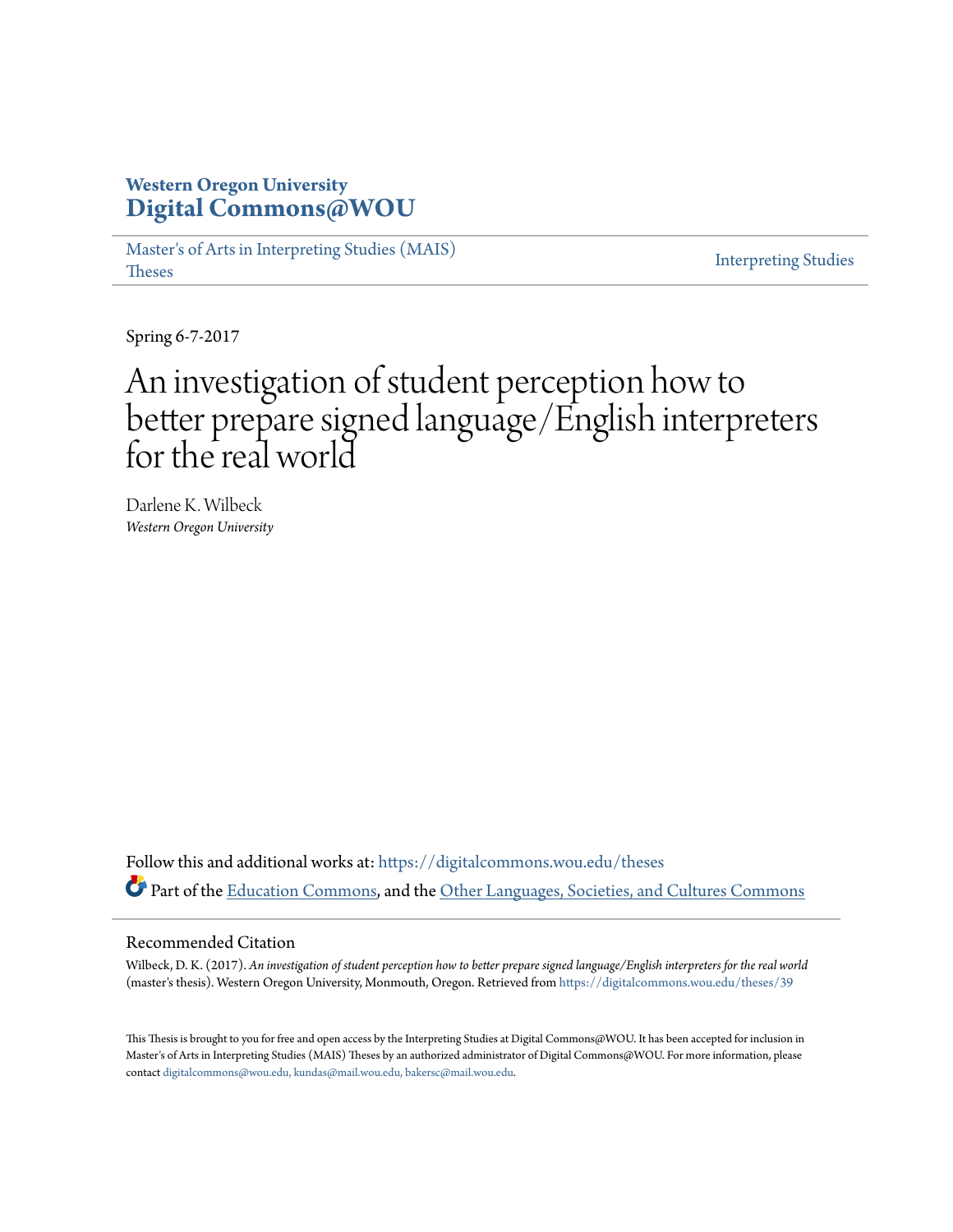# **Western Oregon University [Digital Commons@WOU](https://digitalcommons.wou.edu?utm_source=digitalcommons.wou.edu%2Ftheses%2F39&utm_medium=PDF&utm_campaign=PDFCoverPages)**

[Master's of Arts in Interpreting Studies \(MAIS\)](https://digitalcommons.wou.edu/theses?utm_source=digitalcommons.wou.edu%2Ftheses%2F39&utm_medium=PDF&utm_campaign=PDFCoverPages) [Theses](https://digitalcommons.wou.edu/theses?utm_source=digitalcommons.wou.edu%2Ftheses%2F39&utm_medium=PDF&utm_campaign=PDFCoverPages)

[Interpreting Studies](https://digitalcommons.wou.edu/interpretingstudies?utm_source=digitalcommons.wou.edu%2Ftheses%2F39&utm_medium=PDF&utm_campaign=PDFCoverPages)

Spring 6-7-2017

# An investigation of student perception how to better prepare signed language/English interpreters for the real world

Darlene K. Wilbeck *Western Oregon University*

Follow this and additional works at: [https://digitalcommons.wou.edu/theses](https://digitalcommons.wou.edu/theses?utm_source=digitalcommons.wou.edu%2Ftheses%2F39&utm_medium=PDF&utm_campaign=PDFCoverPages) Part of the [Education Commons](http://network.bepress.com/hgg/discipline/784?utm_source=digitalcommons.wou.edu%2Ftheses%2F39&utm_medium=PDF&utm_campaign=PDFCoverPages), and the [Other Languages, Societies, and Cultures Commons](http://network.bepress.com/hgg/discipline/475?utm_source=digitalcommons.wou.edu%2Ftheses%2F39&utm_medium=PDF&utm_campaign=PDFCoverPages)

#### Recommended Citation

Wilbeck, D. K. (2017). *An investigation of student perception how to better prepare signed language/English interpreters for the real world* (master's thesis). Western Oregon University, Monmouth, Oregon. Retrieved from [https://digitalcommons.wou.edu/theses/39](https://digitalcommons.wou.edu/theses/39?utm_source=digitalcommons.wou.edu%2Ftheses%2F39&utm_medium=PDF&utm_campaign=PDFCoverPages)

This Thesis is brought to you for free and open access by the Interpreting Studies at Digital Commons@WOU. It has been accepted for inclusion in Master's of Arts in Interpreting Studies (MAIS) Theses by an authorized administrator of Digital Commons@WOU. For more information, please contact [digitalcommons@wou.edu, kundas@mail.wou.edu, bakersc@mail.wou.edu.](mailto:digitalcommons@wou.edu,%20kundas@mail.wou.edu,%20bakersc@mail.wou.edu)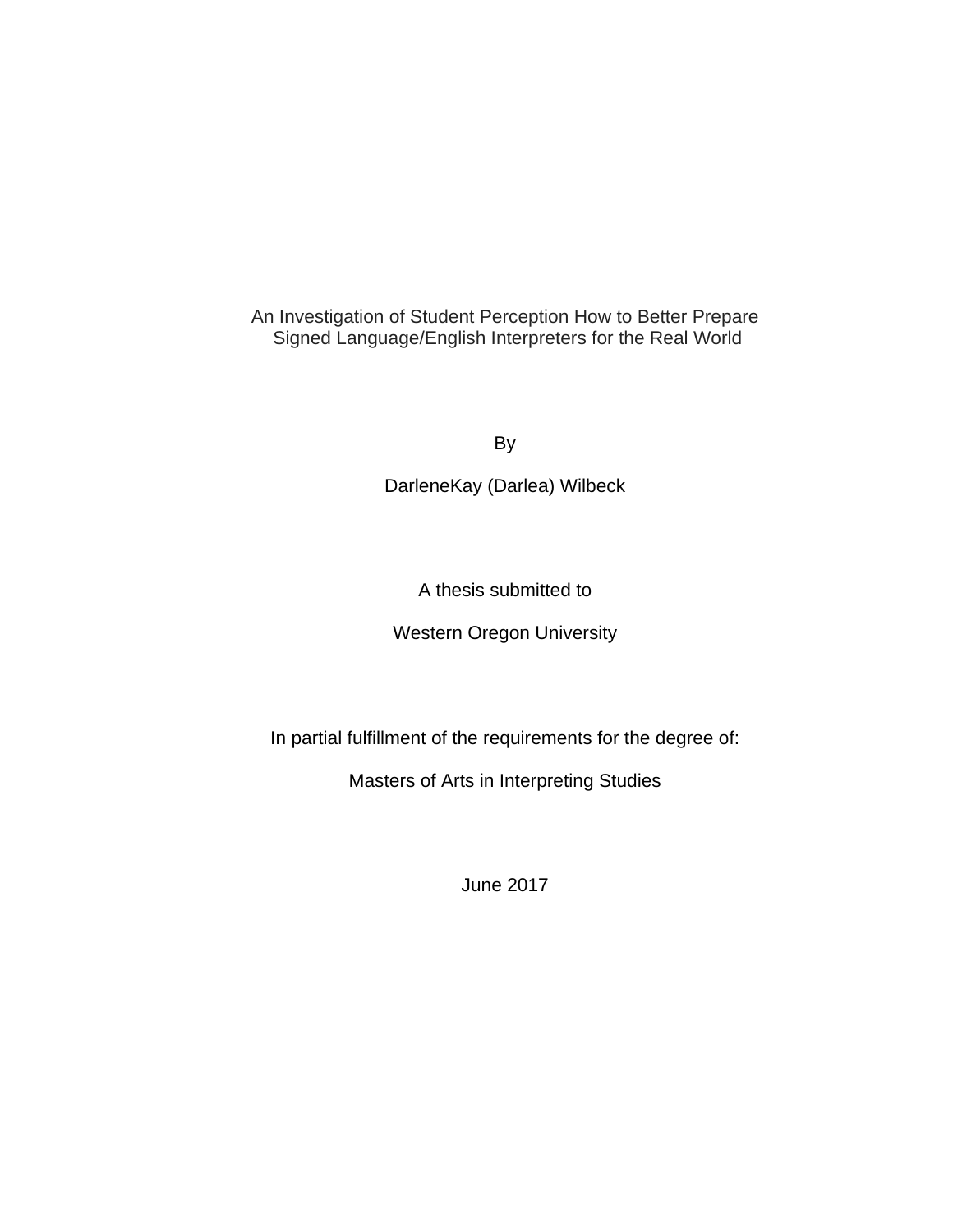An Investigation of Student Perception How to Better Prepare Signed Language/English Interpreters for the Real World

By

DarleneKay (Darlea) Wilbeck

A thesis submitted to

Western Oregon University

In partial fulfillment of the requirements for the degree of:

Masters of Arts in Interpreting Studies

June 2017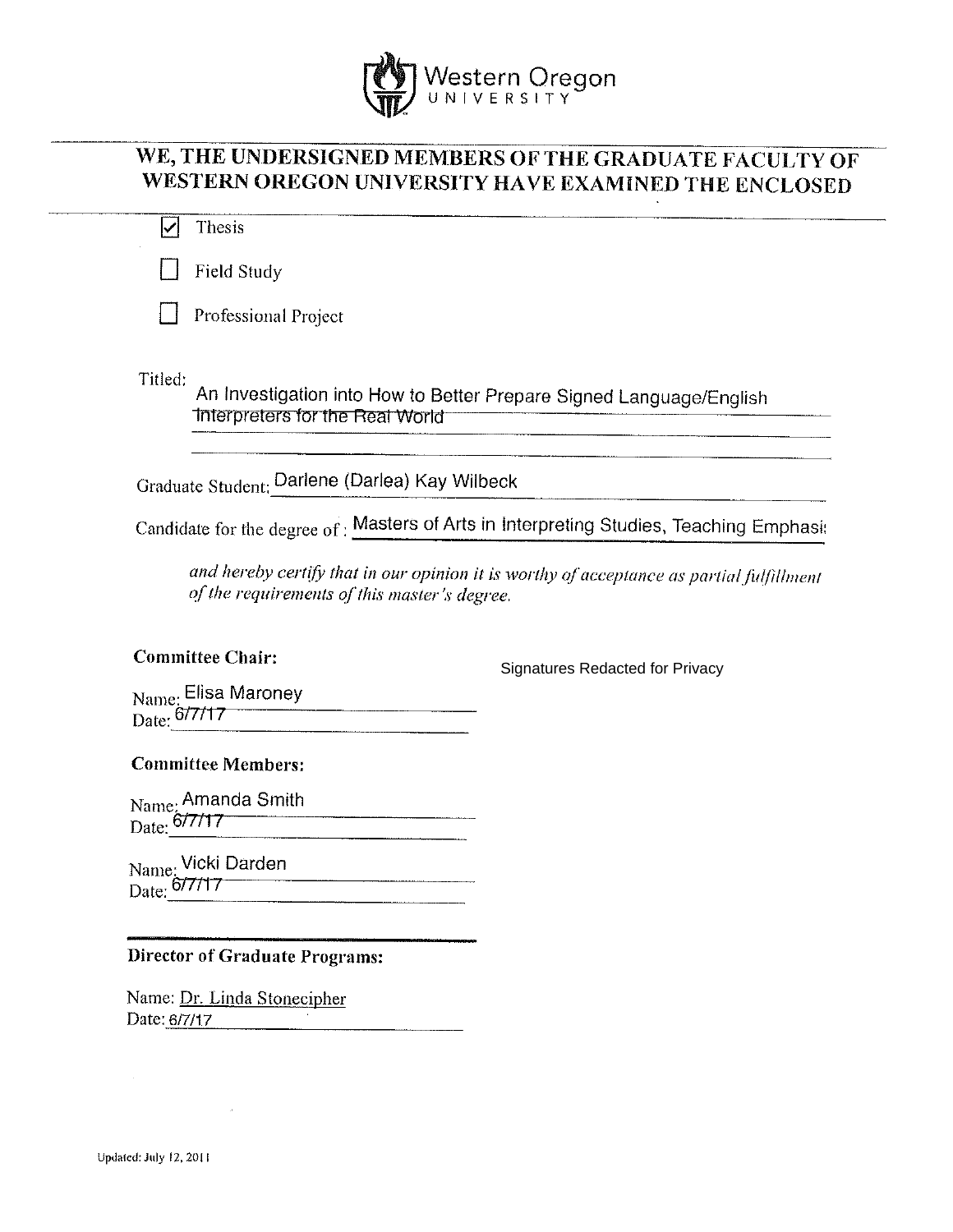

# WE, THE UNDERSIGNED MEMBERS OF THE GRADUATE FACULTY OF WESTERN OREGON UNIVERSITY HAVE EXAMINED THE ENCLOSED

| Thesis                                                                                                                     |                                                                                          |
|----------------------------------------------------------------------------------------------------------------------------|------------------------------------------------------------------------------------------|
| Field Study                                                                                                                |                                                                                          |
| Professional Project                                                                                                       |                                                                                          |
| Titled:<br>Interpreters for the Real World                                                                                 | An Investigation into How to Better Prepare Signed Language/English                      |
| Graduate Student: Darlene (Darlea) Kay Wilbeck                                                                             |                                                                                          |
|                                                                                                                            | Candidate for the degree of: Masters of Arts in Interpreting Studies, Teaching Emphasi:  |
| of the requirements of this master's degree.<br><b>Committee Chair:</b>                                                    | and hereby certify that in our opinion it is worthy of acceptance as partial fulfillment |
| Name: Elisa Maroney                                                                                                        | <b>Signatures Redacted for Privacy</b>                                                   |
| Date: 6/7/17                                                                                                               |                                                                                          |
|                                                                                                                            |                                                                                          |
|                                                                                                                            |                                                                                          |
|                                                                                                                            |                                                                                          |
| <b>Committee Members:</b>                                                                                                  |                                                                                          |
| Name: Amanda Smith<br>Date: 6/7/17                                                                                         |                                                                                          |
|                                                                                                                            |                                                                                          |
| Name: Vicki Darden<br>Date: 6/7/17<br><b>Director of Graduate Programs:</b><br>Name: Dr. Linda Stonecipher<br>Date: 6/7/17 |                                                                                          |

 $\sim$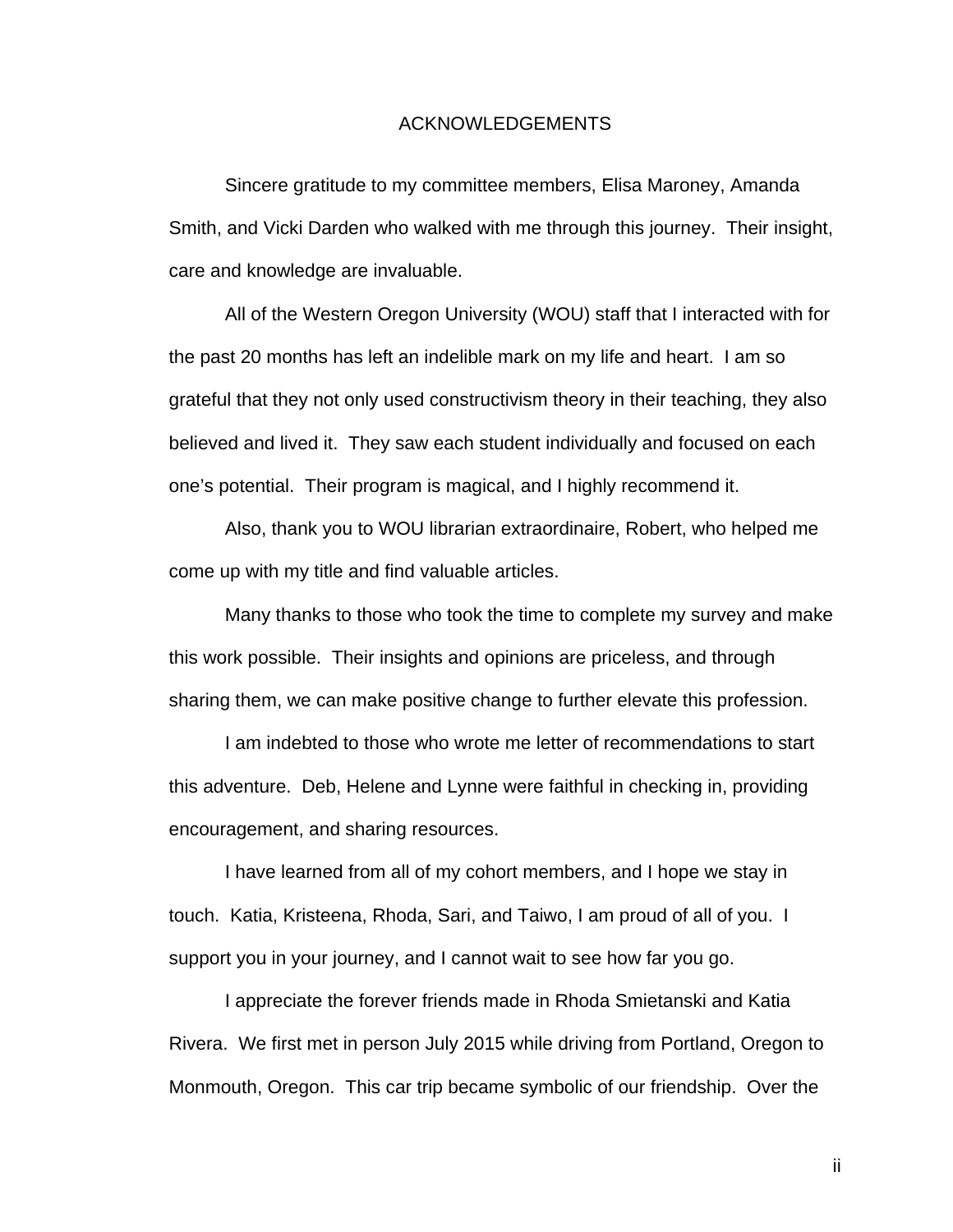#### ACKNOWLEDGEMENTS

Sincere gratitude to my committee members, Elisa Maroney, Amanda Smith, and Vicki Darden who walked with me through this journey. Their insight, care and knowledge are invaluable.

All of the Western Oregon University (WOU) staff that I interacted with for the past 20 months has left an indelible mark on my life and heart. I am so grateful that they not only used constructivism theory in their teaching, they also believed and lived it. They saw each student individually and focused on each one's potential. Their program is magical, and I highly recommend it.

Also, thank you to WOU librarian extraordinaire, Robert, who helped me come up with my title and find valuable articles.

Many thanks to those who took the time to complete my survey and make this work possible. Their insights and opinions are priceless, and through sharing them, we can make positive change to further elevate this profession.

I am indebted to those who wrote me letter of recommendations to start this adventure. Deb, Helene and Lynne were faithful in checking in, providing encouragement, and sharing resources.

I have learned from all of my cohort members, and I hope we stay in touch. Katia, Kristeena, Rhoda, Sari, and Taiwo, I am proud of all of you. I support you in your journey, and I cannot wait to see how far you go.

I appreciate the forever friends made in Rhoda Smietanski and Katia Rivera. We first met in person July 2015 while driving from Portland, Oregon to Monmouth, Oregon. This car trip became symbolic of our friendship. Over the

ii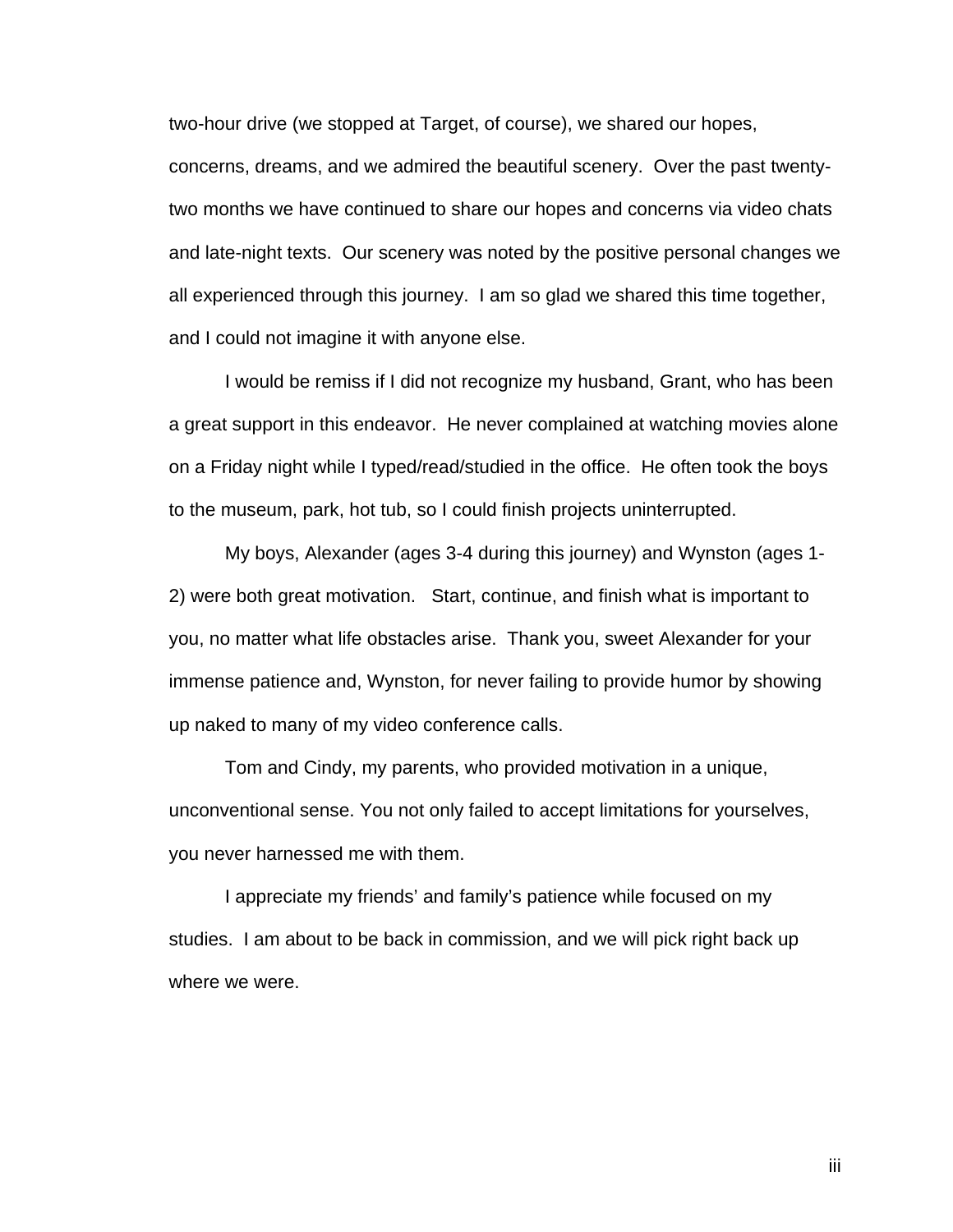two-hour drive (we stopped at Target, of course), we shared our hopes, concerns, dreams, and we admired the beautiful scenery. Over the past twentytwo months we have continued to share our hopes and concerns via video chats and late-night texts. Our scenery was noted by the positive personal changes we all experienced through this journey. I am so glad we shared this time together, and I could not imagine it with anyone else.

I would be remiss if I did not recognize my husband, Grant, who has been a great support in this endeavor. He never complained at watching movies alone on a Friday night while I typed/read/studied in the office. He often took the boys to the museum, park, hot tub, so I could finish projects uninterrupted.

My boys, Alexander (ages 3-4 during this journey) and Wynston (ages 1- 2) were both great motivation. Start, continue, and finish what is important to you, no matter what life obstacles arise. Thank you, sweet Alexander for your immense patience and, Wynston, for never failing to provide humor by showing up naked to many of my video conference calls.

Tom and Cindy, my parents, who provided motivation in a unique, unconventional sense. You not only failed to accept limitations for yourselves, you never harnessed me with them.

I appreciate my friends' and family's patience while focused on my studies. I am about to be back in commission, and we will pick right back up where we were.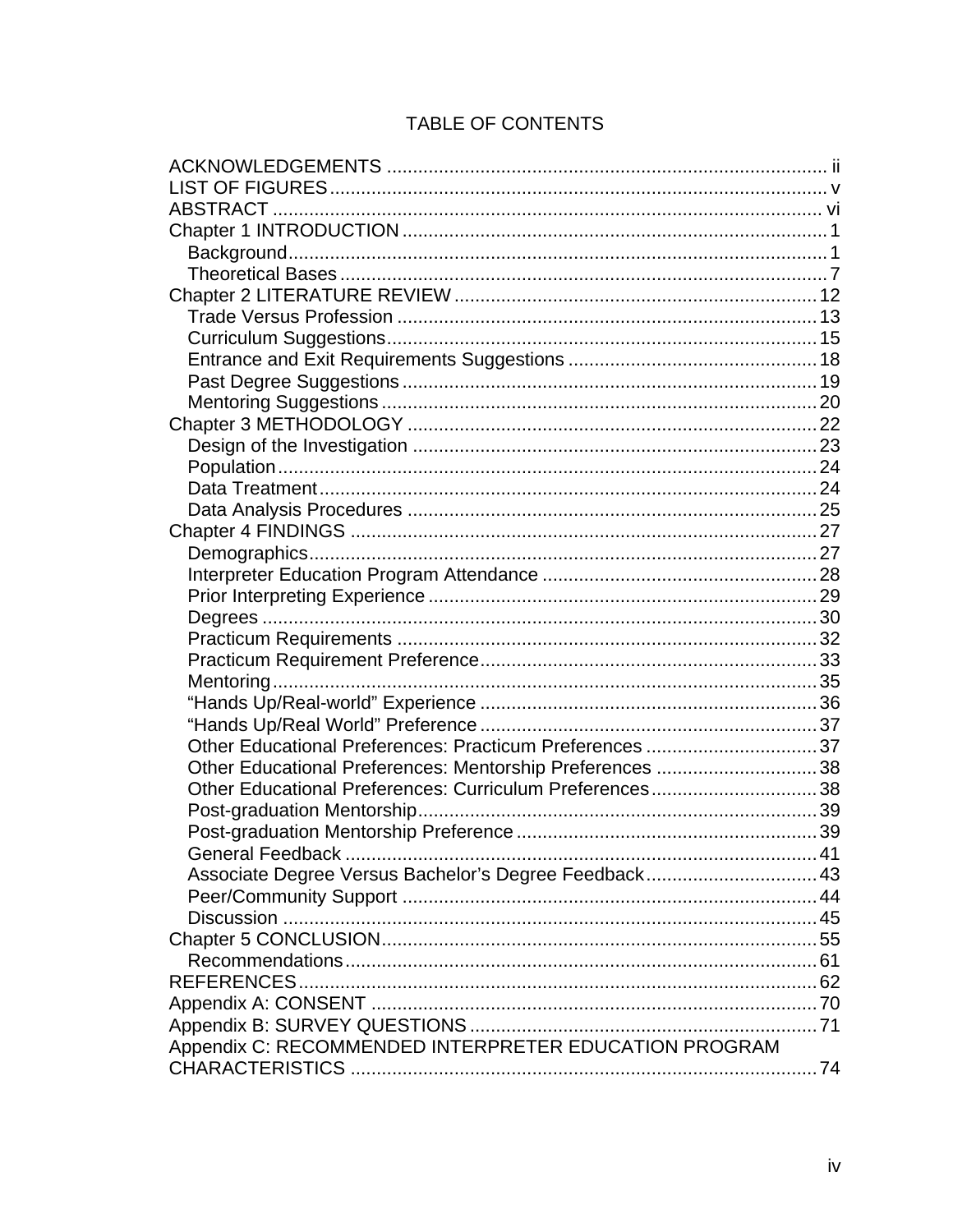# TABLE OF CONTENTS

| Other Educational Preferences: Practicum Preferences  37 |  |
|----------------------------------------------------------|--|
| Other Educational Preferences: Mentorship Preferences 38 |  |
| Other Educational Preferences: Curriculum Preferences38  |  |
|                                                          |  |
|                                                          |  |
|                                                          |  |
| Associate Degree Versus Bachelor's Degree Feedback 43    |  |
|                                                          |  |
|                                                          |  |
|                                                          |  |
|                                                          |  |
|                                                          |  |
|                                                          |  |
|                                                          |  |
| Appendix C: RECOMMENDED INTERPRETER EDUCATION PROGRAM    |  |
|                                                          |  |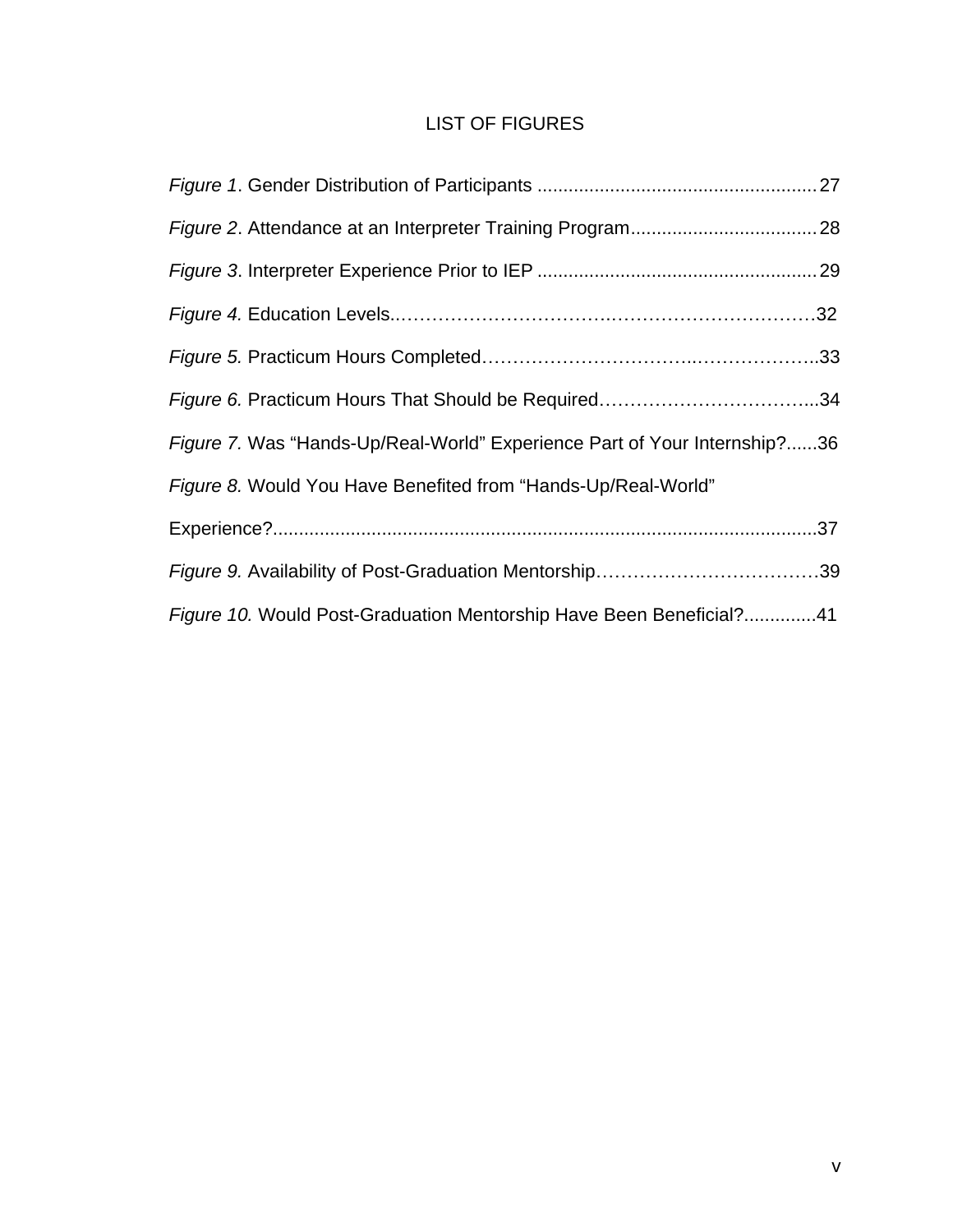# LIST OF FIGURES

| Figure 7. Was "Hands-Up/Real-World" Experience Part of Your Internship?36 |  |
|---------------------------------------------------------------------------|--|
| Figure 8. Would You Have Benefited from "Hands-Up/Real-World"             |  |
|                                                                           |  |
|                                                                           |  |
| Figure 10. Would Post-Graduation Mentorship Have Been Beneficial?41       |  |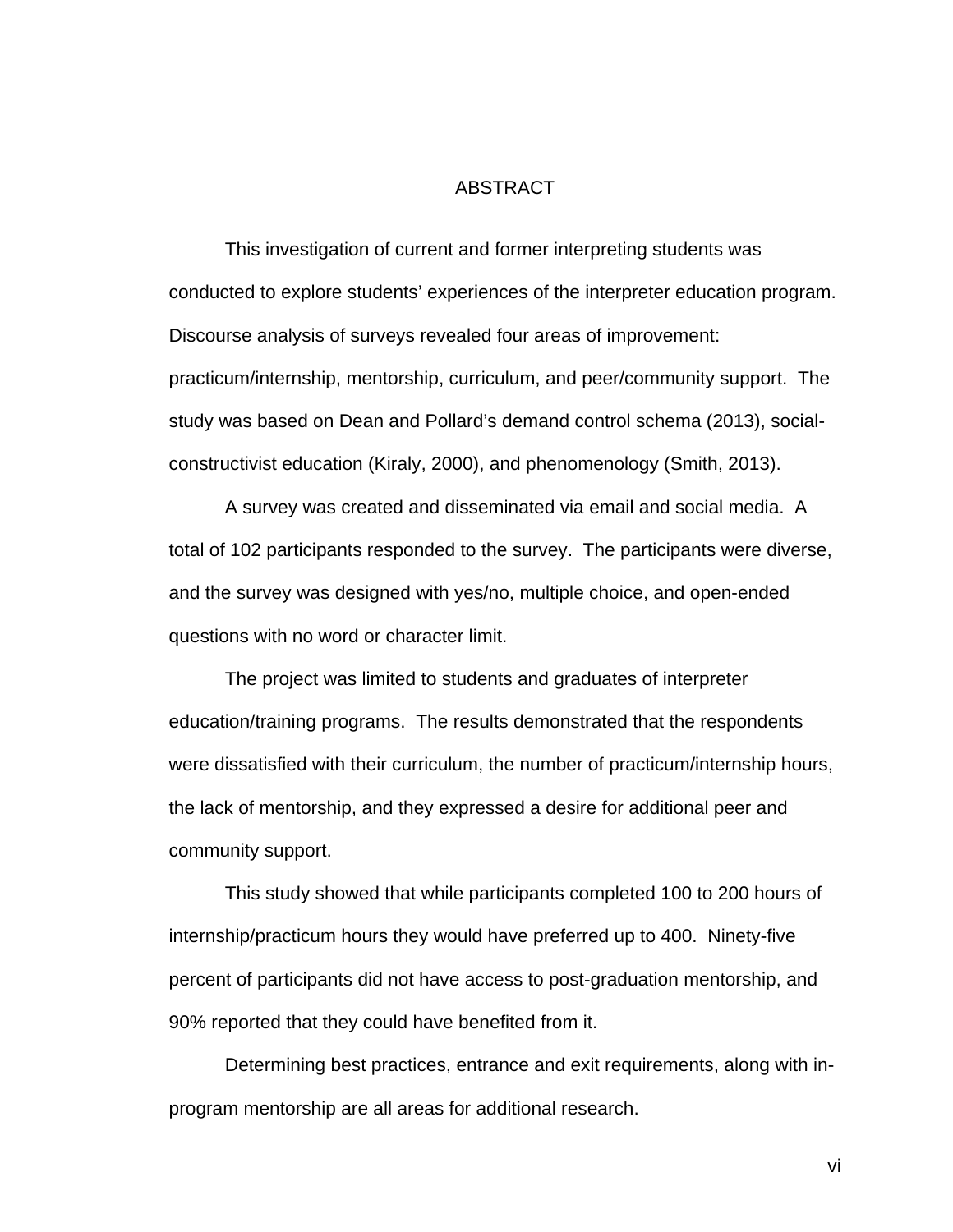#### ABSTRACT

This investigation of current and former interpreting students was conducted to explore students' experiences of the interpreter education program. Discourse analysis of surveys revealed four areas of improvement: practicum/internship, mentorship, curriculum, and peer/community support. The study was based on Dean and Pollard's demand control schema (2013), socialconstructivist education (Kiraly, 2000), and phenomenology (Smith, 2013).

A survey was created and disseminated via email and social media. A total of 102 participants responded to the survey. The participants were diverse, and the survey was designed with yes/no, multiple choice, and open-ended questions with no word or character limit.

The project was limited to students and graduates of interpreter education/training programs. The results demonstrated that the respondents were dissatisfied with their curriculum, the number of practicum/internship hours, the lack of mentorship, and they expressed a desire for additional peer and community support.

This study showed that while participants completed 100 to 200 hours of internship/practicum hours they would have preferred up to 400. Ninety-five percent of participants did not have access to post-graduation mentorship, and 90% reported that they could have benefited from it.

Determining best practices, entrance and exit requirements, along with inprogram mentorship are all areas for additional research.

vi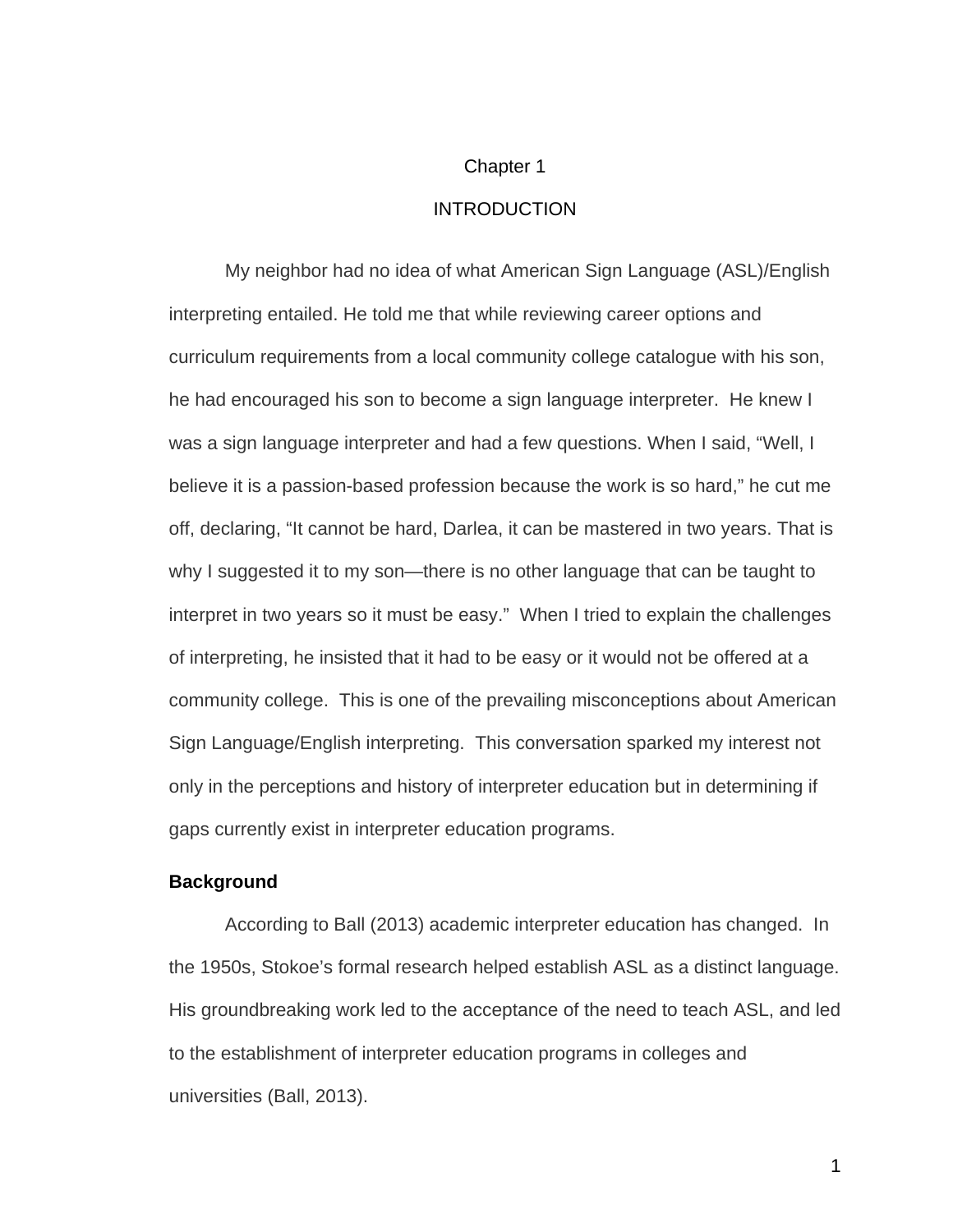#### Chapter 1

#### INTRODUCTION

My neighbor had no idea of what American Sign Language (ASL)/English interpreting entailed. He told me that while reviewing career options and curriculum requirements from a local community college catalogue with his son, he had encouraged his son to become a sign language interpreter. He knew I was a sign language interpreter and had a few questions. When I said, "Well, I believe it is a passion-based profession because the work is so hard," he cut me off, declaring, "It cannot be hard, Darlea, it can be mastered in two years. That is why I suggested it to my son—there is no other language that can be taught to interpret in two years so it must be easy." When I tried to explain the challenges of interpreting, he insisted that it had to be easy or it would not be offered at a community college. This is one of the prevailing misconceptions about American Sign Language/English interpreting. This conversation sparked my interest not only in the perceptions and history of interpreter education but in determining if gaps currently exist in interpreter education programs.

#### **Background**

According to Ball (2013) academic interpreter education has changed. In the 1950s, Stokoe's formal research helped establish ASL as a distinct language. His groundbreaking work led to the acceptance of the need to teach ASL, and led to the establishment of interpreter education programs in colleges and universities (Ball, 2013).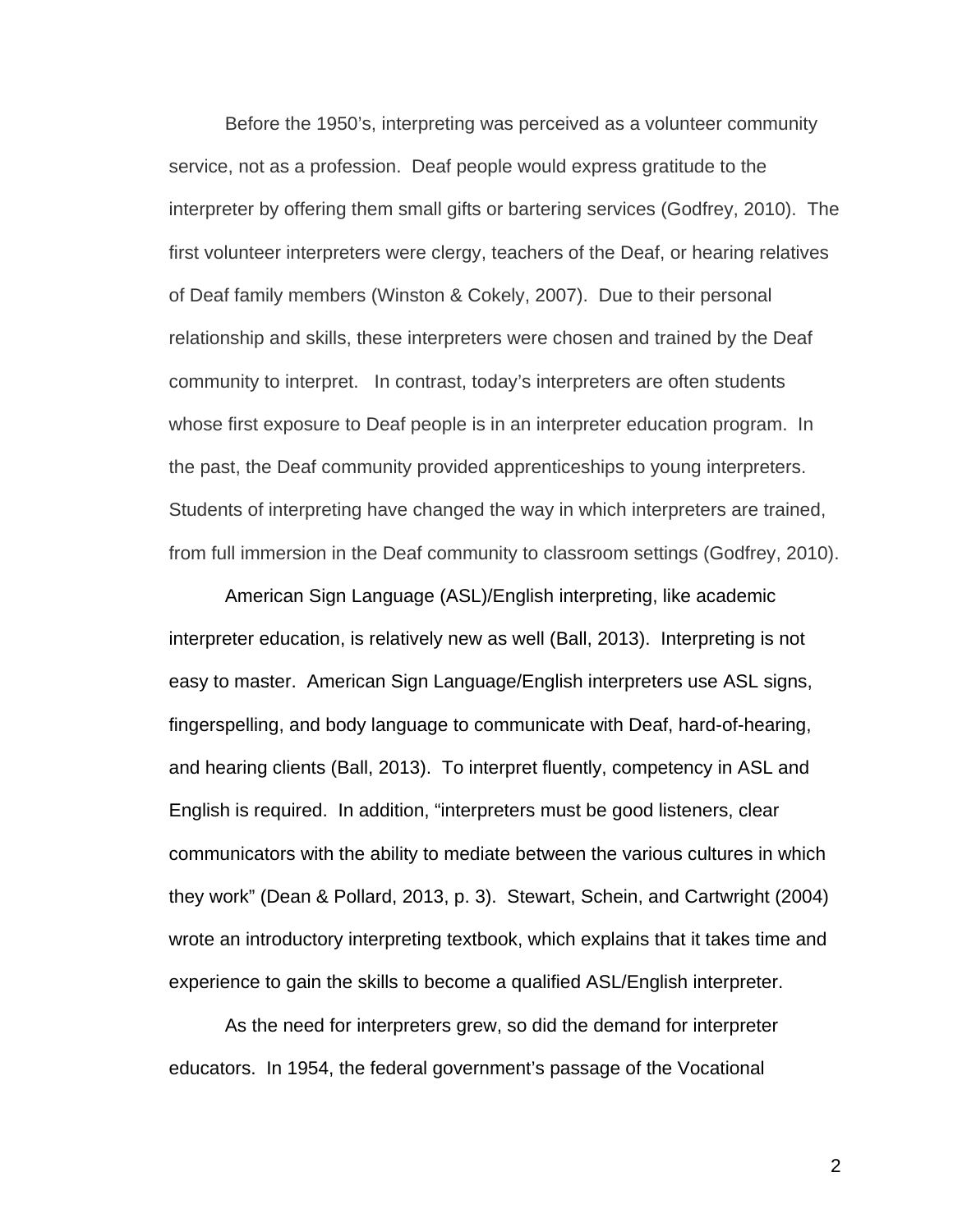Before the 1950's, interpreting was perceived as a volunteer community service, not as a profession. Deaf people would express gratitude to the interpreter by offering them small gifts or bartering services (Godfrey, 2010). The first volunteer interpreters were clergy, teachers of the Deaf, or hearing relatives of Deaf family members (Winston & Cokely, 2007). Due to their personal relationship and skills, these interpreters were chosen and trained by the Deaf community to interpret. In contrast, today's interpreters are often students whose first exposure to Deaf people is in an interpreter education program. In the past, the Deaf community provided apprenticeships to young interpreters. Students of interpreting have changed the way in which interpreters are trained, from full immersion in the Deaf community to classroom settings (Godfrey, 2010).

American Sign Language (ASL)/English interpreting, like academic interpreter education, is relatively new as well (Ball, 2013). Interpreting is not easy to master. American Sign Language/English interpreters use ASL signs, fingerspelling, and body language to communicate with Deaf, hard-of-hearing, and hearing clients (Ball, 2013). To interpret fluently, competency in ASL and English is required. In addition, "interpreters must be good listeners, clear communicators with the ability to mediate between the various cultures in which they work" (Dean & Pollard, 2013, p. 3). Stewart, Schein, and Cartwright (2004) wrote an introductory interpreting textbook, which explains that it takes time and experience to gain the skills to become a qualified ASL/English interpreter.

As the need for interpreters grew, so did the demand for interpreter educators. In 1954, the federal government's passage of the Vocational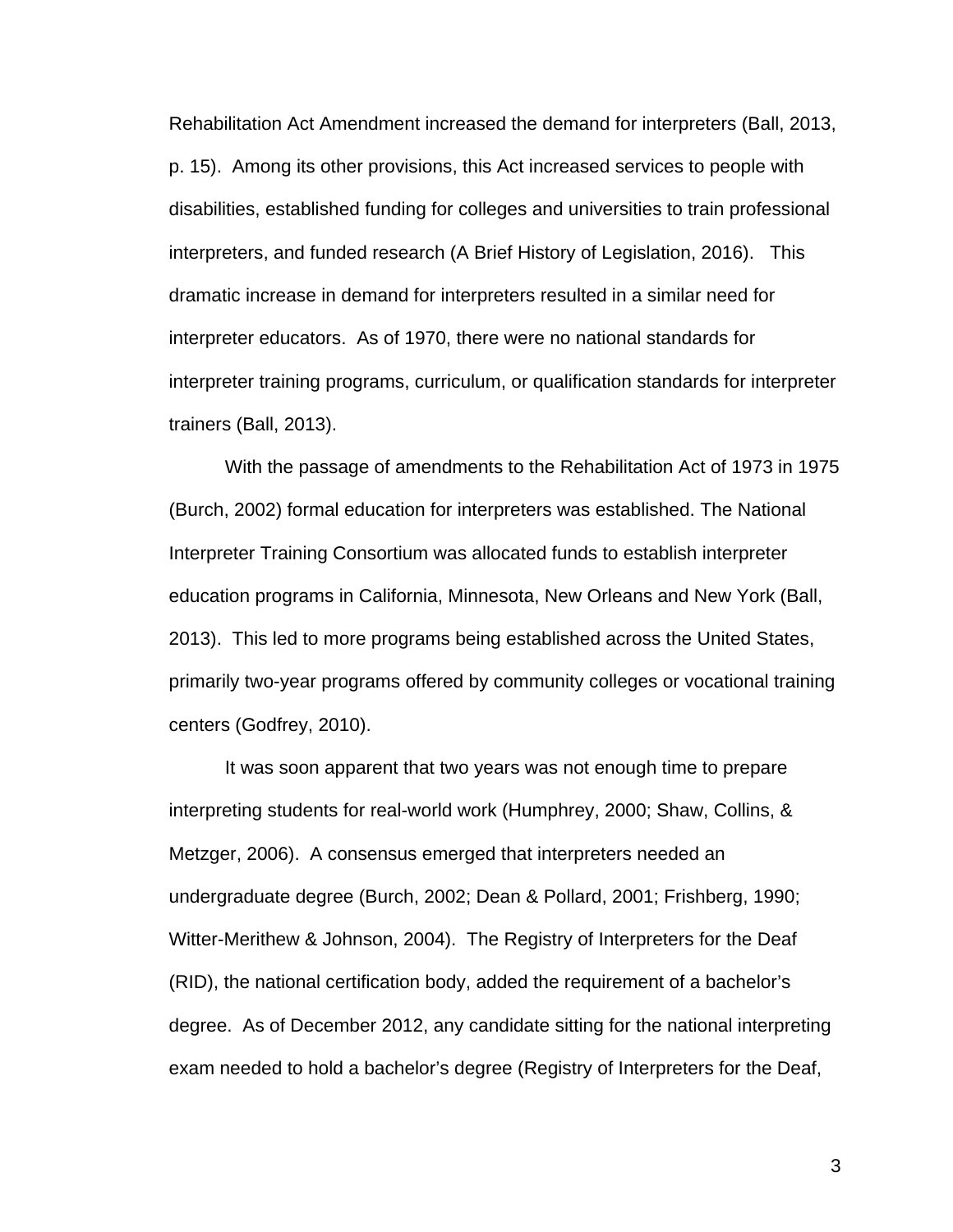Rehabilitation Act Amendment increased the demand for interpreters (Ball, 2013, p. 15). Among its other provisions, this Act increased services to people with disabilities, established funding for colleges and universities to train professional interpreters, and funded research (A Brief History of Legislation, 2016). This dramatic increase in demand for interpreters resulted in a similar need for interpreter educators. As of 1970, there were no national standards for interpreter training programs, curriculum, or qualification standards for interpreter trainers (Ball, 2013).

With the passage of amendments to the Rehabilitation Act of 1973 in 1975 (Burch, 2002) formal education for interpreters was established. The National Interpreter Training Consortium was allocated funds to establish interpreter education programs in California, Minnesota, New Orleans and New York (Ball, 2013). This led to more programs being established across the United States, primarily two-year programs offered by community colleges or vocational training centers (Godfrey, 2010).

It was soon apparent that two years was not enough time to prepare interpreting students for real-world work (Humphrey, 2000; Shaw, Collins, & Metzger, 2006). A consensus emerged that interpreters needed an undergraduate degree (Burch, 2002; Dean & Pollard, 2001; Frishberg, 1990; Witter-Merithew & Johnson, 2004). The Registry of Interpreters for the Deaf (RID), the national certification body, added the requirement of a bachelor's degree. As of December 2012, any candidate sitting for the national interpreting exam needed to hold a bachelor's degree (Registry of Interpreters for the Deaf,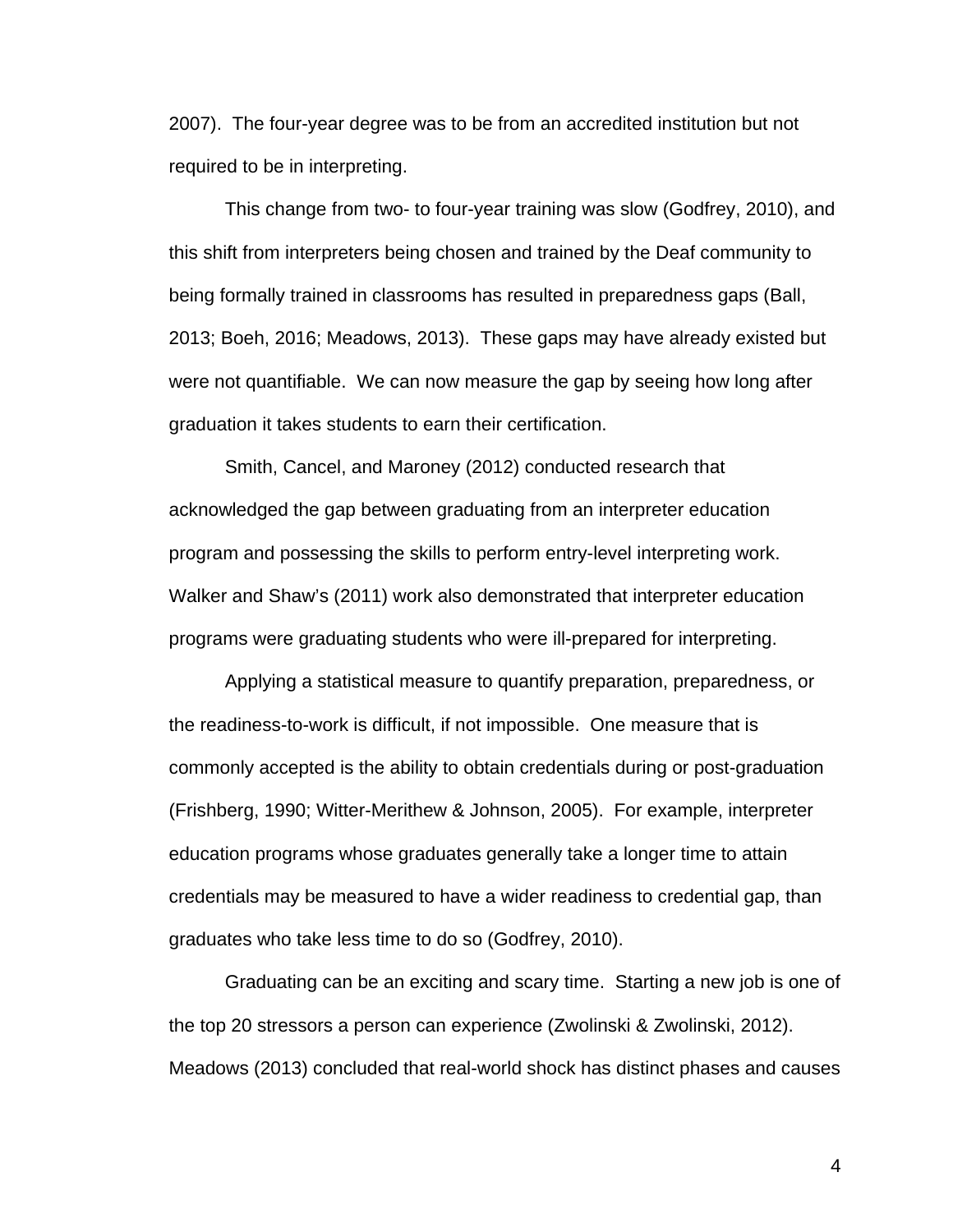2007). The four-year degree was to be from an accredited institution but not required to be in interpreting.

This change from two- to four-year training was slow (Godfrey, 2010), and this shift from interpreters being chosen and trained by the Deaf community to being formally trained in classrooms has resulted in preparedness gaps (Ball, 2013; Boeh, 2016; Meadows, 2013). These gaps may have already existed but were not quantifiable. We can now measure the gap by seeing how long after graduation it takes students to earn their certification.

Smith, Cancel, and Maroney (2012) conducted research that acknowledged the gap between graduating from an interpreter education program and possessing the skills to perform entry-level interpreting work. Walker and Shaw's (2011) work also demonstrated that interpreter education programs were graduating students who were ill-prepared for interpreting.

Applying a statistical measure to quantify preparation, preparedness, or the readiness-to-work is difficult, if not impossible. One measure that is commonly accepted is the ability to obtain credentials during or post-graduation (Frishberg, 1990; Witter-Merithew & Johnson, 2005). For example, interpreter education programs whose graduates generally take a longer time to attain credentials may be measured to have a wider readiness to credential gap, than graduates who take less time to do so (Godfrey, 2010).

Graduating can be an exciting and scary time. Starting a new job is one of the top 20 stressors a person can experience (Zwolinski & Zwolinski, 2012). Meadows (2013) concluded that real-world shock has distinct phases and causes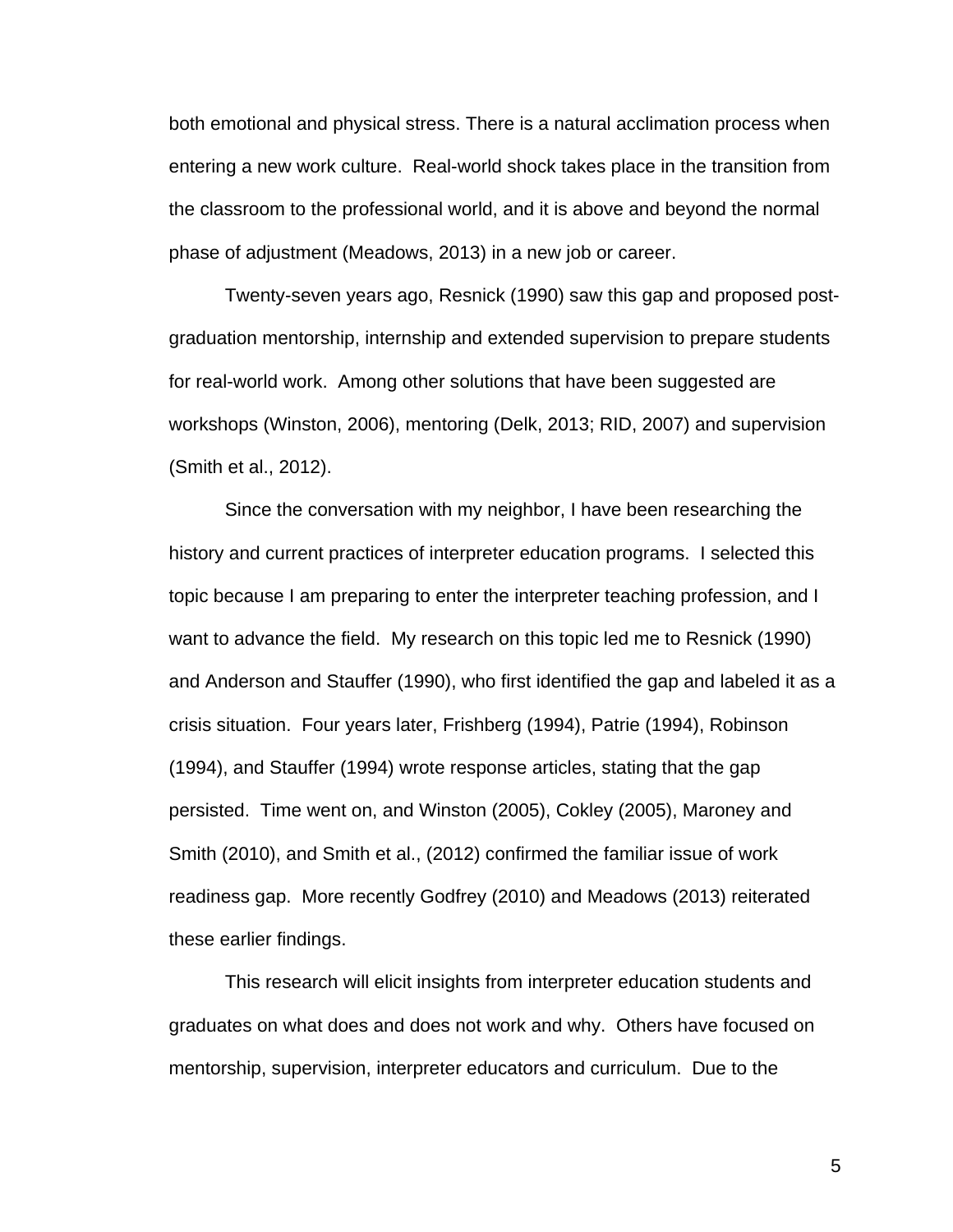both emotional and physical stress. There is a natural acclimation process when entering a new work culture. Real-world shock takes place in the transition from the classroom to the professional world, and it is above and beyond the normal phase of adjustment (Meadows, 2013) in a new job or career.

Twenty-seven years ago, Resnick (1990) saw this gap and proposed postgraduation mentorship, internship and extended supervision to prepare students for real-world work. Among other solutions that have been suggested are workshops (Winston, 2006), mentoring (Delk, 2013; RID, 2007) and supervision (Smith et al., 2012).

Since the conversation with my neighbor, I have been researching the history and current practices of interpreter education programs. I selected this topic because I am preparing to enter the interpreter teaching profession, and I want to advance the field. My research on this topic led me to Resnick (1990) and Anderson and Stauffer (1990), who first identified the gap and labeled it as a crisis situation. Four years later, Frishberg (1994), Patrie (1994), Robinson (1994), and Stauffer (1994) wrote response articles, stating that the gap persisted. Time went on, and Winston (2005), Cokley (2005), Maroney and Smith (2010), and Smith et al., (2012) confirmed the familiar issue of work readiness gap. More recently Godfrey (2010) and Meadows (2013) reiterated these earlier findings.

This research will elicit insights from interpreter education students and graduates on what does and does not work and why. Others have focused on mentorship, supervision, interpreter educators and curriculum. Due to the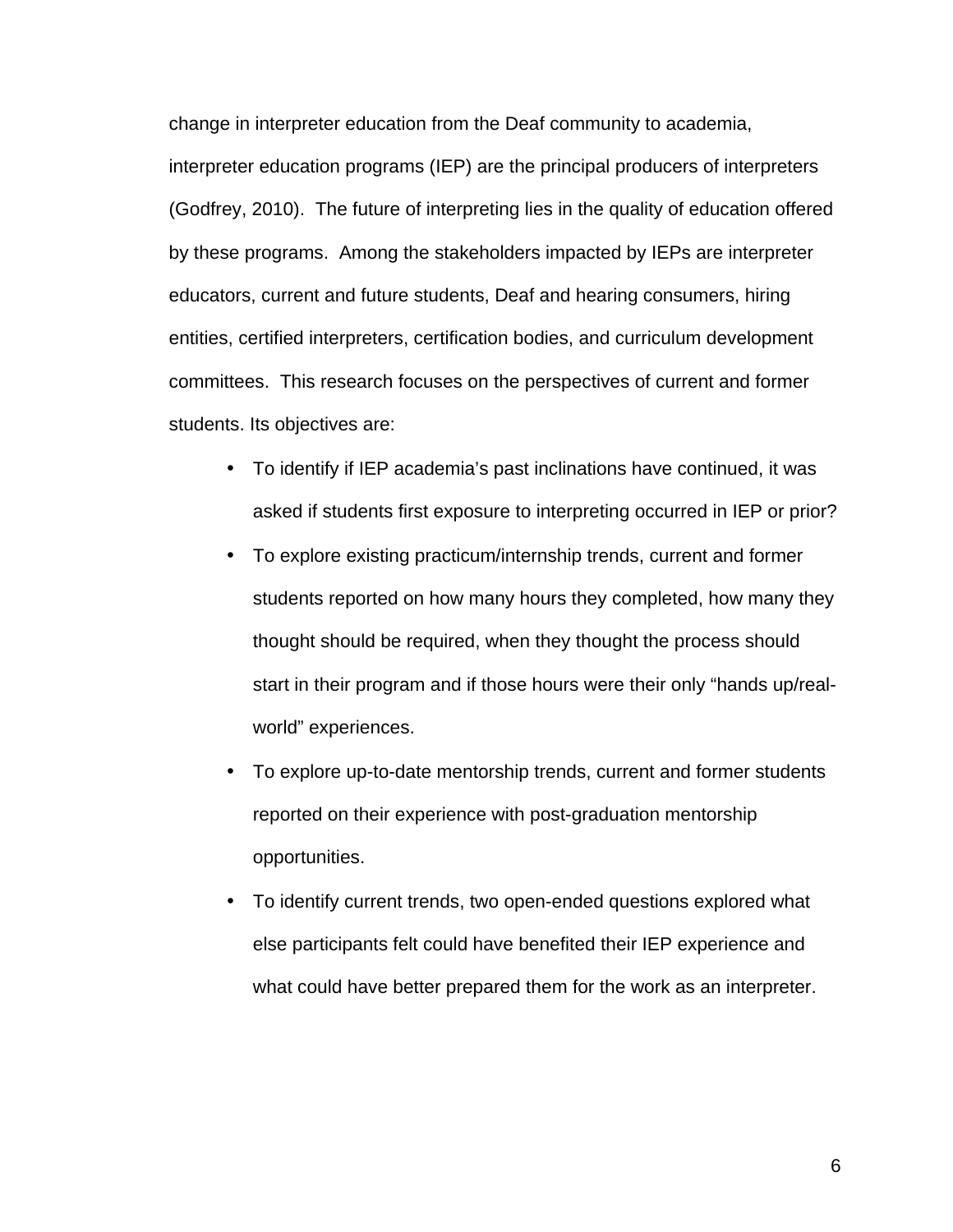change in interpreter education from the Deaf community to academia, interpreter education programs (IEP) are the principal producers of interpreters (Godfrey, 2010). The future of interpreting lies in the quality of education offered by these programs. Among the stakeholders impacted by IEPs are interpreter educators, current and future students, Deaf and hearing consumers, hiring entities, certified interpreters, certification bodies, and curriculum development committees. This research focuses on the perspectives of current and former students. Its objectives are:

- To identify if IEP academia's past inclinations have continued, it was asked if students first exposure to interpreting occurred in IEP or prior?
- To explore existing practicum/internship trends, current and former students reported on how many hours they completed, how many they thought should be required, when they thought the process should start in their program and if those hours were their only "hands up/realworld" experiences.
- To explore up-to-date mentorship trends, current and former students reported on their experience with post-graduation mentorship opportunities.
- To identify current trends, two open-ended questions explored what else participants felt could have benefited their IEP experience and what could have better prepared them for the work as an interpreter.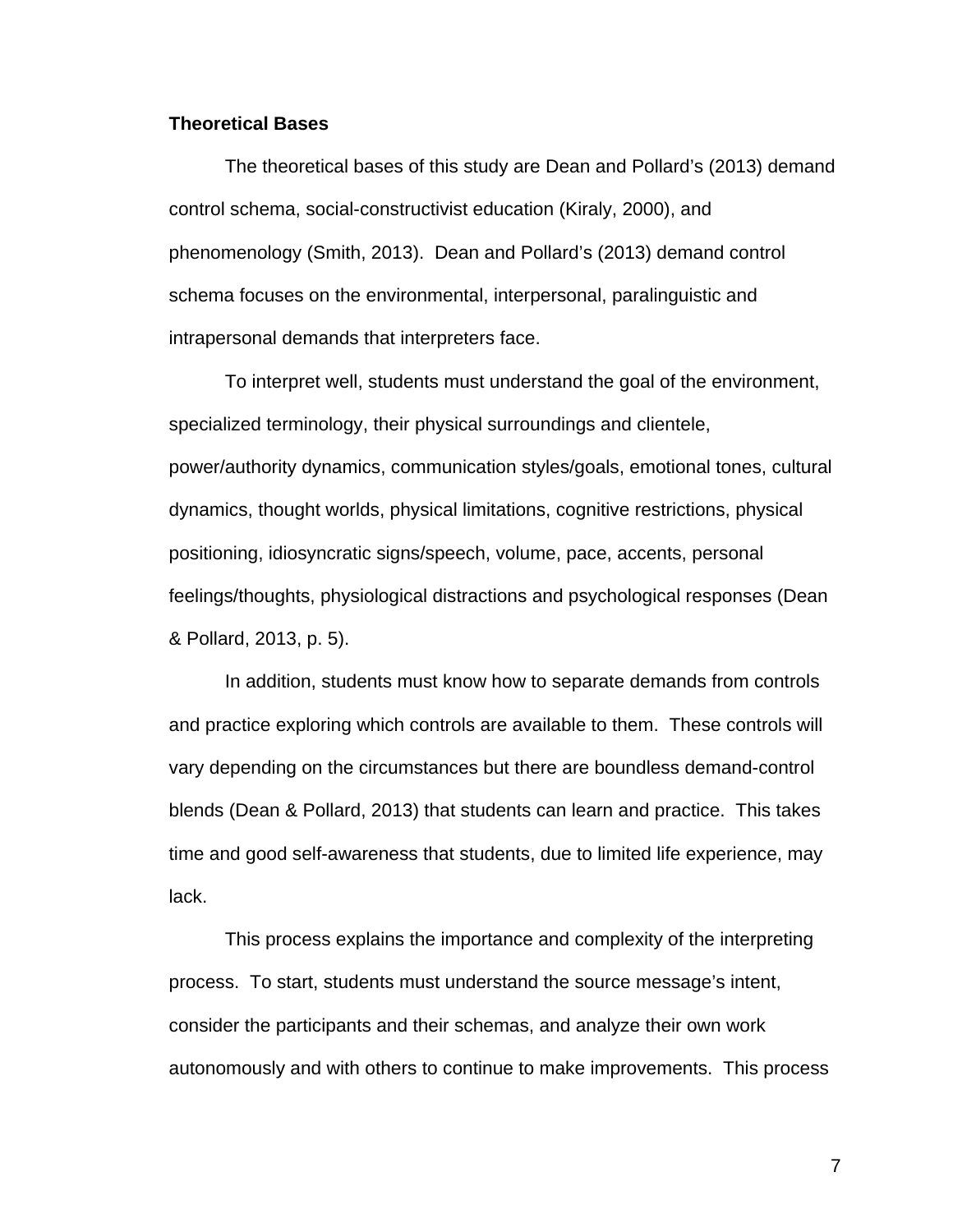#### **Theoretical Bases**

The theoretical bases of this study are Dean and Pollard's (2013) demand control schema, social-constructivist education (Kiraly, 2000), and phenomenology (Smith, 2013). Dean and Pollard's (2013) demand control schema focuses on the environmental, interpersonal, paralinguistic and intrapersonal demands that interpreters face.

To interpret well, students must understand the goal of the environment, specialized terminology, their physical surroundings and clientele, power/authority dynamics, communication styles/goals, emotional tones, cultural dynamics, thought worlds, physical limitations, cognitive restrictions, physical positioning, idiosyncratic signs/speech, volume, pace, accents, personal feelings/thoughts, physiological distractions and psychological responses (Dean & Pollard, 2013, p. 5).

In addition, students must know how to separate demands from controls and practice exploring which controls are available to them. These controls will vary depending on the circumstances but there are boundless demand-control blends (Dean & Pollard, 2013) that students can learn and practice. This takes time and good self-awareness that students, due to limited life experience, may lack.

This process explains the importance and complexity of the interpreting process. To start, students must understand the source message's intent, consider the participants and their schemas, and analyze their own work autonomously and with others to continue to make improvements. This process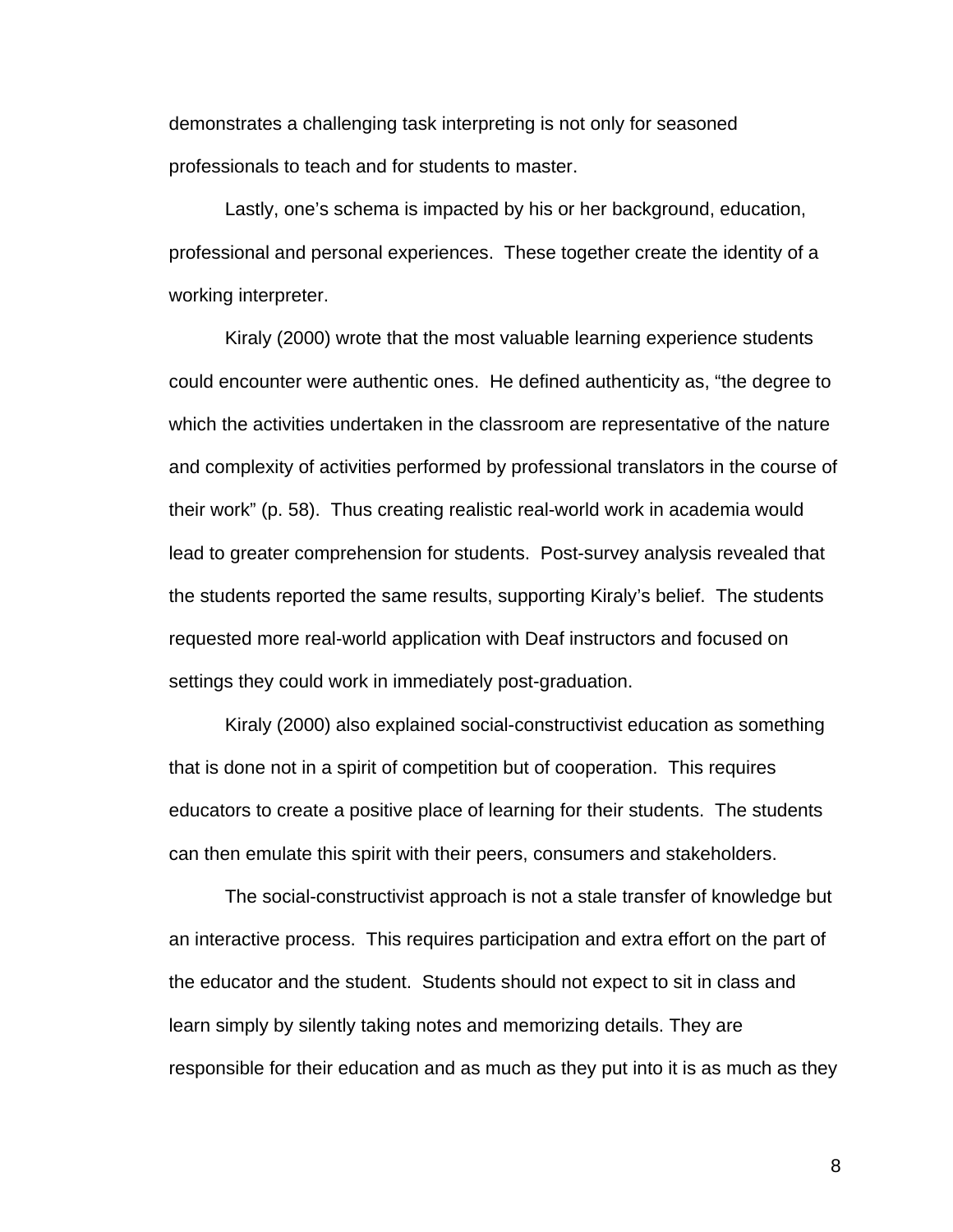demonstrates a challenging task interpreting is not only for seasoned professionals to teach and for students to master.

Lastly, one's schema is impacted by his or her background, education, professional and personal experiences. These together create the identity of a working interpreter.

Kiraly (2000) wrote that the most valuable learning experience students could encounter were authentic ones. He defined authenticity as, "the degree to which the activities undertaken in the classroom are representative of the nature and complexity of activities performed by professional translators in the course of their work" (p. 58). Thus creating realistic real-world work in academia would lead to greater comprehension for students. Post-survey analysis revealed that the students reported the same results, supporting Kiraly's belief. The students requested more real-world application with Deaf instructors and focused on settings they could work in immediately post-graduation.

Kiraly (2000) also explained social-constructivist education as something that is done not in a spirit of competition but of cooperation. This requires educators to create a positive place of learning for their students. The students can then emulate this spirit with their peers, consumers and stakeholders.

The social-constructivist approach is not a stale transfer of knowledge but an interactive process. This requires participation and extra effort on the part of the educator and the student. Students should not expect to sit in class and learn simply by silently taking notes and memorizing details. They are responsible for their education and as much as they put into it is as much as they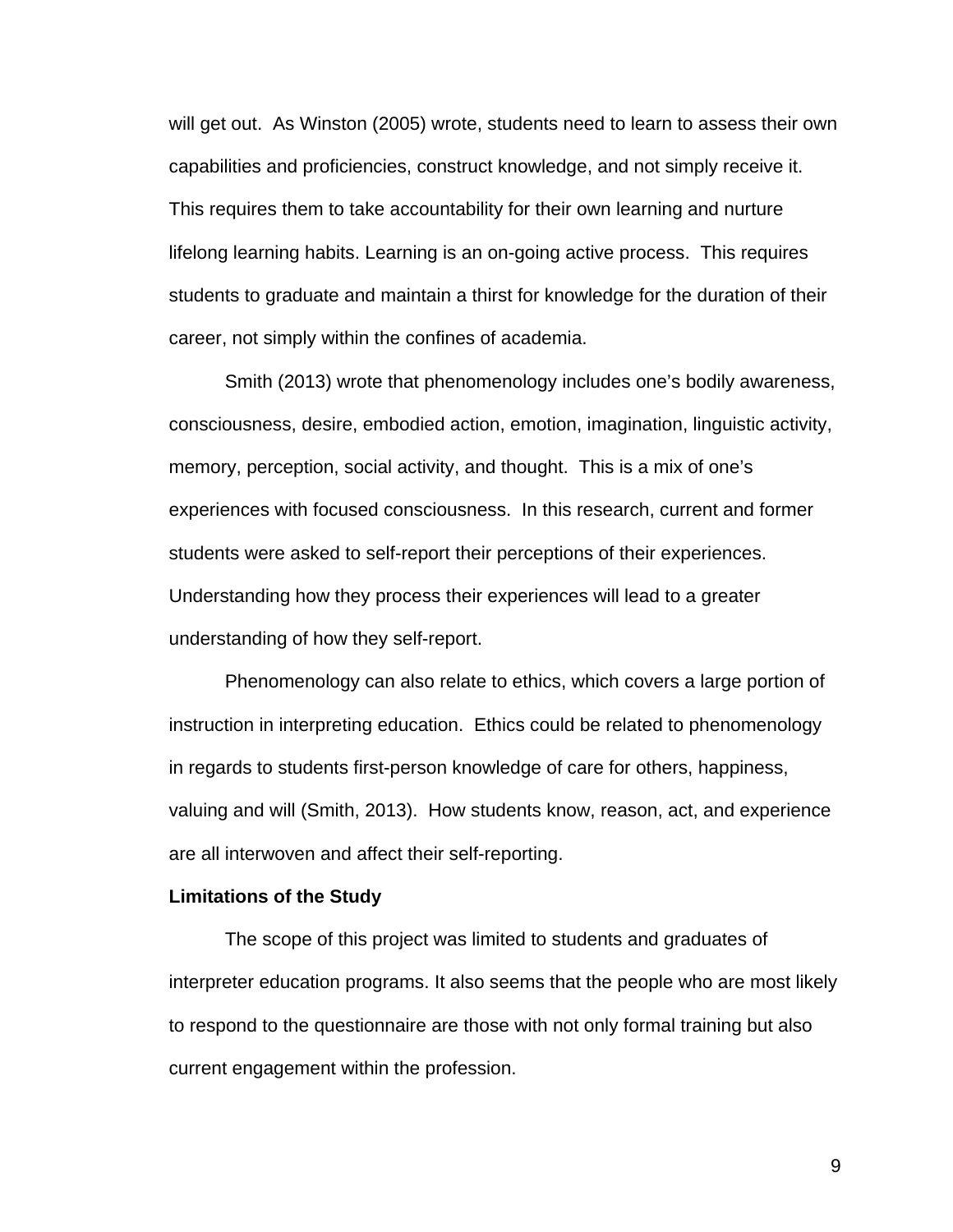will get out. As Winston (2005) wrote, students need to learn to assess their own capabilities and proficiencies, construct knowledge, and not simply receive it. This requires them to take accountability for their own learning and nurture lifelong learning habits. Learning is an on-going active process. This requires students to graduate and maintain a thirst for knowledge for the duration of their career, not simply within the confines of academia.

Smith (2013) wrote that phenomenology includes one's bodily awareness, consciousness, desire, embodied action, emotion, imagination, linguistic activity, memory, perception, social activity, and thought. This is a mix of one's experiences with focused consciousness. In this research, current and former students were asked to self-report their perceptions of their experiences. Understanding how they process their experiences will lead to a greater understanding of how they self-report.

Phenomenology can also relate to ethics, which covers a large portion of instruction in interpreting education. Ethics could be related to phenomenology in regards to students first-person knowledge of care for others, happiness, valuing and will (Smith, 2013). How students know, reason, act, and experience are all interwoven and affect their self-reporting.

#### **Limitations of the Study**

The scope of this project was limited to students and graduates of interpreter education programs. It also seems that the people who are most likely to respond to the questionnaire are those with not only formal training but also current engagement within the profession.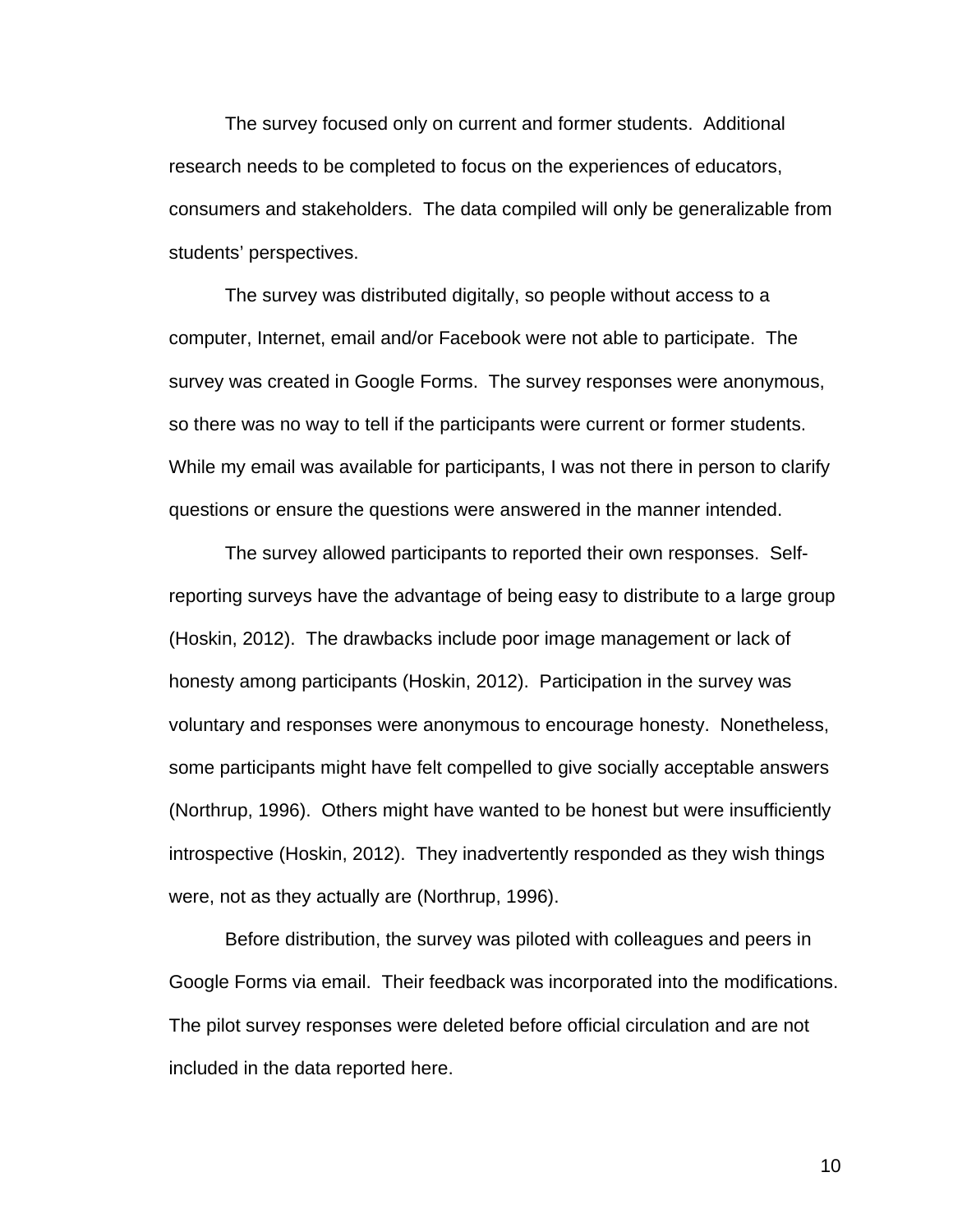The survey focused only on current and former students. Additional research needs to be completed to focus on the experiences of educators, consumers and stakeholders. The data compiled will only be generalizable from students' perspectives.

The survey was distributed digitally, so people without access to a computer, Internet, email and/or Facebook were not able to participate. The survey was created in Google Forms. The survey responses were anonymous, so there was no way to tell if the participants were current or former students. While my email was available for participants, I was not there in person to clarify questions or ensure the questions were answered in the manner intended.

The survey allowed participants to reported their own responses. Selfreporting surveys have the advantage of being easy to distribute to a large group (Hoskin, 2012). The drawbacks include poor image management or lack of honesty among participants (Hoskin, 2012). Participation in the survey was voluntary and responses were anonymous to encourage honesty. Nonetheless, some participants might have felt compelled to give socially acceptable answers (Northrup, 1996). Others might have wanted to be honest but were insufficiently introspective (Hoskin, 2012). They inadvertently responded as they wish things were, not as they actually are (Northrup, 1996).

Before distribution, the survey was piloted with colleagues and peers in Google Forms via email. Their feedback was incorporated into the modifications. The pilot survey responses were deleted before official circulation and are not included in the data reported here.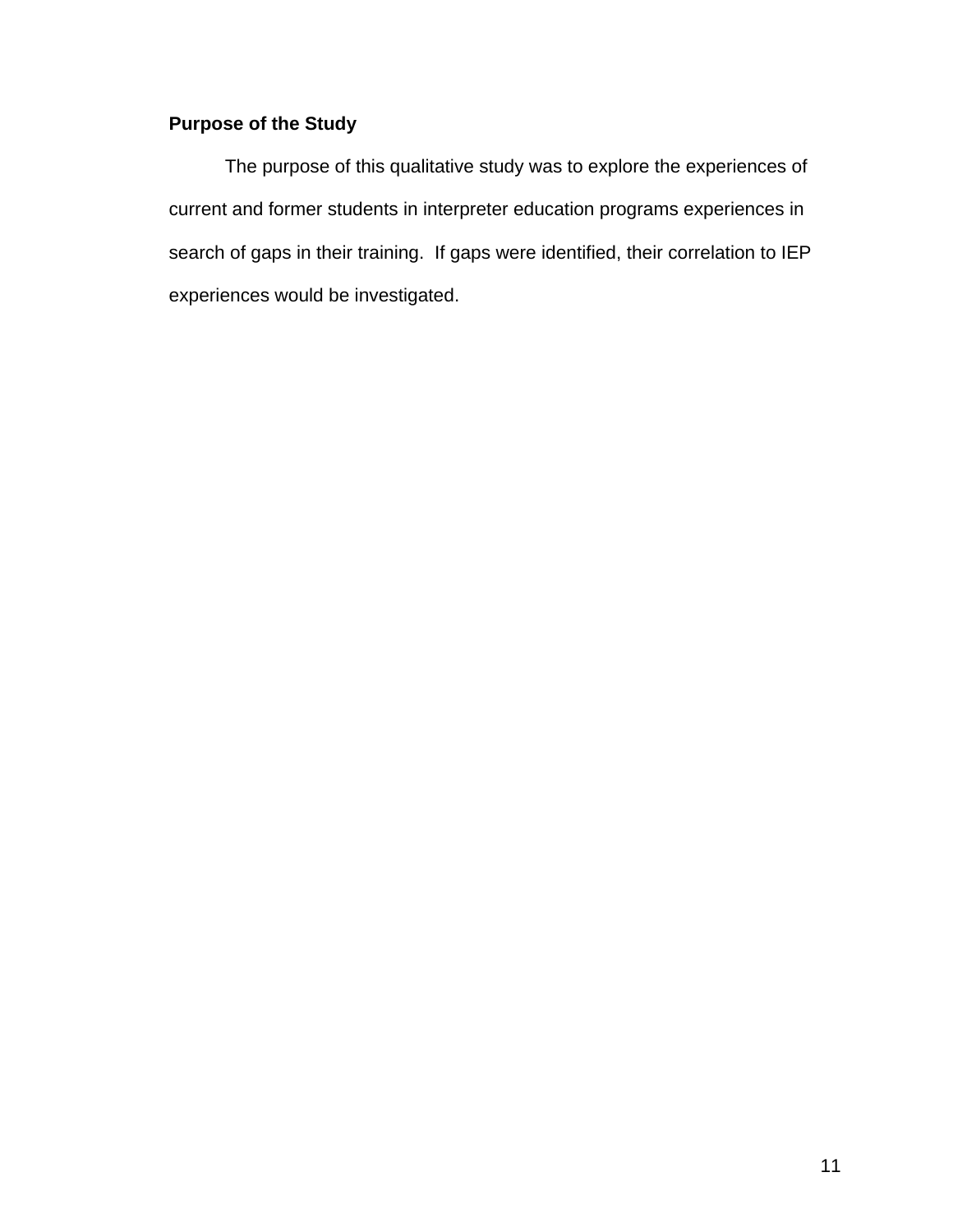# **Purpose of the Study**

The purpose of this qualitative study was to explore the experiences of current and former students in interpreter education programs experiences in search of gaps in their training. If gaps were identified, their correlation to IEP experiences would be investigated.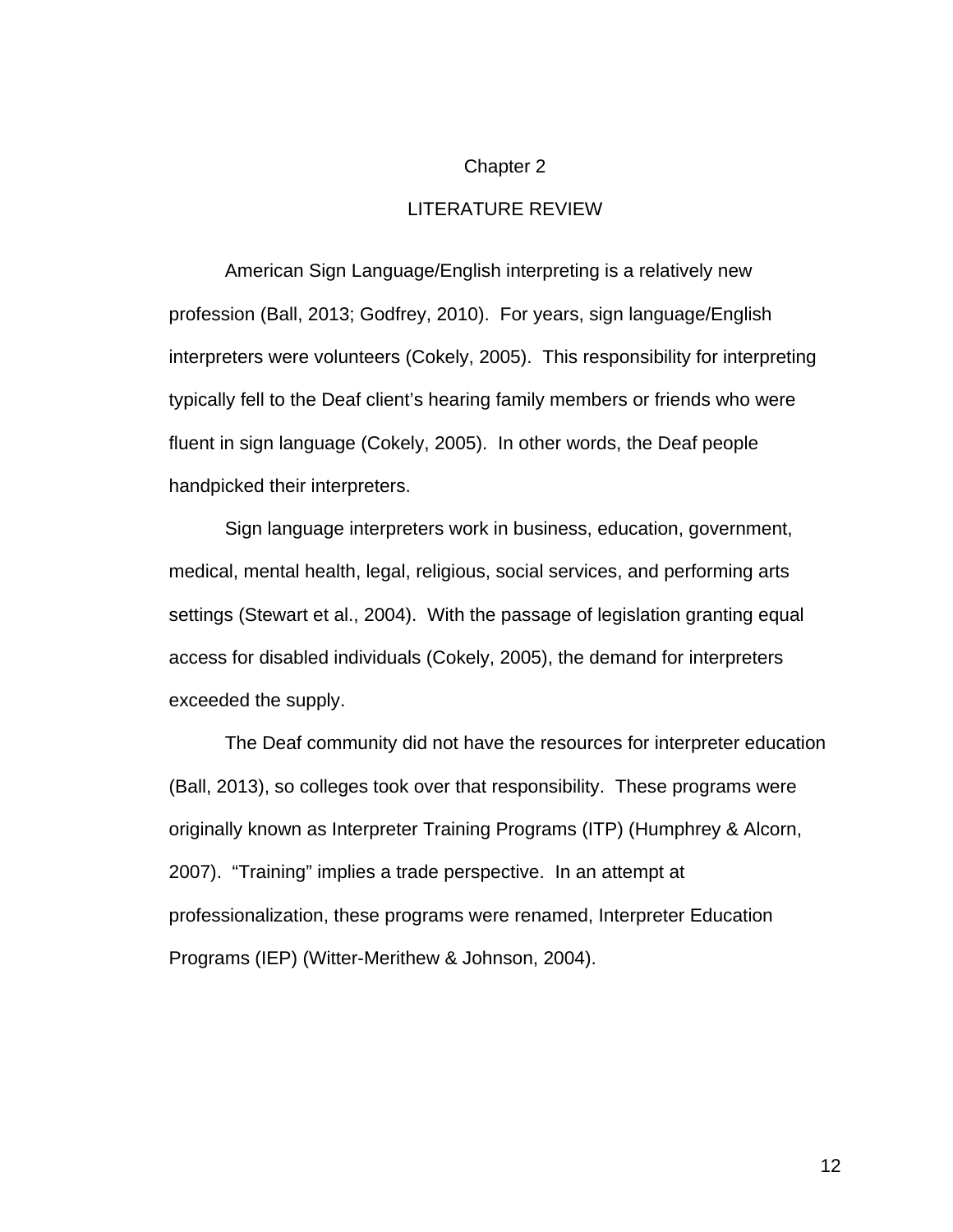#### Chapter 2

#### LITERATURE REVIEW

American Sign Language/English interpreting is a relatively new profession (Ball, 2013; Godfrey, 2010). For years, sign language/English interpreters were volunteers (Cokely, 2005). This responsibility for interpreting typically fell to the Deaf client's hearing family members or friends who were fluent in sign language (Cokely, 2005). In other words, the Deaf people handpicked their interpreters.

Sign language interpreters work in business, education, government, medical, mental health, legal, religious, social services, and performing arts settings (Stewart et al., 2004). With the passage of legislation granting equal access for disabled individuals (Cokely, 2005), the demand for interpreters exceeded the supply.

The Deaf community did not have the resources for interpreter education (Ball, 2013), so colleges took over that responsibility. These programs were originally known as Interpreter Training Programs (ITP) (Humphrey & Alcorn, 2007). "Training" implies a trade perspective. In an attempt at professionalization, these programs were renamed, Interpreter Education Programs (IEP) (Witter-Merithew & Johnson, 2004).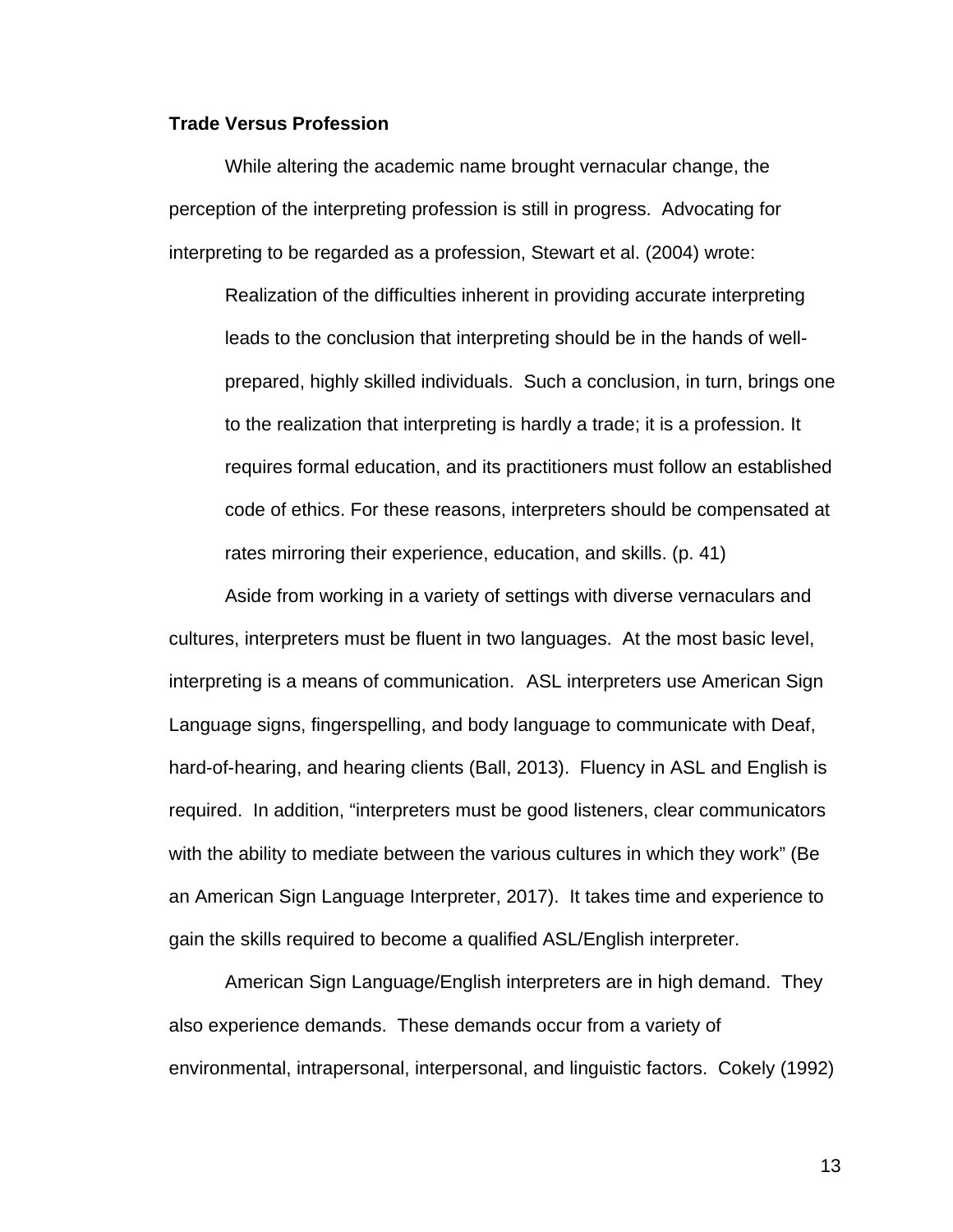#### **Trade Versus Profession**

While altering the academic name brought vernacular change, the perception of the interpreting profession is still in progress. Advocating for interpreting to be regarded as a profession, Stewart et al. (2004) wrote:

Realization of the difficulties inherent in providing accurate interpreting leads to the conclusion that interpreting should be in the hands of wellprepared, highly skilled individuals. Such a conclusion, in turn, brings one to the realization that interpreting is hardly a trade; it is a profession. It requires formal education, and its practitioners must follow an established code of ethics. For these reasons, interpreters should be compensated at rates mirroring their experience, education, and skills. (p. 41)

Aside from working in a variety of settings with diverse vernaculars and cultures, interpreters must be fluent in two languages. At the most basic level, interpreting is a means of communication. ASL interpreters use American Sign Language signs, fingerspelling, and body language to communicate with Deaf, hard-of-hearing, and hearing clients (Ball, 2013). Fluency in ASL and English is required. In addition, "interpreters must be good listeners, clear communicators with the ability to mediate between the various cultures in which they work" (Be an American Sign Language Interpreter, 2017). It takes time and experience to gain the skills required to become a qualified ASL/English interpreter.

American Sign Language/English interpreters are in high demand. They also experience demands. These demands occur from a variety of environmental, intrapersonal, interpersonal, and linguistic factors. Cokely (1992)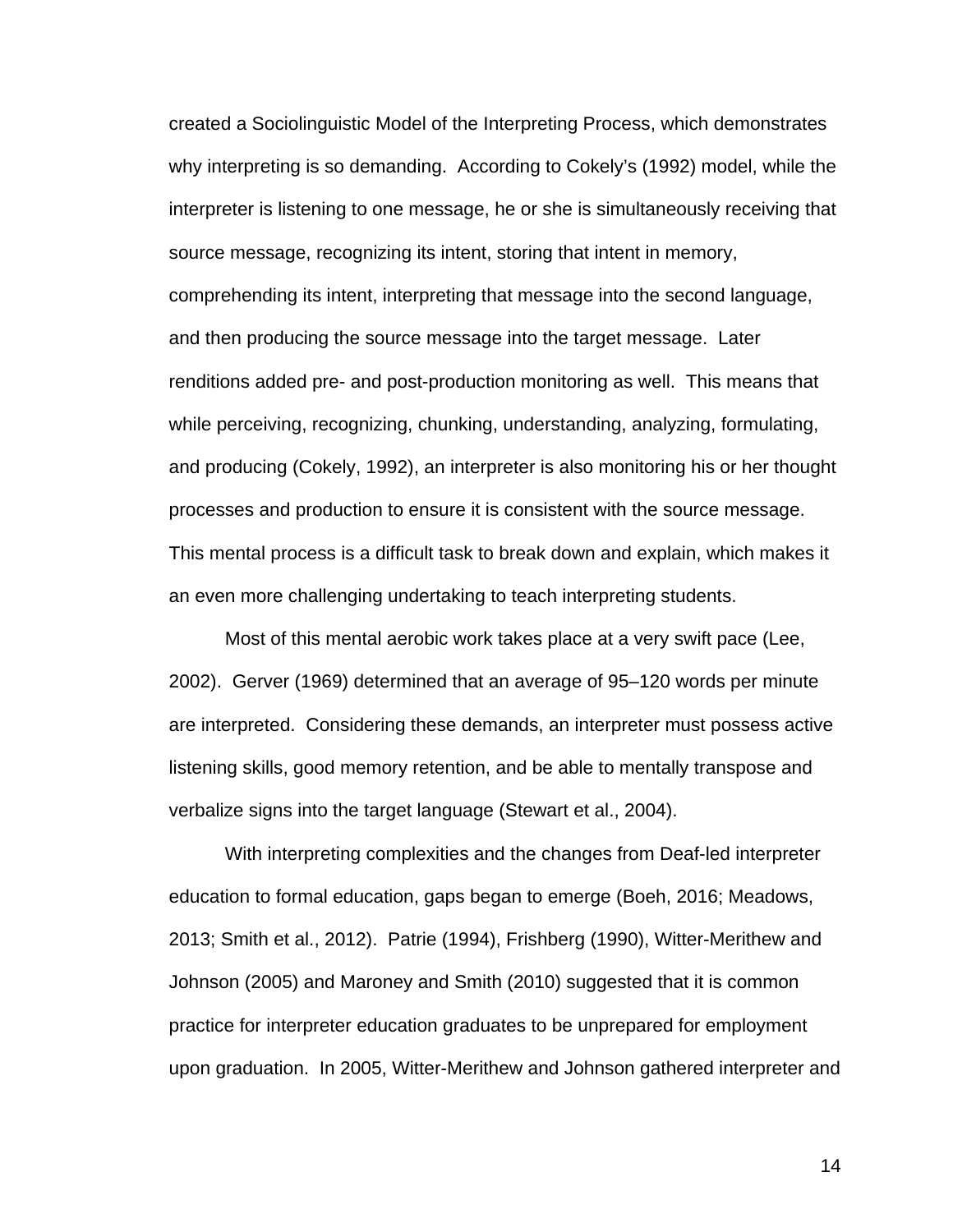created a Sociolinguistic Model of the Interpreting Process, which demonstrates why interpreting is so demanding. According to Cokely's (1992) model, while the interpreter is listening to one message, he or she is simultaneously receiving that source message, recognizing its intent, storing that intent in memory, comprehending its intent, interpreting that message into the second language, and then producing the source message into the target message. Later renditions added pre- and post-production monitoring as well. This means that while perceiving, recognizing, chunking, understanding, analyzing, formulating, and producing (Cokely, 1992), an interpreter is also monitoring his or her thought processes and production to ensure it is consistent with the source message. This mental process is a difficult task to break down and explain, which makes it an even more challenging undertaking to teach interpreting students.

Most of this mental aerobic work takes place at a very swift pace (Lee, 2002). Gerver (1969) determined that an average of 95–120 words per minute are interpreted. Considering these demands, an interpreter must possess active listening skills, good memory retention, and be able to mentally transpose and verbalize signs into the target language (Stewart et al., 2004).

With interpreting complexities and the changes from Deaf-led interpreter education to formal education, gaps began to emerge (Boeh, 2016; Meadows, 2013; Smith et al., 2012). Patrie (1994), Frishberg (1990), Witter-Merithew and Johnson (2005) and Maroney and Smith (2010) suggested that it is common practice for interpreter education graduates to be unprepared for employment upon graduation. In 2005, Witter-Merithew and Johnson gathered interpreter and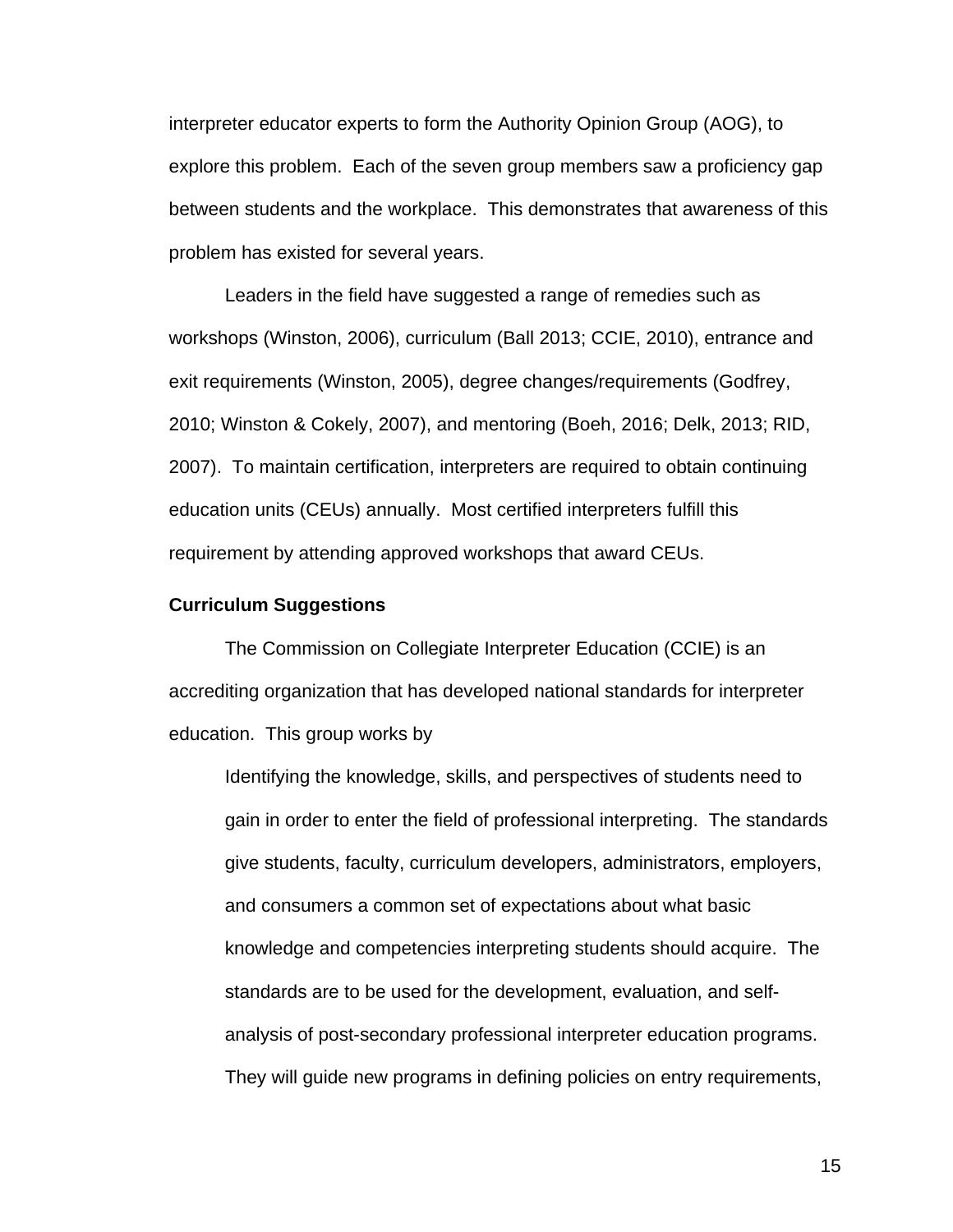interpreter educator experts to form the Authority Opinion Group (AOG), to explore this problem. Each of the seven group members saw a proficiency gap between students and the workplace. This demonstrates that awareness of this problem has existed for several years.

Leaders in the field have suggested a range of remedies such as workshops (Winston, 2006), curriculum (Ball 2013; CCIE, 2010), entrance and exit requirements (Winston, 2005), degree changes/requirements (Godfrey, 2010; Winston & Cokely, 2007), and mentoring (Boeh, 2016; Delk, 2013; RID, 2007). To maintain certification, interpreters are required to obtain continuing education units (CEUs) annually. Most certified interpreters fulfill this requirement by attending approved workshops that award CEUs.

#### **Curriculum Suggestions**

The Commission on Collegiate Interpreter Education (CCIE) is an accrediting organization that has developed national standards for interpreter education. This group works by

Identifying the knowledge, skills, and perspectives of students need to gain in order to enter the field of professional interpreting. The standards give students, faculty, curriculum developers, administrators, employers, and consumers a common set of expectations about what basic knowledge and competencies interpreting students should acquire. The standards are to be used for the development, evaluation, and selfanalysis of post-secondary professional interpreter education programs. They will guide new programs in defining policies on entry requirements,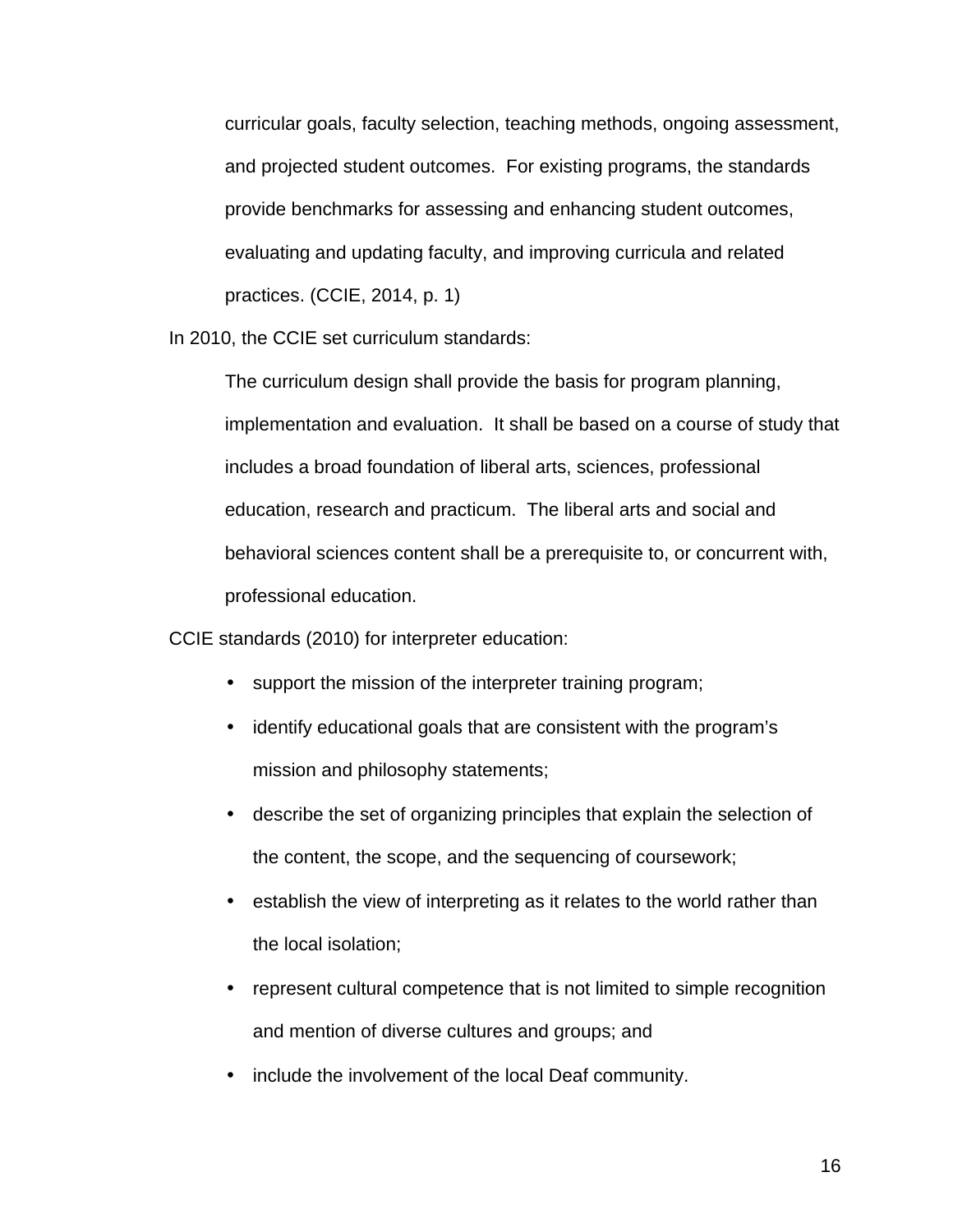curricular goals, faculty selection, teaching methods, ongoing assessment, and projected student outcomes. For existing programs, the standards provide benchmarks for assessing and enhancing student outcomes, evaluating and updating faculty, and improving curricula and related practices. (CCIE, 2014, p. 1)

In 2010, the CCIE set curriculum standards:

The curriculum design shall provide the basis for program planning, implementation and evaluation. It shall be based on a course of study that includes a broad foundation of liberal arts, sciences, professional education, research and practicum. The liberal arts and social and behavioral sciences content shall be a prerequisite to, or concurrent with, professional education.

CCIE standards (2010) for interpreter education:

- support the mission of the interpreter training program;
- identify educational goals that are consistent with the program's mission and philosophy statements;
- describe the set of organizing principles that explain the selection of the content, the scope, and the sequencing of coursework;
- establish the view of interpreting as it relates to the world rather than the local isolation;
- represent cultural competence that is not limited to simple recognition and mention of diverse cultures and groups; and
- include the involvement of the local Deaf community.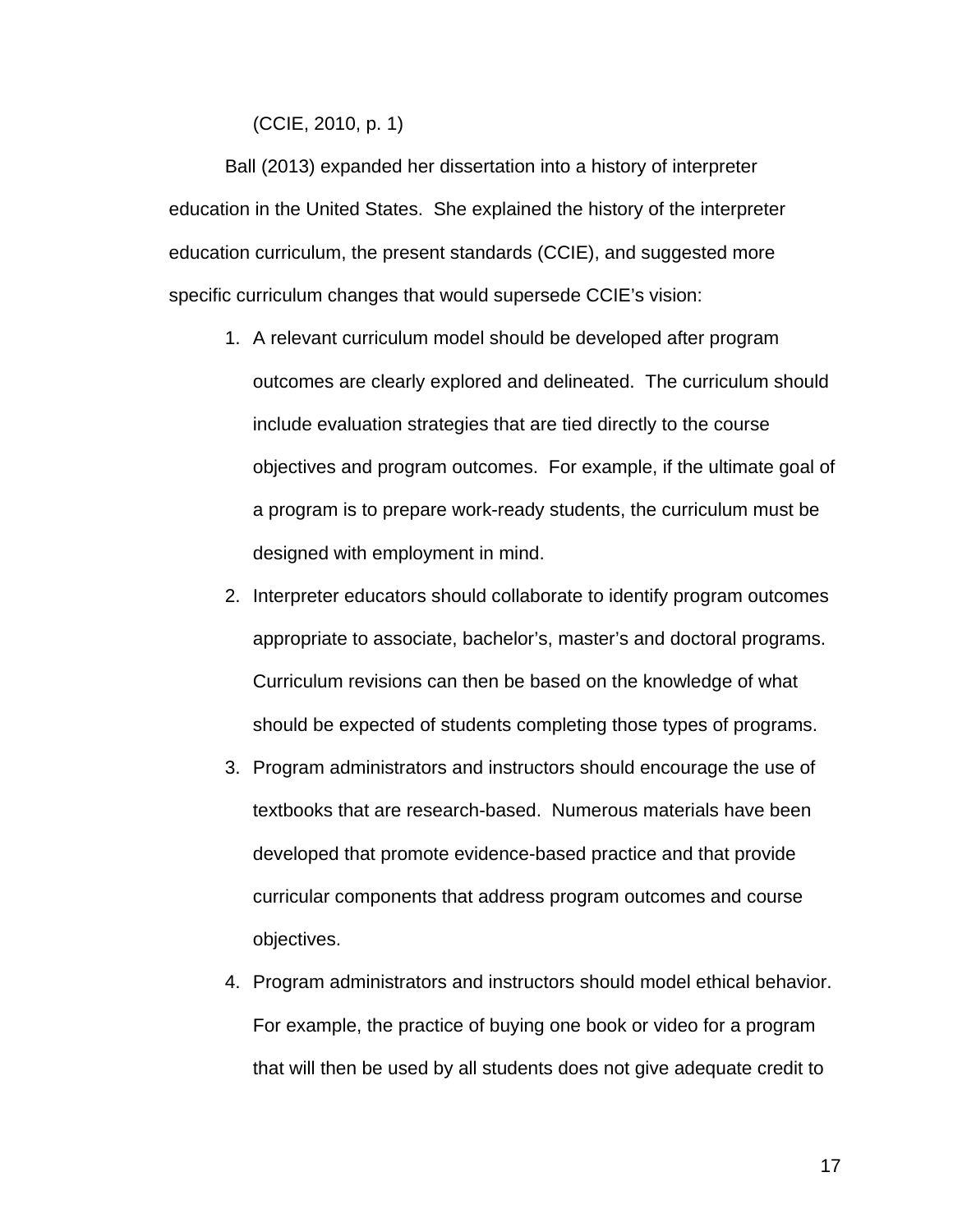(CCIE, 2010, p. 1)

Ball (2013) expanded her dissertation into a history of interpreter education in the United States. She explained the history of the interpreter education curriculum, the present standards (CCIE), and suggested more specific curriculum changes that would supersede CCIE's vision:

- 1. A relevant curriculum model should be developed after program outcomes are clearly explored and delineated. The curriculum should include evaluation strategies that are tied directly to the course objectives and program outcomes. For example, if the ultimate goal of a program is to prepare work-ready students, the curriculum must be designed with employment in mind.
- 2. Interpreter educators should collaborate to identify program outcomes appropriate to associate, bachelor's, master's and doctoral programs. Curriculum revisions can then be based on the knowledge of what should be expected of students completing those types of programs.
- 3. Program administrators and instructors should encourage the use of textbooks that are research-based. Numerous materials have been developed that promote evidence-based practice and that provide curricular components that address program outcomes and course objectives.
- 4. Program administrators and instructors should model ethical behavior. For example, the practice of buying one book or video for a program that will then be used by all students does not give adequate credit to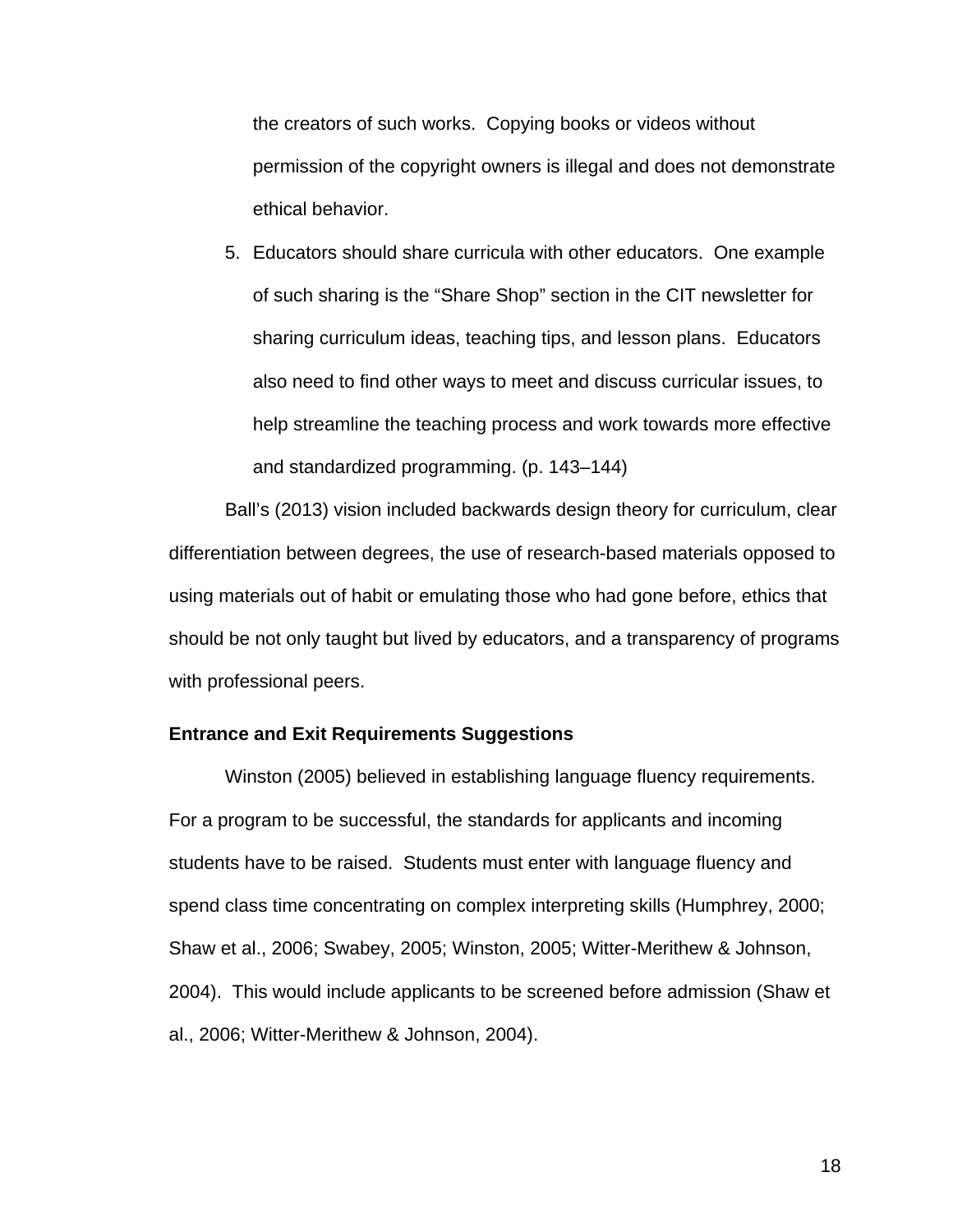the creators of such works. Copying books or videos without permission of the copyright owners is illegal and does not demonstrate ethical behavior.

5. Educators should share curricula with other educators. One example of such sharing is the "Share Shop" section in the CIT newsletter for sharing curriculum ideas, teaching tips, and lesson plans. Educators also need to find other ways to meet and discuss curricular issues, to help streamline the teaching process and work towards more effective and standardized programming. (p. 143–144)

Ball's (2013) vision included backwards design theory for curriculum, clear differentiation between degrees, the use of research-based materials opposed to using materials out of habit or emulating those who had gone before, ethics that should be not only taught but lived by educators, and a transparency of programs with professional peers.

#### **Entrance and Exit Requirements Suggestions**

Winston (2005) believed in establishing language fluency requirements. For a program to be successful, the standards for applicants and incoming students have to be raised. Students must enter with language fluency and spend class time concentrating on complex interpreting skills (Humphrey, 2000; Shaw et al., 2006; Swabey, 2005; Winston, 2005; Witter-Merithew & Johnson, 2004). This would include applicants to be screened before admission (Shaw et al., 2006; Witter-Merithew & Johnson, 2004).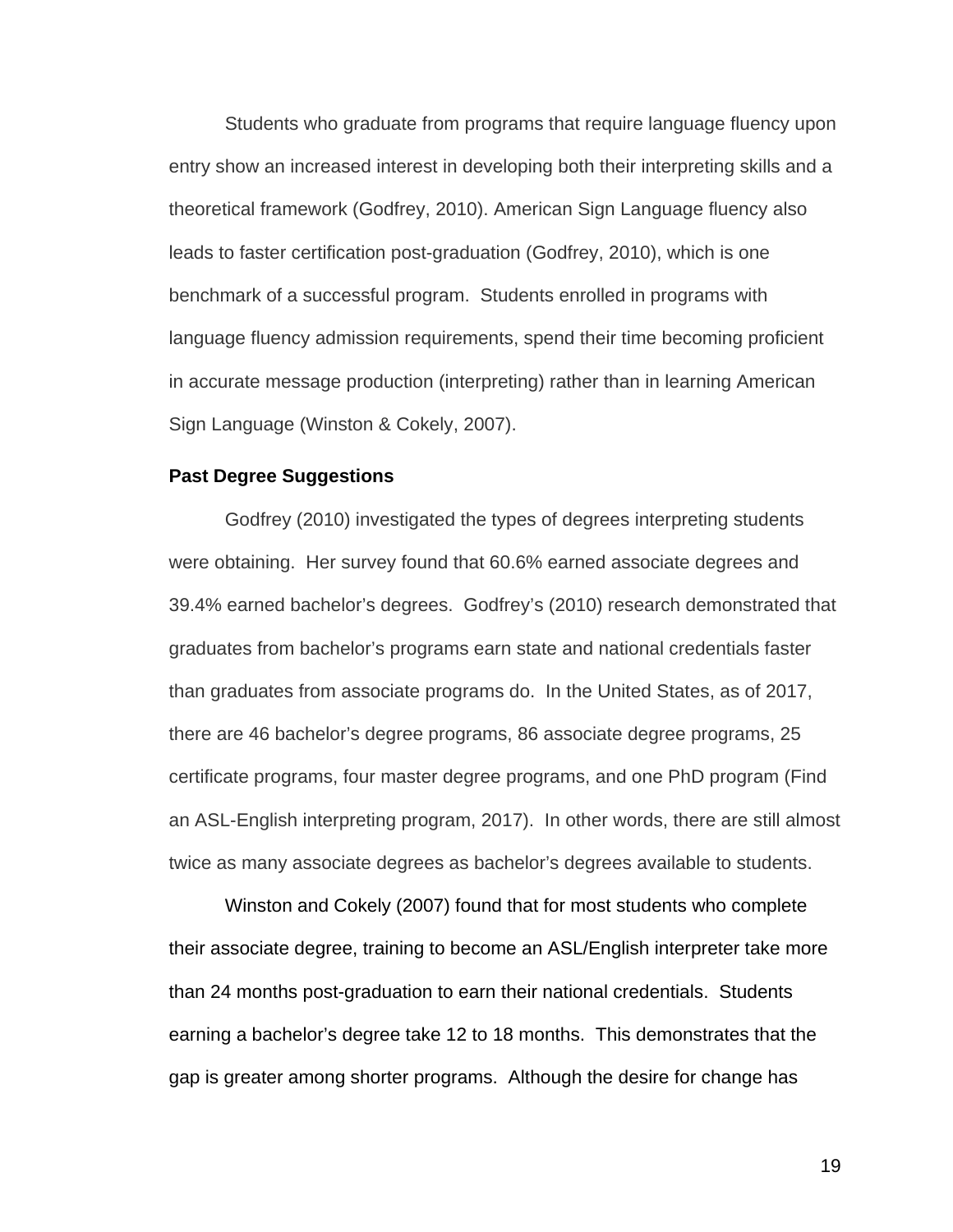Students who graduate from programs that require language fluency upon entry show an increased interest in developing both their interpreting skills and a theoretical framework (Godfrey, 2010). American Sign Language fluency also leads to faster certification post-graduation (Godfrey, 2010), which is one benchmark of a successful program. Students enrolled in programs with language fluency admission requirements, spend their time becoming proficient in accurate message production (interpreting) rather than in learning American Sign Language (Winston & Cokely, 2007).

#### **Past Degree Suggestions**

Godfrey (2010) investigated the types of degrees interpreting students were obtaining. Her survey found that 60.6% earned associate degrees and 39.4% earned bachelor's degrees. Godfrey's (2010) research demonstrated that graduates from bachelor's programs earn state and national credentials faster than graduates from associate programs do. In the United States, as of 2017, there are 46 bachelor's degree programs, 86 associate degree programs, 25 certificate programs, four master degree programs, and one PhD program (Find an ASL-English interpreting program, 2017). In other words, there are still almost twice as many associate degrees as bachelor's degrees available to students.

Winston and Cokely (2007) found that for most students who complete their associate degree, training to become an ASL/English interpreter take more than 24 months post-graduation to earn their national credentials. Students earning a bachelor's degree take 12 to 18 months. This demonstrates that the gap is greater among shorter programs. Although the desire for change has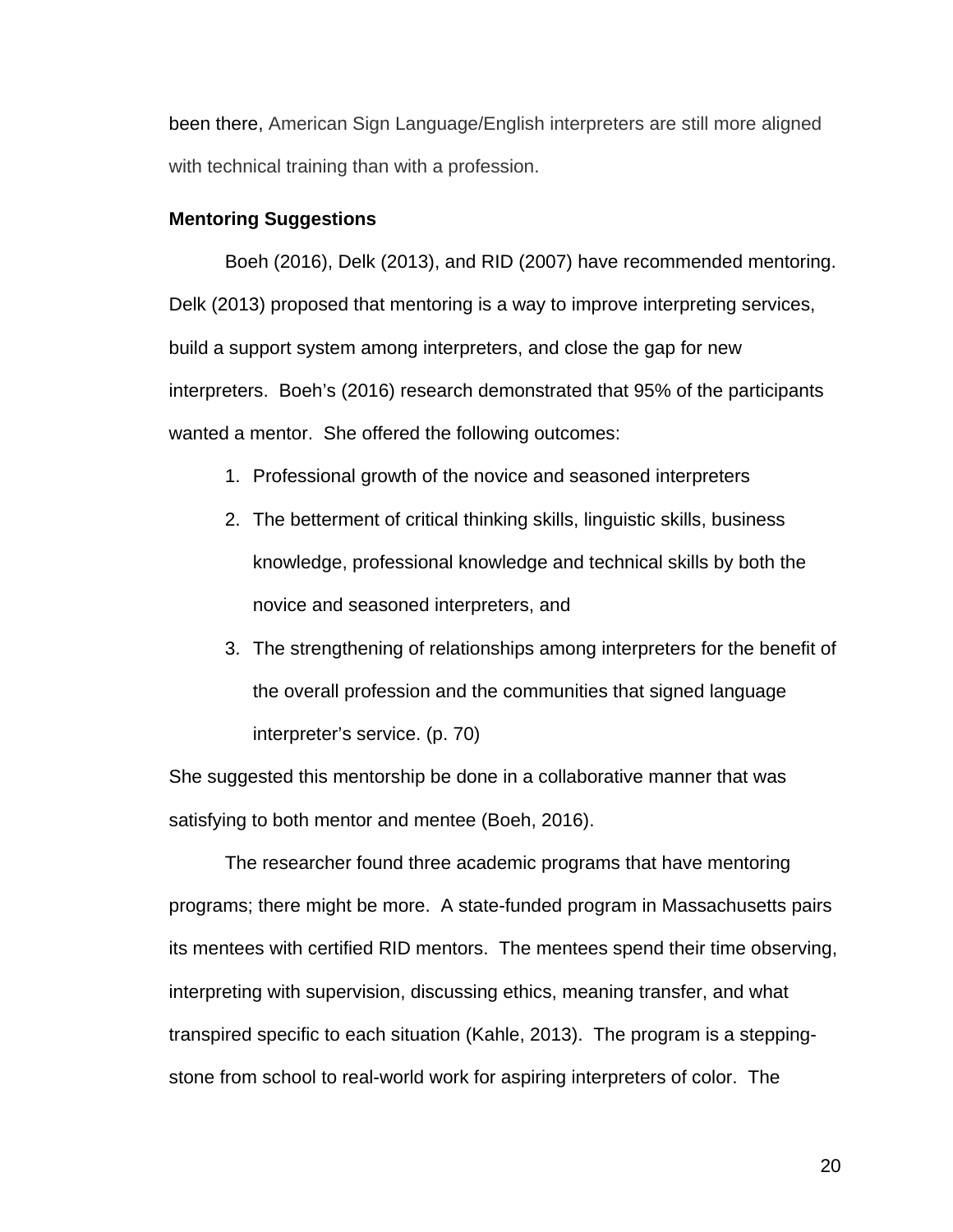been there, American Sign Language/English interpreters are still more aligned with technical training than with a profession.

#### **Mentoring Suggestions**

Boeh (2016), Delk (2013), and RID (2007) have recommended mentoring. Delk (2013) proposed that mentoring is a way to improve interpreting services, build a support system among interpreters, and close the gap for new interpreters. Boeh's (2016) research demonstrated that 95% of the participants wanted a mentor. She offered the following outcomes:

- 1. Professional growth of the novice and seasoned interpreters
- 2. The betterment of critical thinking skills, linguistic skills, business knowledge, professional knowledge and technical skills by both the novice and seasoned interpreters, and
- 3. The strengthening of relationships among interpreters for the benefit of the overall profession and the communities that signed language interpreter's service. (p. 70)

She suggested this mentorship be done in a collaborative manner that was satisfying to both mentor and mentee (Boeh, 2016).

The researcher found three academic programs that have mentoring programs; there might be more. A state-funded program in Massachusetts pairs its mentees with certified RID mentors. The mentees spend their time observing, interpreting with supervision, discussing ethics, meaning transfer, and what transpired specific to each situation (Kahle, 2013). The program is a steppingstone from school to real-world work for aspiring interpreters of color. The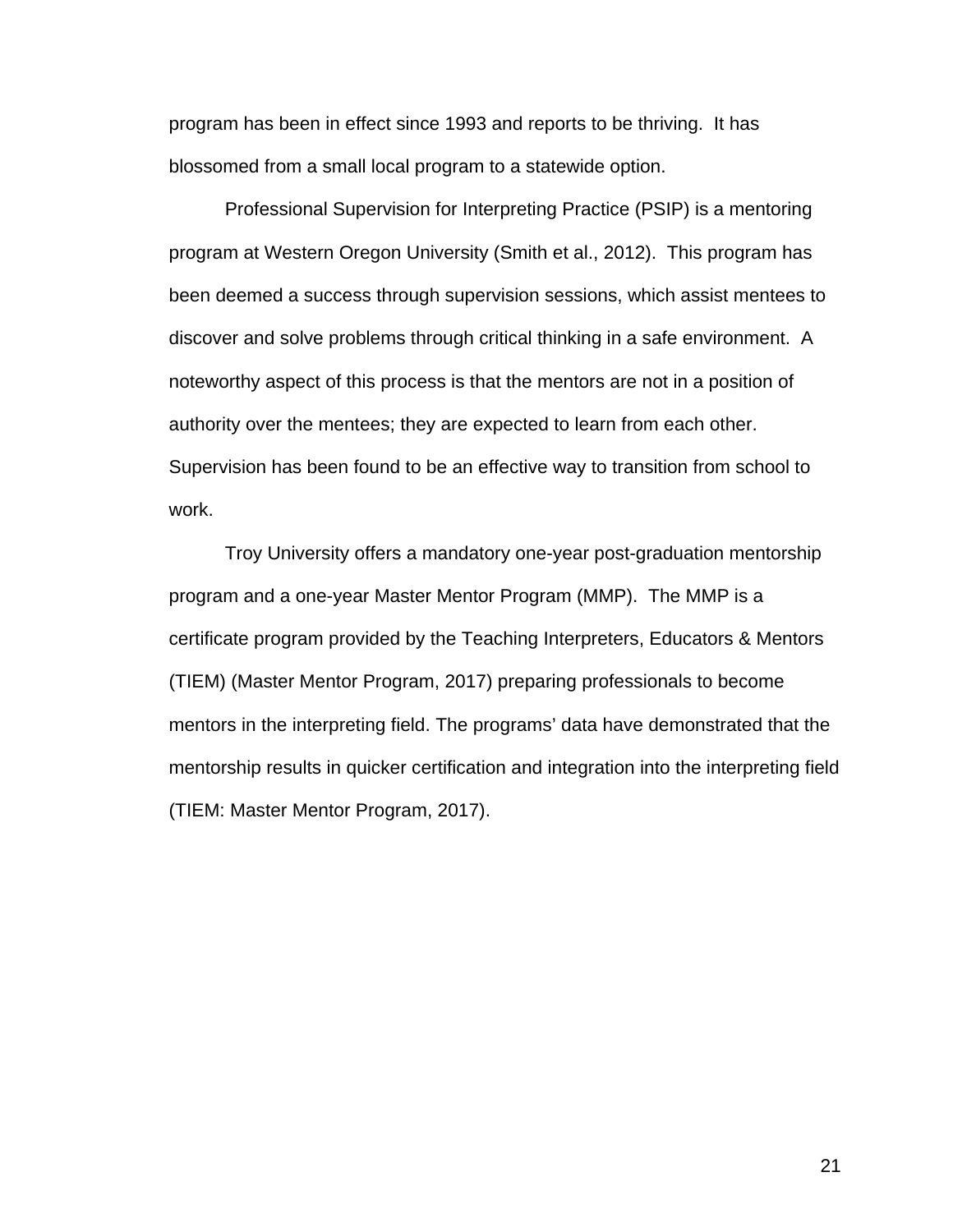program has been in effect since 1993 and reports to be thriving. It has blossomed from a small local program to a statewide option.

Professional Supervision for Interpreting Practice (PSIP) is a mentoring program at Western Oregon University (Smith et al., 2012). This program has been deemed a success through supervision sessions, which assist mentees to discover and solve problems through critical thinking in a safe environment. A noteworthy aspect of this process is that the mentors are not in a position of authority over the mentees; they are expected to learn from each other. Supervision has been found to be an effective way to transition from school to work.

Troy University offers a mandatory one-year post-graduation mentorship program and a one-year Master Mentor Program (MMP). The MMP is a certificate program provided by the Teaching Interpreters, Educators & Mentors (TIEM) (Master Mentor Program, 2017) preparing professionals to become mentors in the interpreting field. The programs' data have demonstrated that the mentorship results in quicker certification and integration into the interpreting field (TIEM: Master Mentor Program, 2017).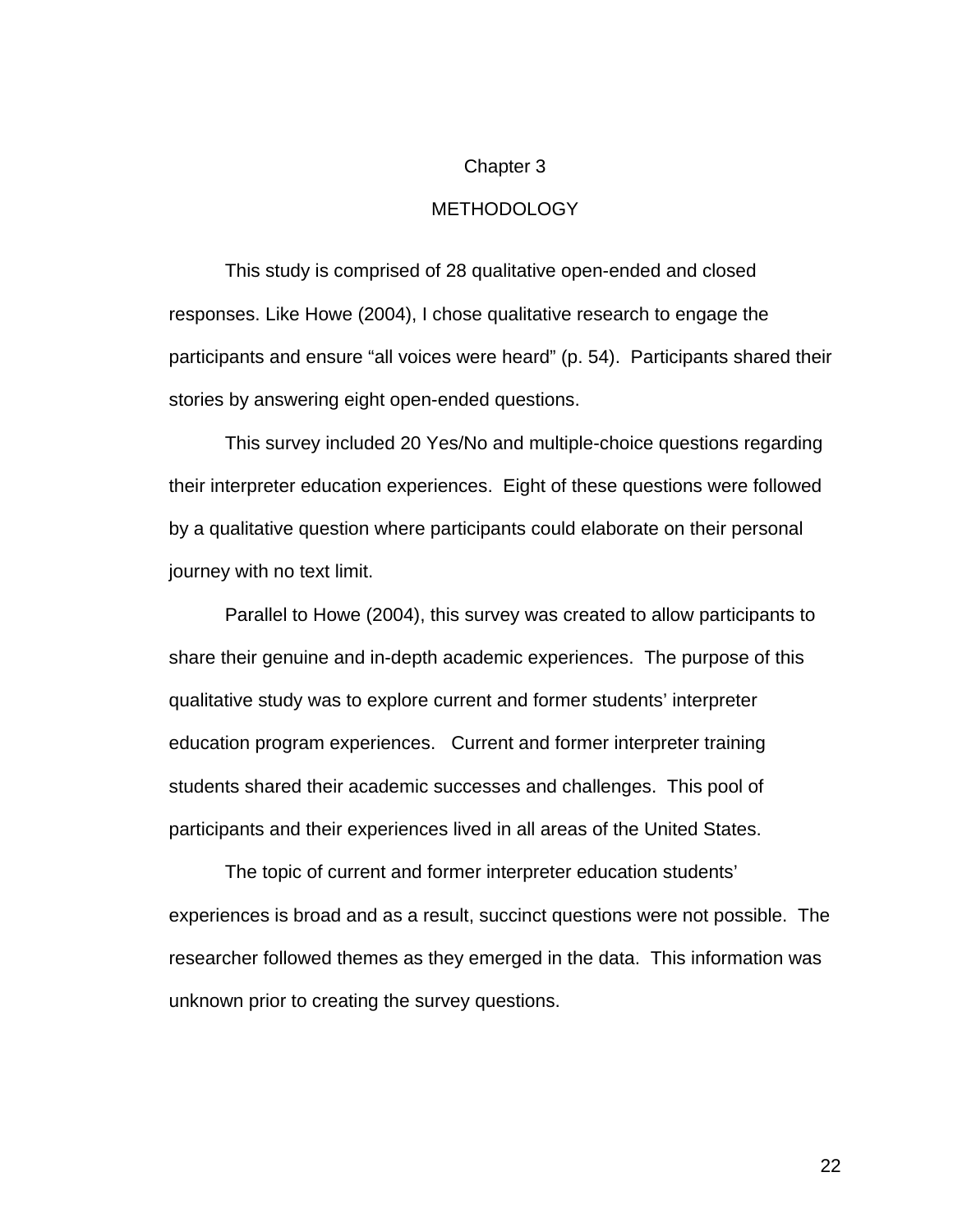#### Chapter 3

#### METHODOLOGY

This study is comprised of 28 qualitative open-ended and closed responses. Like Howe (2004), I chose qualitative research to engage the participants and ensure "all voices were heard" (p. 54). Participants shared their stories by answering eight open-ended questions.

This survey included 20 Yes/No and multiple-choice questions regarding their interpreter education experiences. Eight of these questions were followed by a qualitative question where participants could elaborate on their personal journey with no text limit.

Parallel to Howe (2004), this survey was created to allow participants to share their genuine and in-depth academic experiences. The purpose of this qualitative study was to explore current and former students' interpreter education program experiences. Current and former interpreter training students shared their academic successes and challenges. This pool of participants and their experiences lived in all areas of the United States.

The topic of current and former interpreter education students' experiences is broad and as a result, succinct questions were not possible. The researcher followed themes as they emerged in the data. This information was unknown prior to creating the survey questions.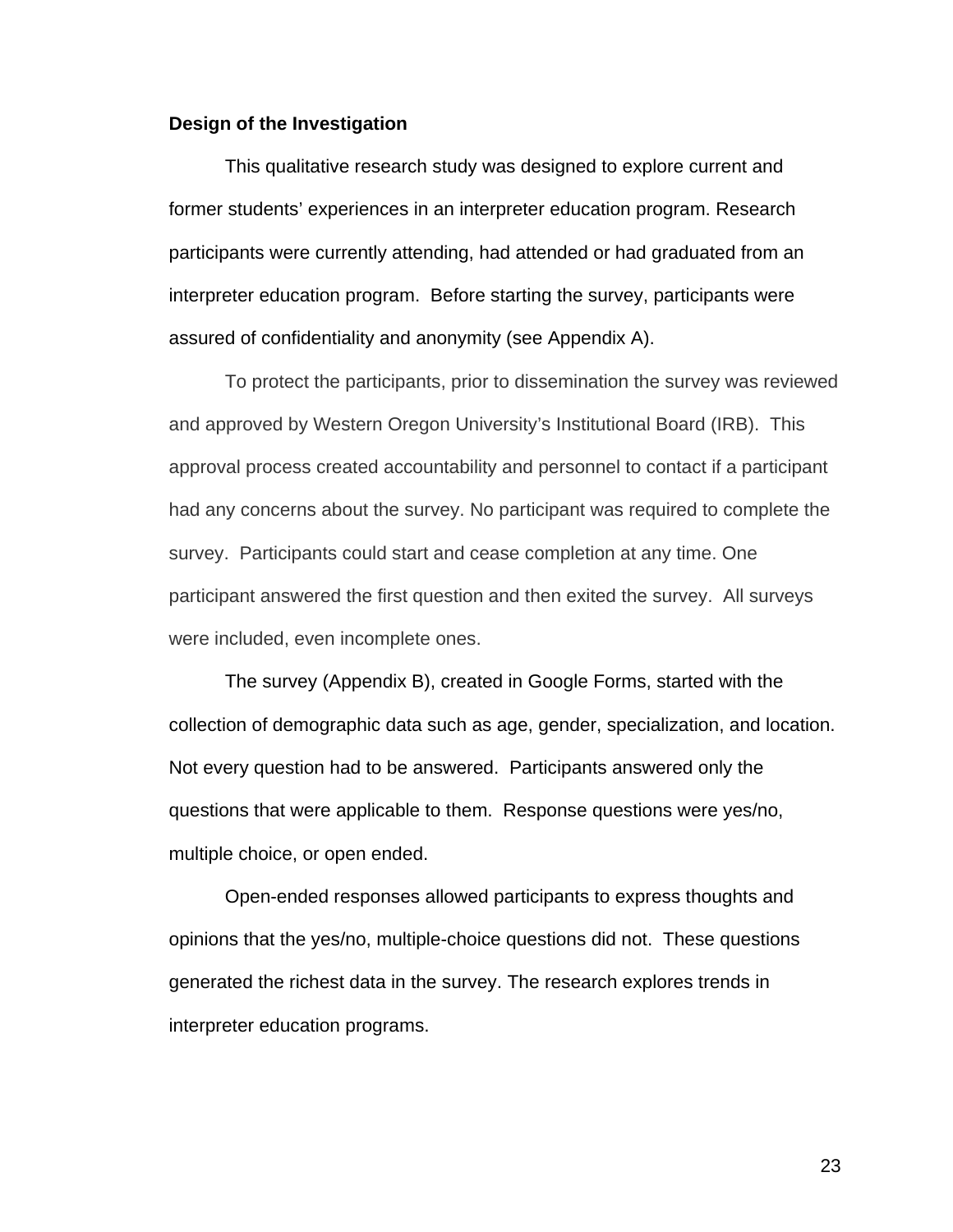#### **Design of the Investigation**

This qualitative research study was designed to explore current and former students' experiences in an interpreter education program. Research participants were currently attending, had attended or had graduated from an interpreter education program. Before starting the survey, participants were assured of confidentiality and anonymity (see Appendix A).

To protect the participants, prior to dissemination the survey was reviewed and approved by Western Oregon University's Institutional Board (IRB). This approval process created accountability and personnel to contact if a participant had any concerns about the survey. No participant was required to complete the survey. Participants could start and cease completion at any time. One participant answered the first question and then exited the survey. All surveys were included, even incomplete ones.

The survey (Appendix B), created in Google Forms, started with the collection of demographic data such as age, gender, specialization, and location. Not every question had to be answered. Participants answered only the questions that were applicable to them. Response questions were yes/no, multiple choice, or open ended.

Open-ended responses allowed participants to express thoughts and opinions that the yes/no, multiple-choice questions did not. These questions generated the richest data in the survey. The research explores trends in interpreter education programs.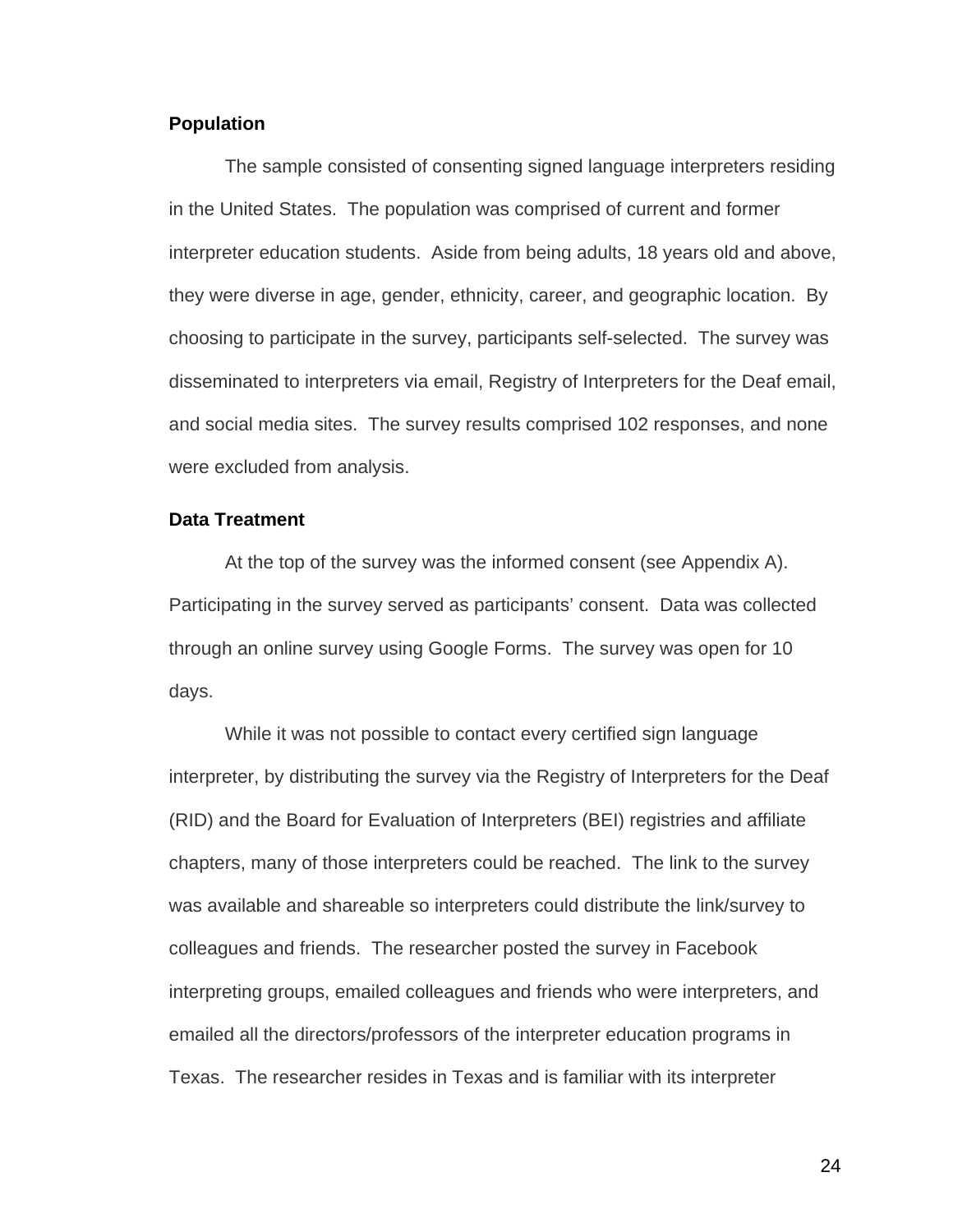#### **Population**

The sample consisted of consenting signed language interpreters residing in the United States. The population was comprised of current and former interpreter education students. Aside from being adults, 18 years old and above, they were diverse in age, gender, ethnicity, career, and geographic location. By choosing to participate in the survey, participants self-selected. The survey was disseminated to interpreters via email, Registry of Interpreters for the Deaf email, and social media sites. The survey results comprised 102 responses, and none were excluded from analysis.

#### **Data Treatment**

At the top of the survey was the informed consent (see Appendix A). Participating in the survey served as participants' consent. Data was collected through an online survey using Google Forms. The survey was open for 10 days.

While it was not possible to contact every certified sign language interpreter, by distributing the survey via the Registry of Interpreters for the Deaf (RID) and the Board for Evaluation of Interpreters (BEI) registries and affiliate chapters, many of those interpreters could be reached. The link to the survey was available and shareable so interpreters could distribute the link/survey to colleagues and friends. The researcher posted the survey in Facebook interpreting groups, emailed colleagues and friends who were interpreters, and emailed all the directors/professors of the interpreter education programs in Texas. The researcher resides in Texas and is familiar with its interpreter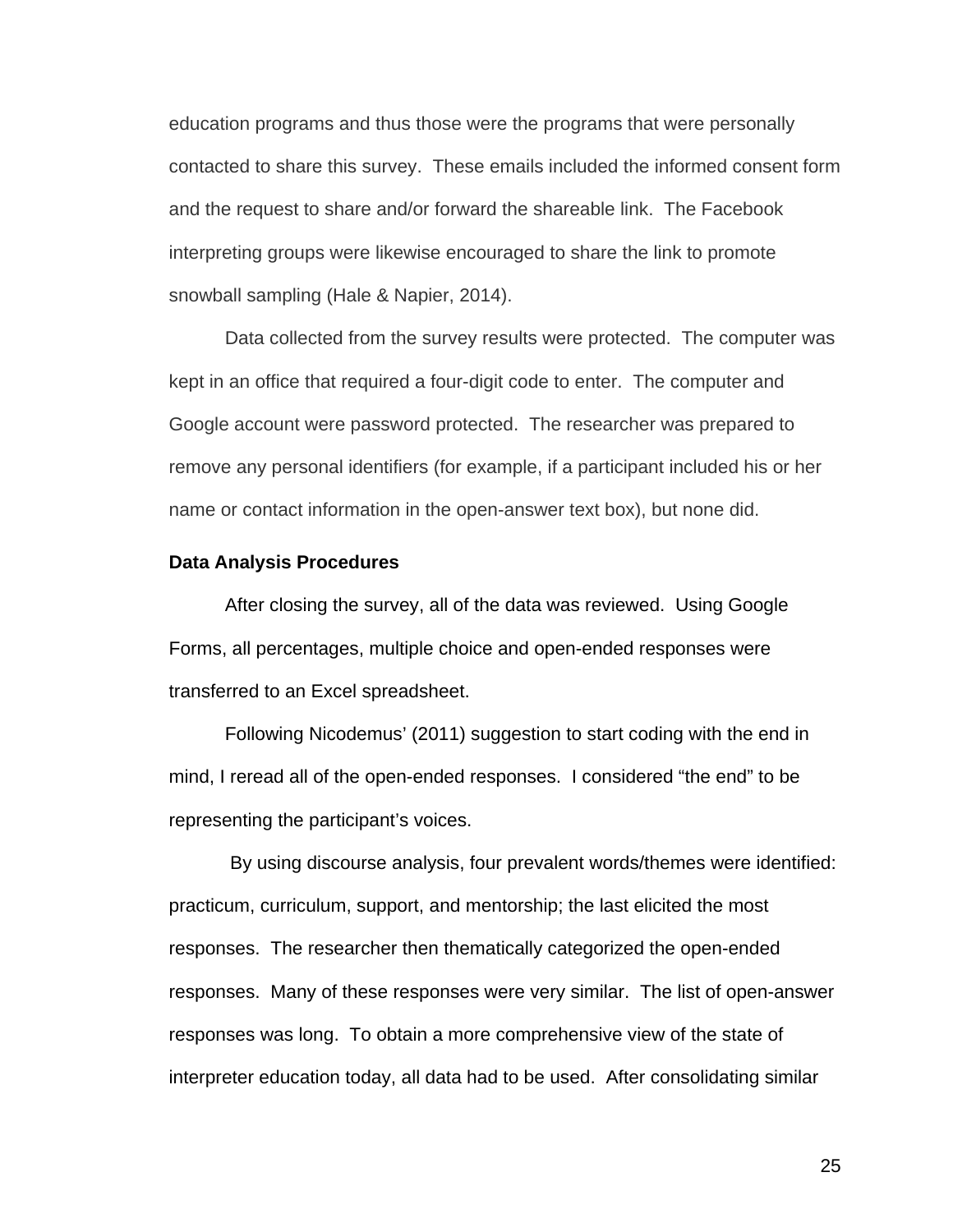education programs and thus those were the programs that were personally contacted to share this survey. These emails included the informed consent form and the request to share and/or forward the shareable link. The Facebook interpreting groups were likewise encouraged to share the link to promote snowball sampling (Hale & Napier, 2014).

Data collected from the survey results were protected. The computer was kept in an office that required a four-digit code to enter. The computer and Google account were password protected. The researcher was prepared to remove any personal identifiers (for example, if a participant included his or her name or contact information in the open-answer text box), but none did.

#### **Data Analysis Procedures**

After closing the survey, all of the data was reviewed. Using Google Forms, all percentages, multiple choice and open-ended responses were transferred to an Excel spreadsheet.

Following Nicodemus' (2011) suggestion to start coding with the end in mind, I reread all of the open-ended responses. I considered "the end" to be representing the participant's voices.

By using discourse analysis, four prevalent words/themes were identified: practicum, curriculum, support, and mentorship; the last elicited the most responses. The researcher then thematically categorized the open-ended responses. Many of these responses were very similar. The list of open-answer responses was long. To obtain a more comprehensive view of the state of interpreter education today, all data had to be used. After consolidating similar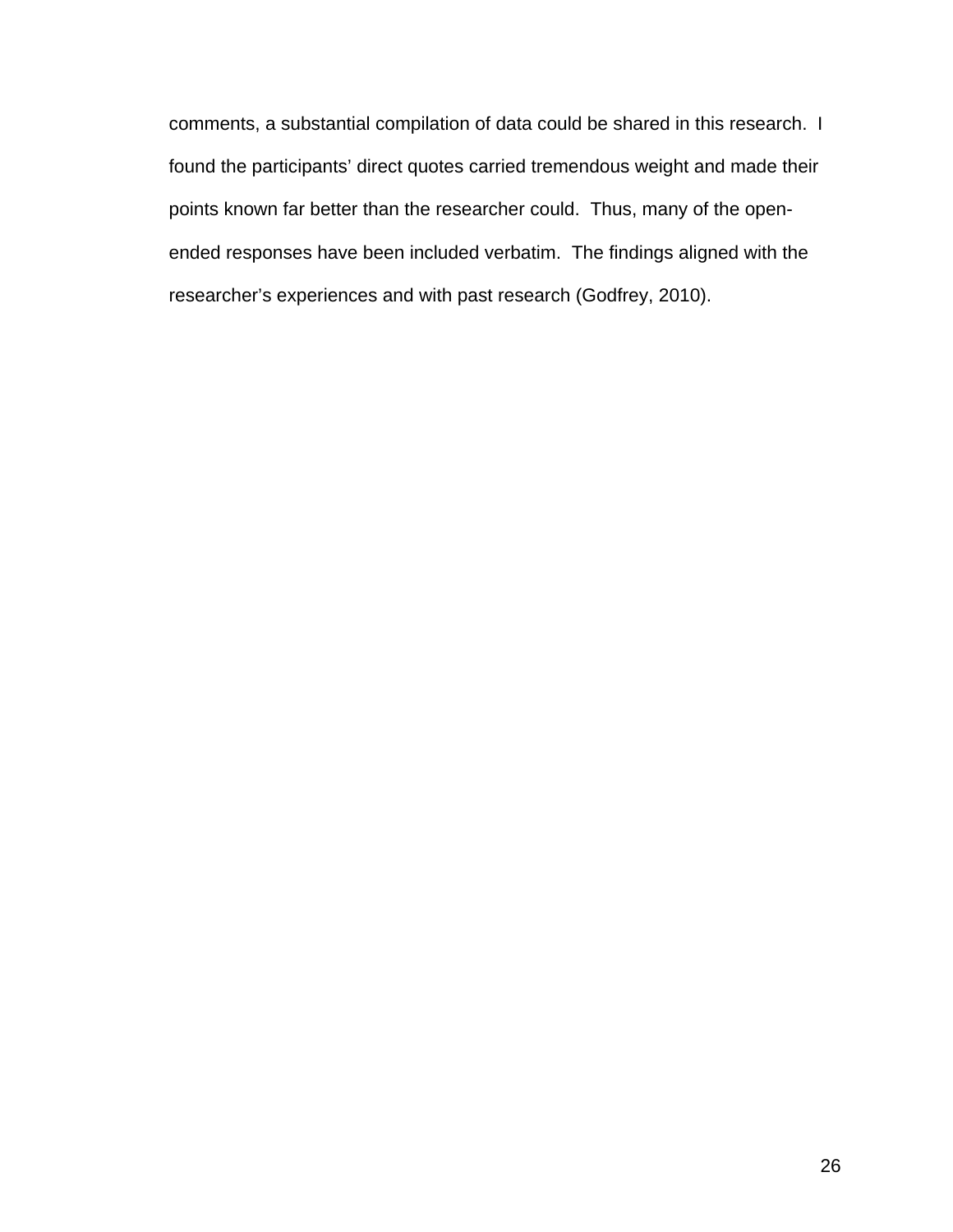comments, a substantial compilation of data could be shared in this research. I found the participants' direct quotes carried tremendous weight and made their points known far better than the researcher could. Thus, many of the openended responses have been included verbatim. The findings aligned with the researcher's experiences and with past research (Godfrey, 2010).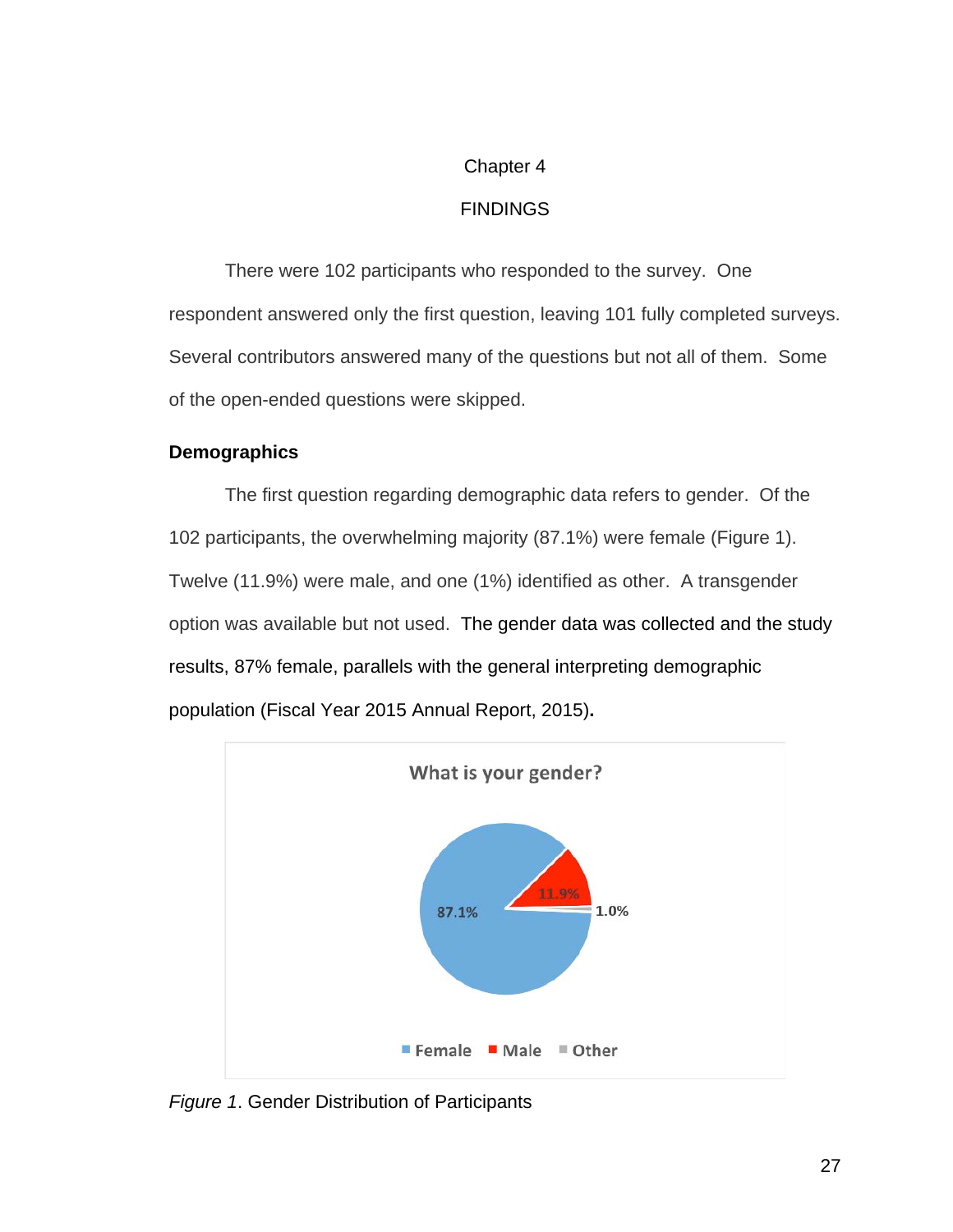## Chapter 4

### FINDINGS

There were 102 participants who responded to the survey. One respondent answered only the first question, leaving 101 fully completed surveys. Several contributors answered many of the questions but not all of them. Some of the open-ended questions were skipped.

## **Demographics**

The first question regarding demographic data refers to gender. Of the 102 participants, the overwhelming majority (87.1%) were female (Figure 1). Twelve (11.9%) were male, and one (1%) identified as other. A transgender option was available but not used. The gender data was collected and the study results, 87% female, parallels with the general interpreting demographic population (Fiscal Year 2015 Annual Report, 2015)**.**



*Figure 1*. Gender Distribution of Participants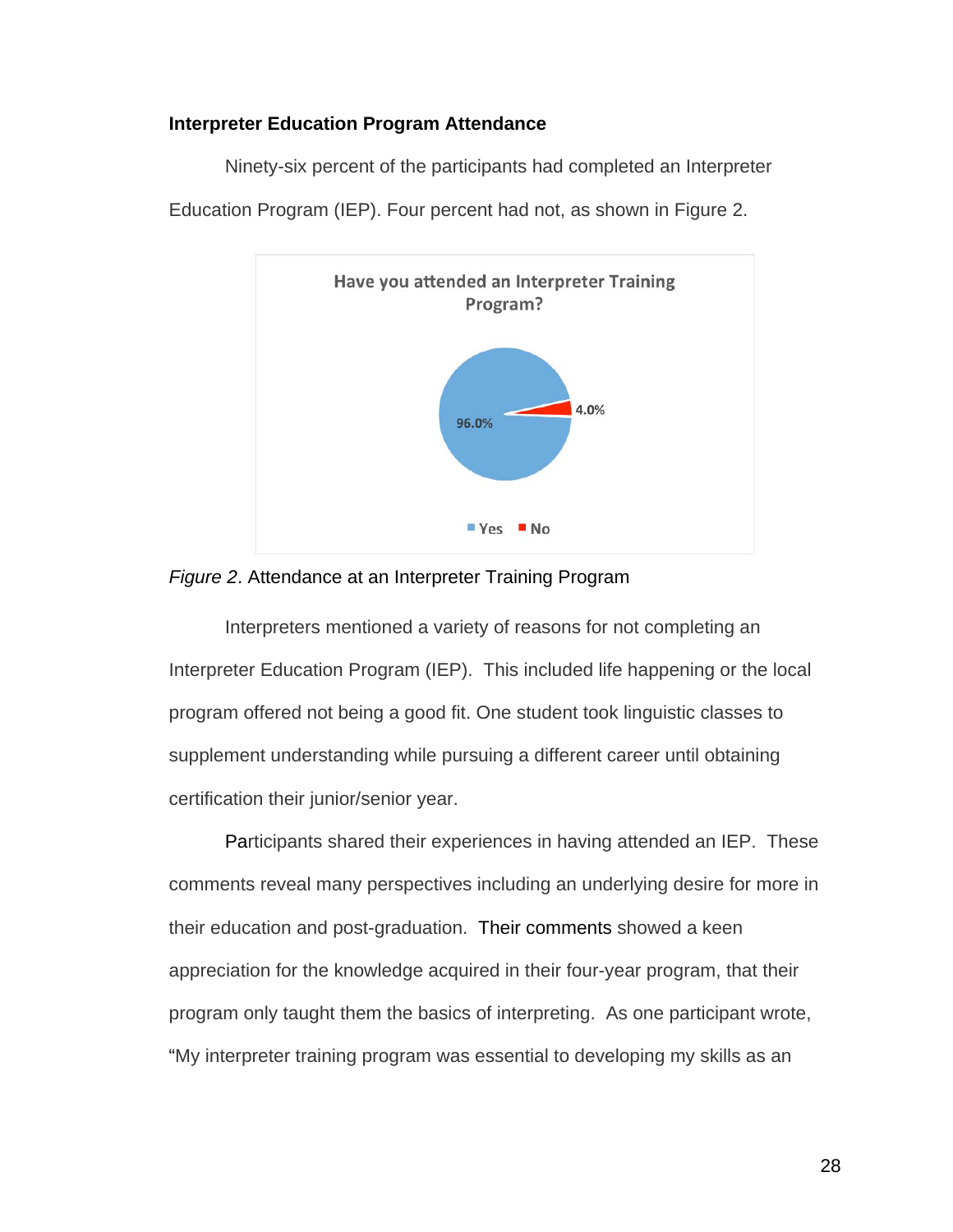#### **Interpreter Education Program Attendance**

Ninety-six percent of the participants had completed an Interpreter



Education Program (IEP). Four percent had not, as shown in Figure 2.

#### *Figure 2*. Attendance at an Interpreter Training Program

Interpreters mentioned a variety of reasons for not completing an Interpreter Education Program (IEP). This included life happening or the local program offered not being a good fit. One student took linguistic classes to supplement understanding while pursuing a different career until obtaining certification their junior/senior year.

Participants shared their experiences in having attended an IEP. These comments reveal many perspectives including an underlying desire for more in their education and post-graduation. Their comments showed a keen appreciation for the knowledge acquired in their four-year program, that their program only taught them the basics of interpreting. As one participant wrote, "My interpreter training program was essential to developing my skills as an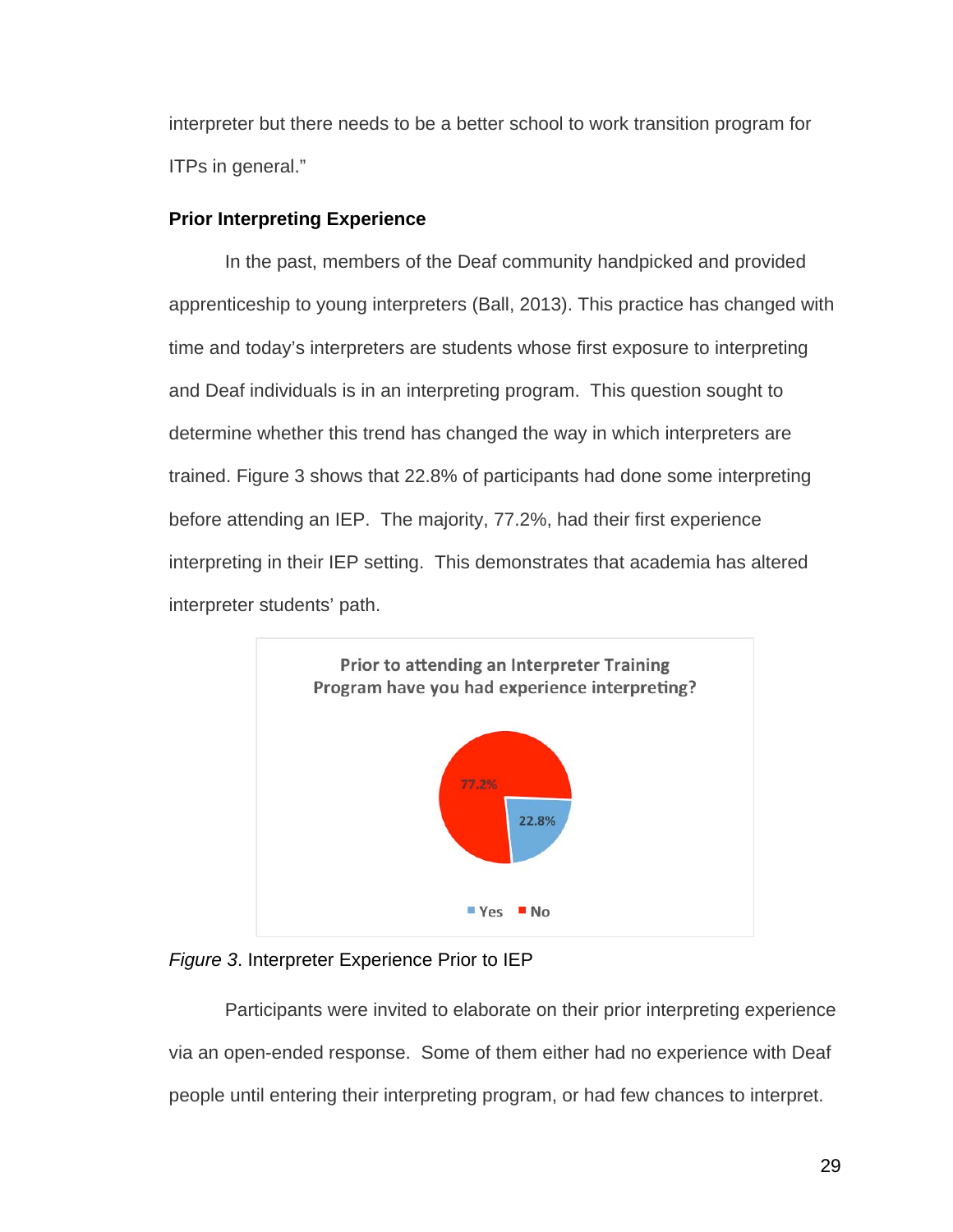interpreter but there needs to be a better school to work transition program for ITPs in general."

# **Prior Interpreting Experience**

In the past, members of the Deaf community handpicked and provided apprenticeship to young interpreters (Ball, 2013). This practice has changed with time and today's interpreters are students whose first exposure to interpreting and Deaf individuals is in an interpreting program. This question sought to determine whether this trend has changed the way in which interpreters are trained. Figure 3 shows that 22.8% of participants had done some interpreting before attending an IEP. The majority, 77.2%, had their first experience interpreting in their IEP setting. This demonstrates that academia has altered interpreter students' path.





Participants were invited to elaborate on their prior interpreting experience via an open-ended response. Some of them either had no experience with Deaf people until entering their interpreting program, or had few chances to interpret.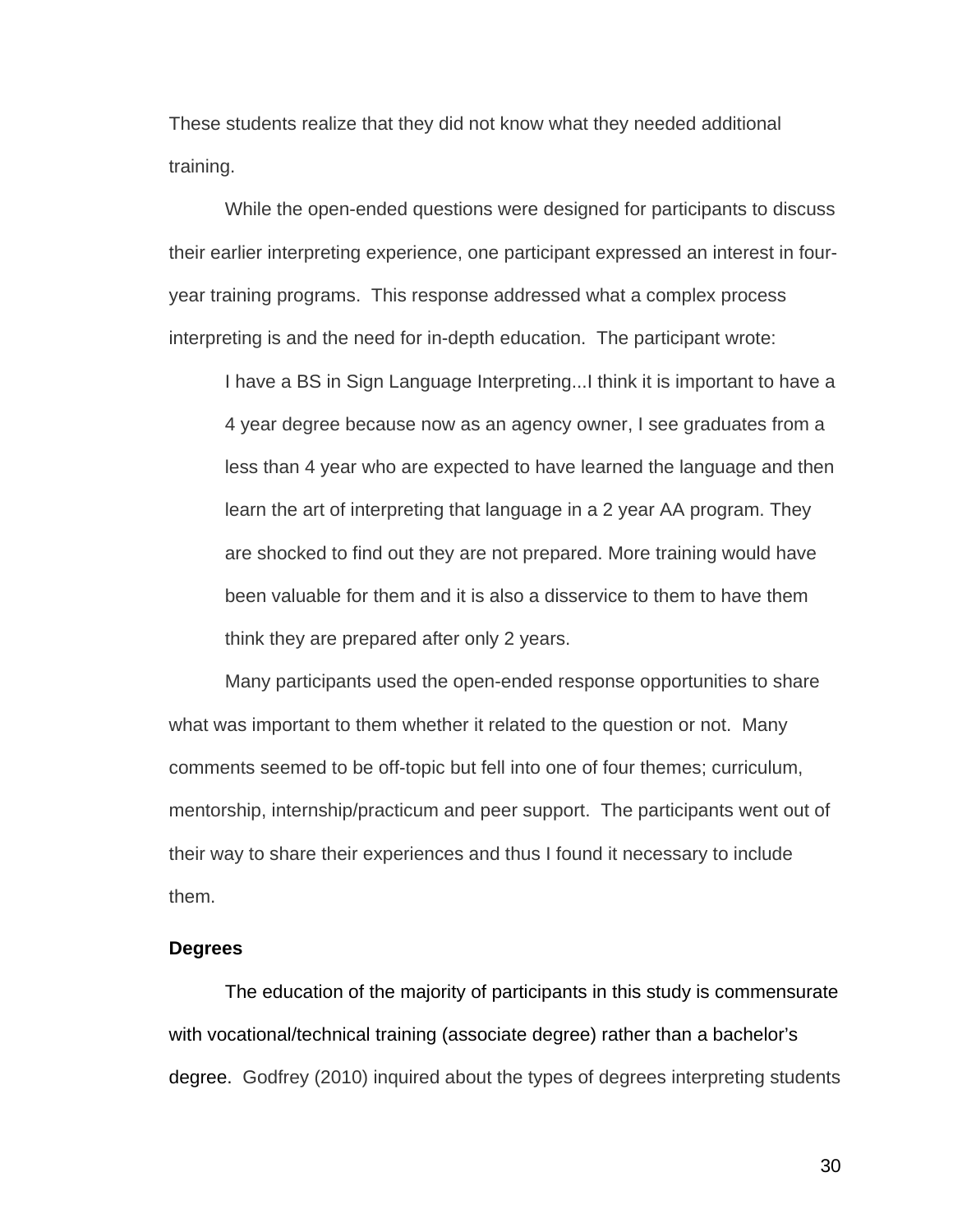These students realize that they did not know what they needed additional training.

While the open-ended questions were designed for participants to discuss their earlier interpreting experience, one participant expressed an interest in fouryear training programs. This response addressed what a complex process interpreting is and the need for in-depth education. The participant wrote:

I have a BS in Sign Language Interpreting...I think it is important to have a 4 year degree because now as an agency owner, I see graduates from a less than 4 year who are expected to have learned the language and then learn the art of interpreting that language in a 2 year AA program. They are shocked to find out they are not prepared. More training would have been valuable for them and it is also a disservice to them to have them think they are prepared after only 2 years.

Many participants used the open-ended response opportunities to share what was important to them whether it related to the question or not. Many comments seemed to be off-topic but fell into one of four themes; curriculum, mentorship, internship/practicum and peer support. The participants went out of their way to share their experiences and thus I found it necessary to include them.

#### **Degrees**

The education of the majority of participants in this study is commensurate with vocational/technical training (associate degree) rather than a bachelor's degree. Godfrey (2010) inquired about the types of degrees interpreting students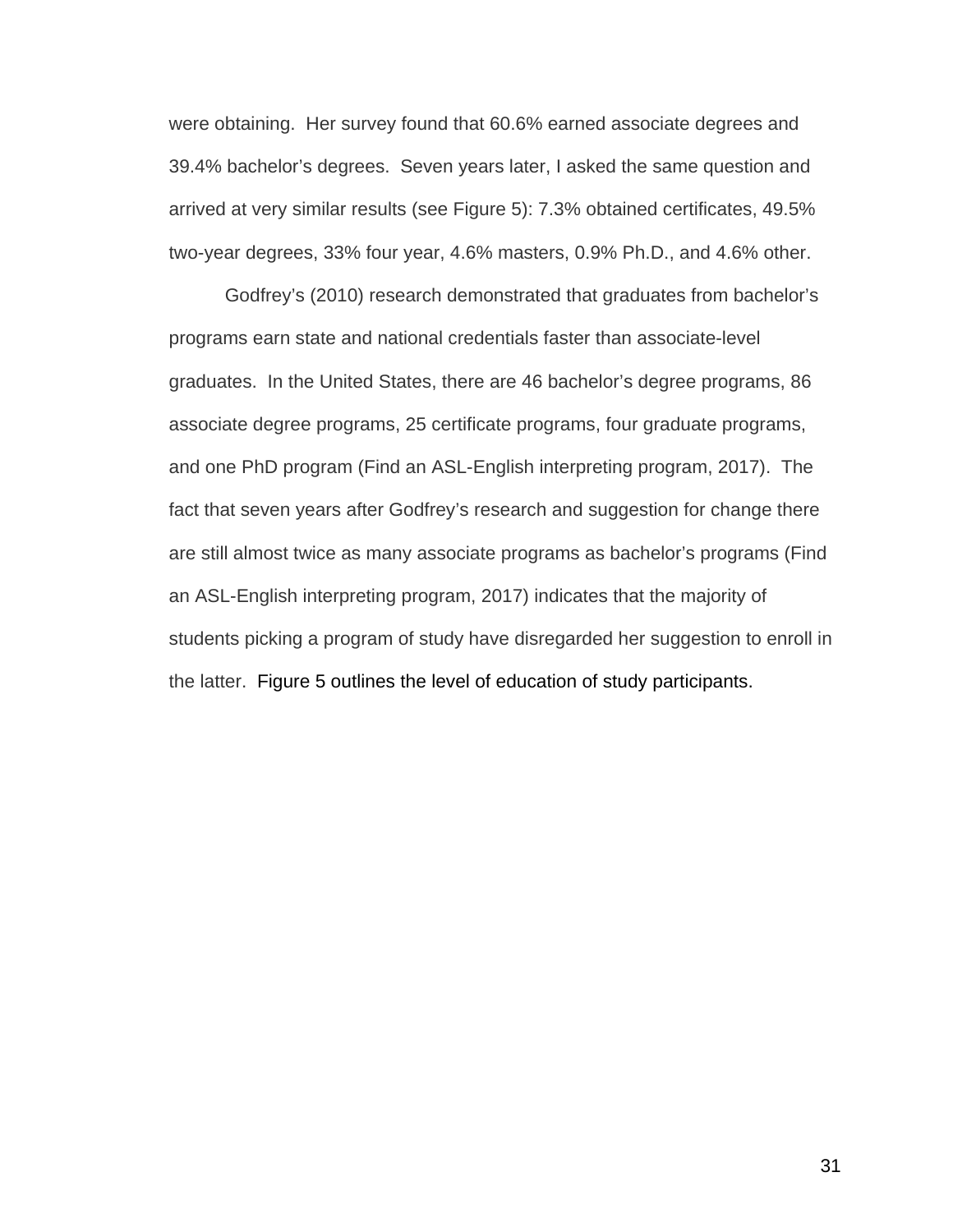were obtaining. Her survey found that 60.6% earned associate degrees and 39.4% bachelor's degrees. Seven years later, I asked the same question and arrived at very similar results (see Figure 5): 7.3% obtained certificates, 49.5% two-year degrees, 33% four year, 4.6% masters, 0.9% Ph.D., and 4.6% other.

Godfrey's (2010) research demonstrated that graduates from bachelor's programs earn state and national credentials faster than associate-level graduates. In the United States, there are 46 bachelor's degree programs, 86 associate degree programs, 25 certificate programs, four graduate programs, and one PhD program (Find an ASL-English interpreting program, 2017). The fact that seven years after Godfrey's research and suggestion for change there are still almost twice as many associate programs as bachelor's programs (Find an ASL-English interpreting program, 2017) indicates that the majority of students picking a program of study have disregarded her suggestion to enroll in the latter. Figure 5 outlines the level of education of study participants.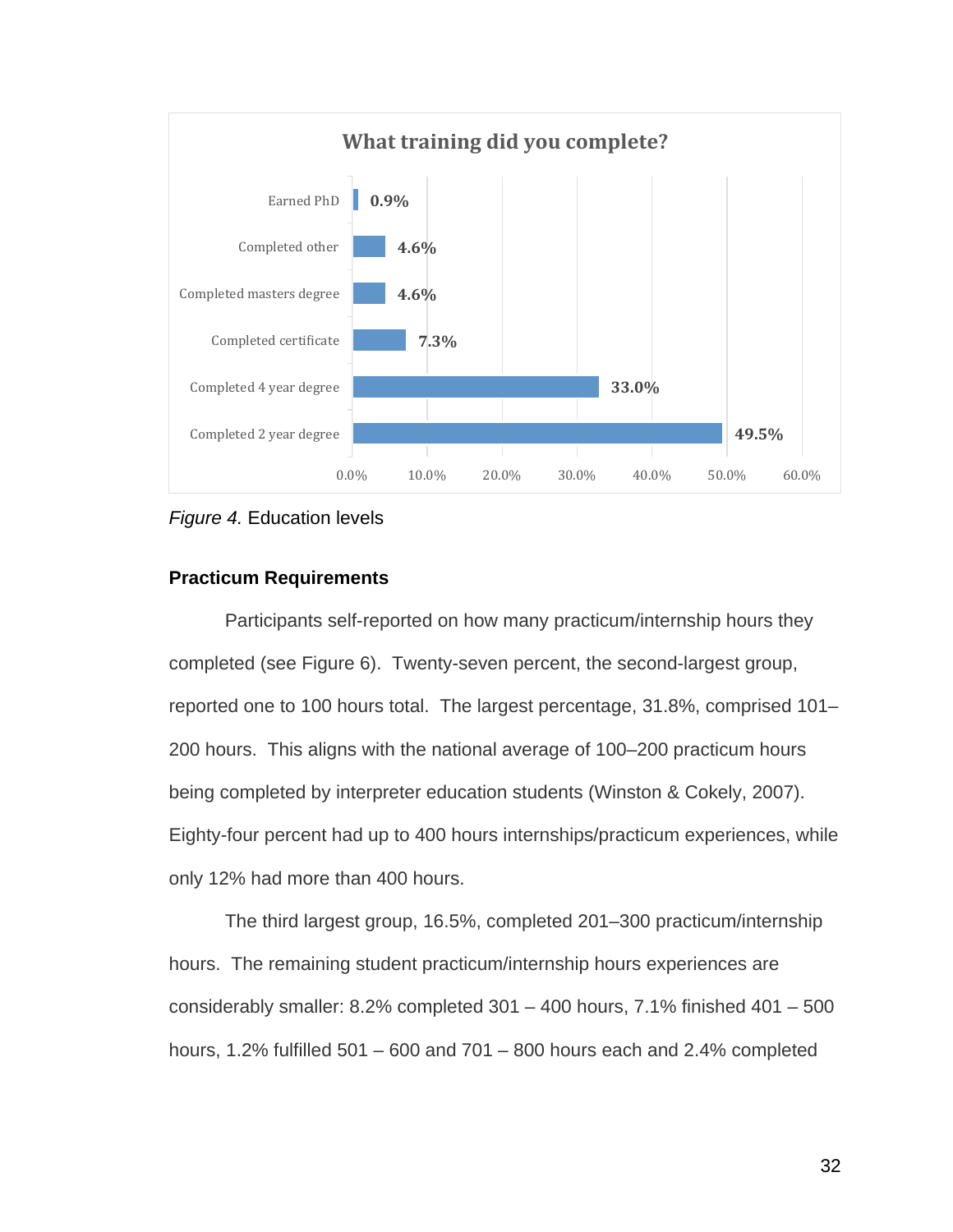



### **Practicum Requirements**

Participants self-reported on how many practicum/internship hours they completed (see Figure 6). Twenty-seven percent, the second-largest group, reported one to 100 hours total. The largest percentage, 31.8%, comprised 101– 200 hours. This aligns with the national average of 100–200 practicum hours being completed by interpreter education students (Winston & Cokely, 2007). Eighty-four percent had up to 400 hours internships/practicum experiences, while only 12% had more than 400 hours.

The third largest group, 16.5%, completed 201–300 practicum/internship hours. The remaining student practicum/internship hours experiences are considerably smaller: 8.2% completed 301 – 400 hours, 7.1% finished 401 – 500 hours, 1.2% fulfilled 501 – 600 and 701 – 800 hours each and 2.4% completed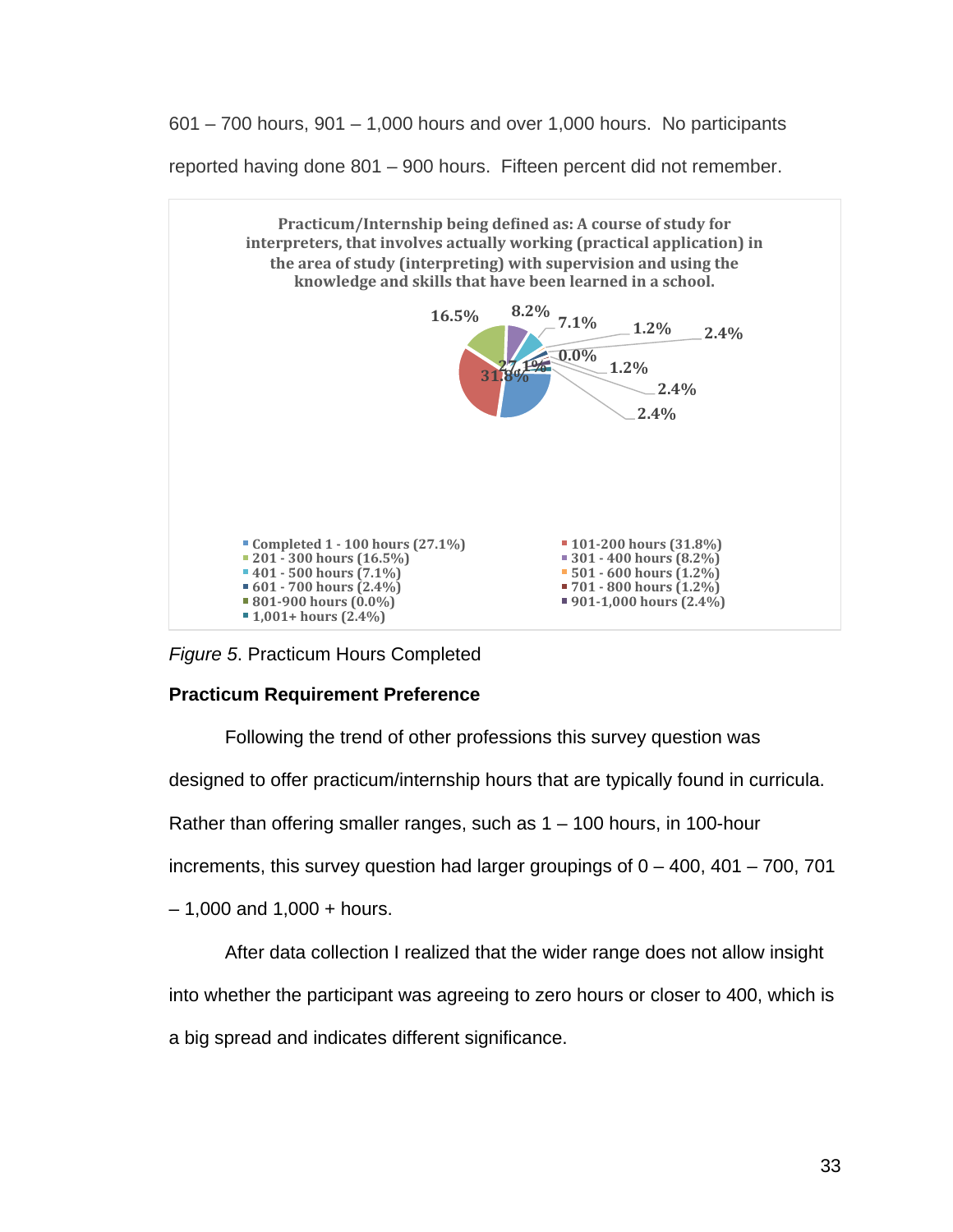601 – 700 hours, 901 – 1,000 hours and over 1,000 hours. No participants

reported having done 801 – 900 hours. Fifteen percent did not remember.



*Figure 5*. Practicum Hours Completed

## **Practicum Requirement Preference**

Following the trend of other professions this survey question was designed to offer practicum/internship hours that are typically found in curricula. Rather than offering smaller ranges, such as  $1 - 100$  hours, in 100-hour increments, this survey question had larger groupings of  $0 - 400$ ,  $401 - 700$ ,  $701$  $-1,000$  and  $1,000 +$  hours.

After data collection I realized that the wider range does not allow insight into whether the participant was agreeing to zero hours or closer to 400, which is a big spread and indicates different significance.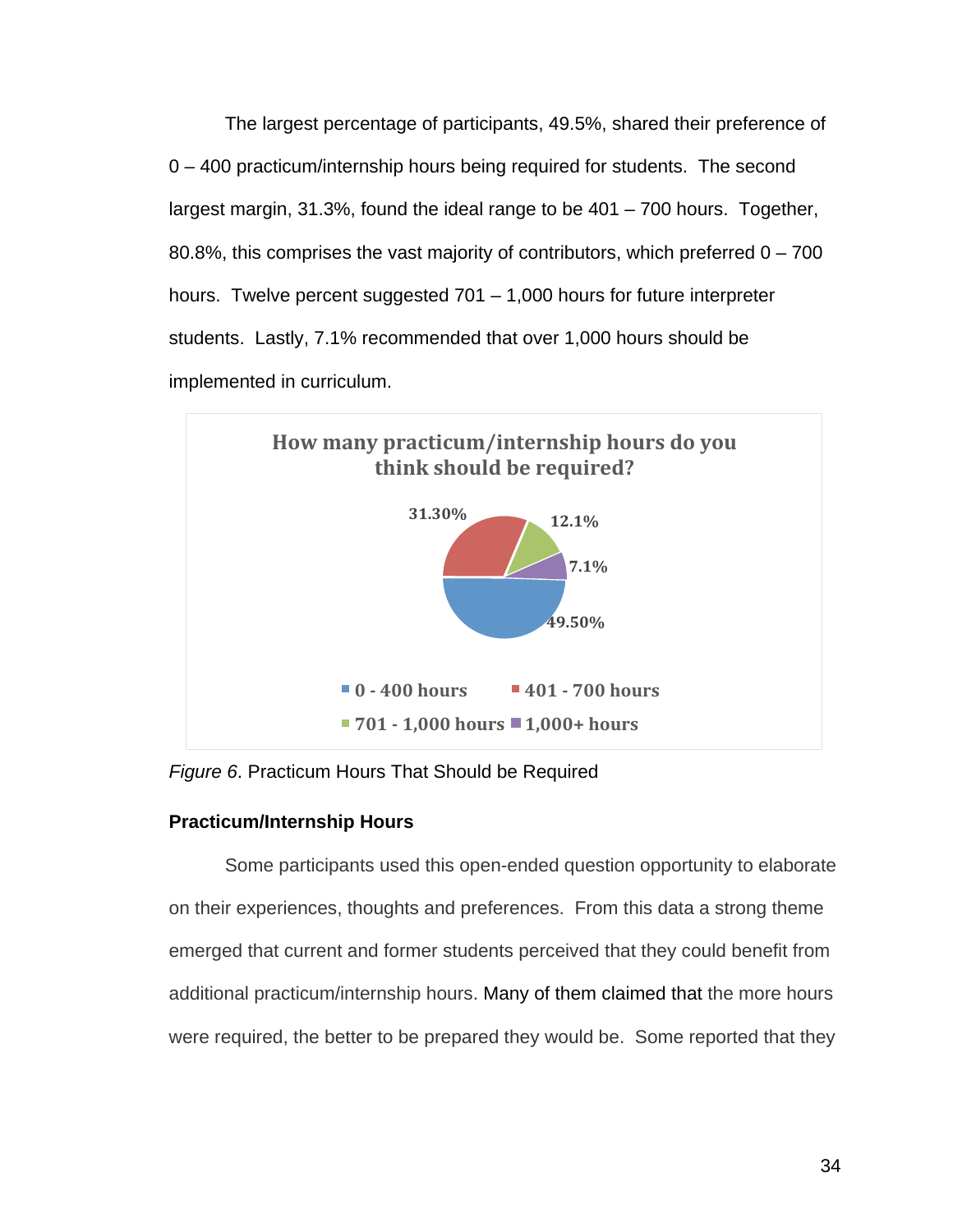The largest percentage of participants, 49.5%, shared their preference of 0 – 400 practicum/internship hours being required for students. The second largest margin, 31.3%, found the ideal range to be 401 – 700 hours. Together, 80.8%, this comprises the vast majority of contributors, which preferred  $0 - 700$ hours. Twelve percent suggested 701 – 1,000 hours for future interpreter students. Lastly, 7.1% recommended that over 1,000 hours should be implemented in curriculum.



*Figure 6*. Practicum Hours That Should be Required

# **Practicum/Internship Hours**

Some participants used this open-ended question opportunity to elaborate on their experiences, thoughts and preferences. From this data a strong theme emerged that current and former students perceived that they could benefit from additional practicum/internship hours. Many of them claimed that the more hours were required, the better to be prepared they would be. Some reported that they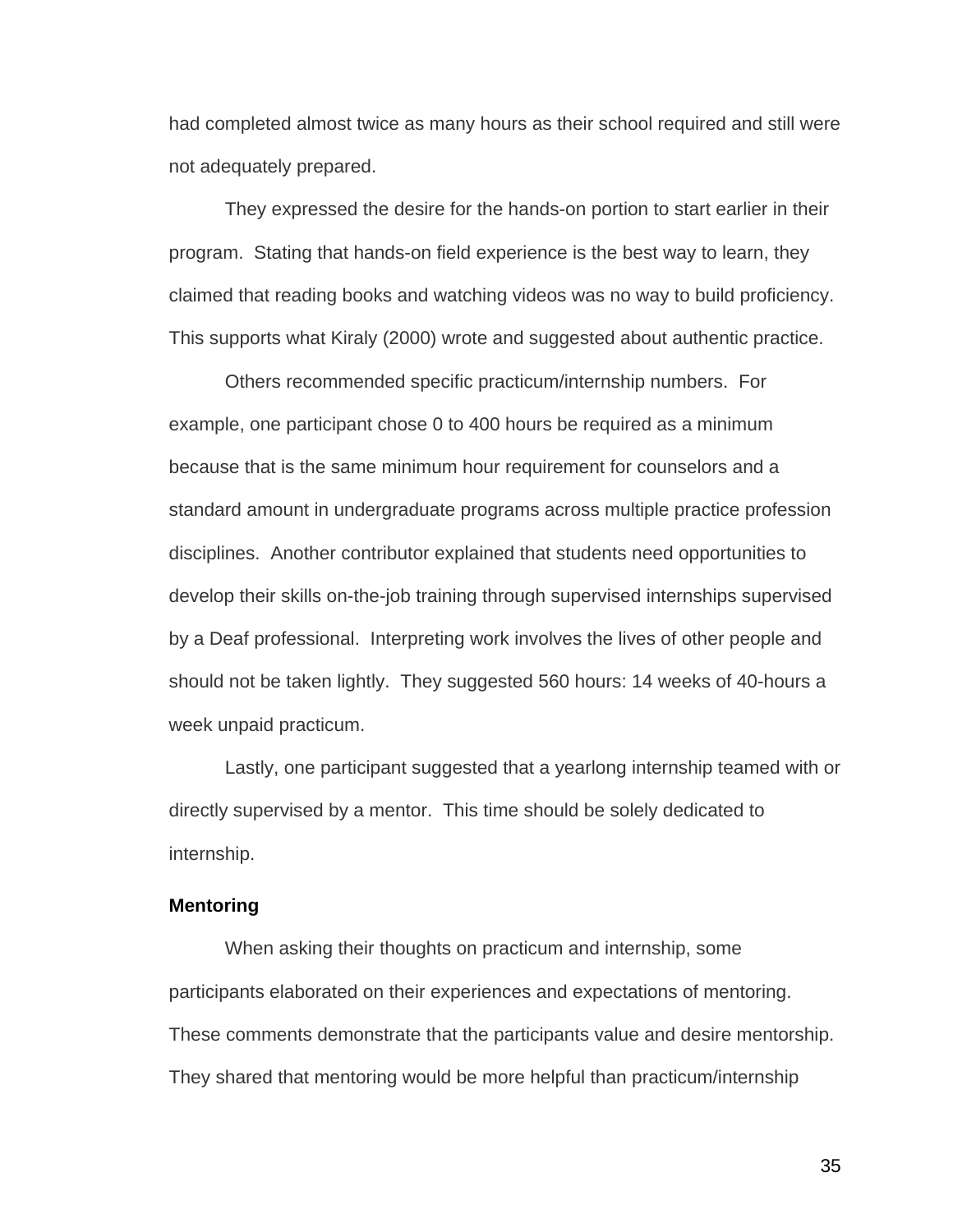had completed almost twice as many hours as their school required and still were not adequately prepared.

They expressed the desire for the hands-on portion to start earlier in their program. Stating that hands-on field experience is the best way to learn, they claimed that reading books and watching videos was no way to build proficiency. This supports what Kiraly (2000) wrote and suggested about authentic practice.

Others recommended specific practicum/internship numbers. For example, one participant chose 0 to 400 hours be required as a minimum because that is the same minimum hour requirement for counselors and a standard amount in undergraduate programs across multiple practice profession disciplines. Another contributor explained that students need opportunities to develop their skills on-the-job training through supervised internships supervised by a Deaf professional. Interpreting work involves the lives of other people and should not be taken lightly. They suggested 560 hours: 14 weeks of 40-hours a week unpaid practicum.

Lastly, one participant suggested that a yearlong internship teamed with or directly supervised by a mentor. This time should be solely dedicated to internship.

#### **Mentoring**

When asking their thoughts on practicum and internship, some participants elaborated on their experiences and expectations of mentoring. These comments demonstrate that the participants value and desire mentorship. They shared that mentoring would be more helpful than practicum/internship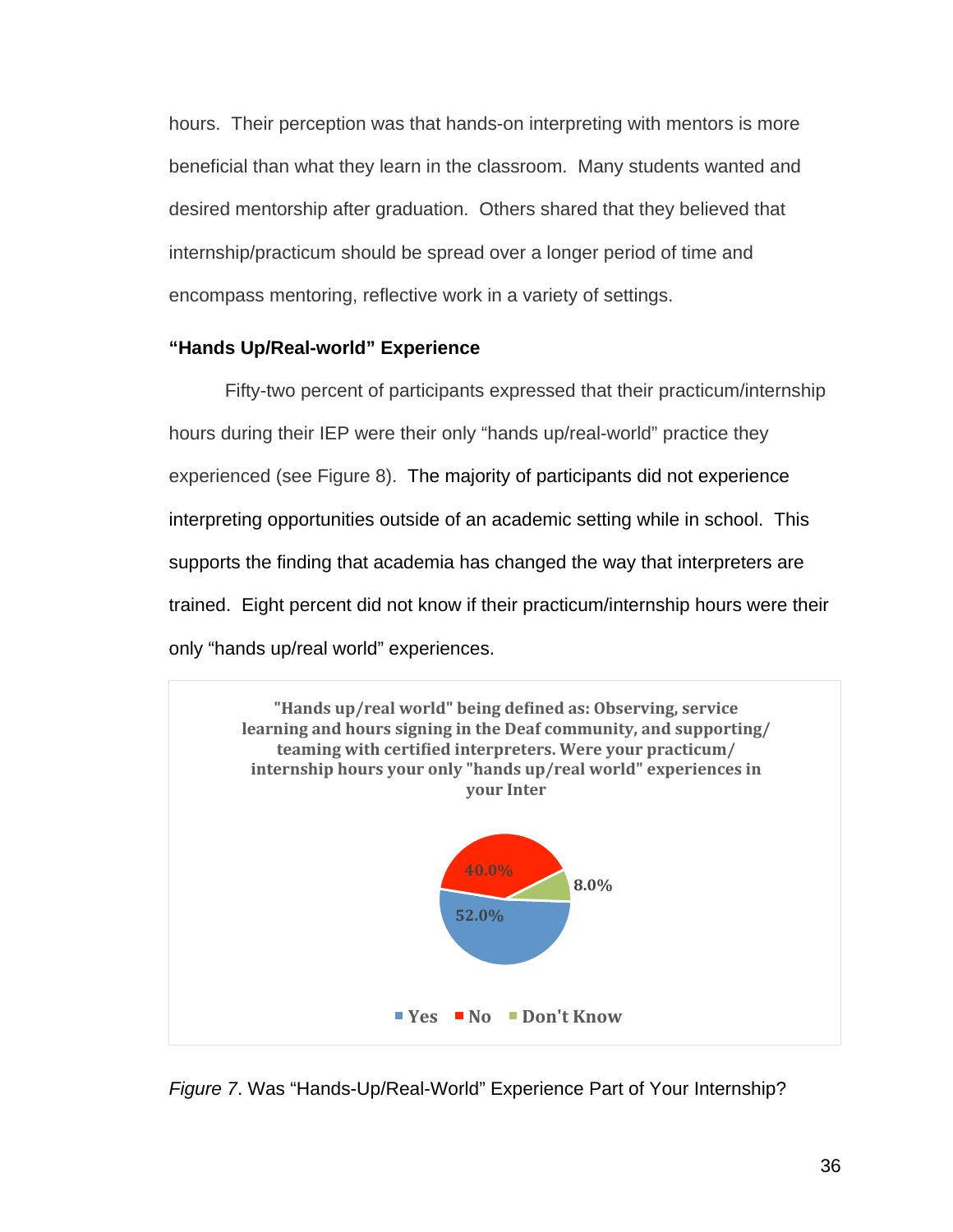hours. Their perception was that hands-on interpreting with mentors is more beneficial than what they learn in the classroom. Many students wanted and desired mentorship after graduation. Others shared that they believed that internship/practicum should be spread over a longer period of time and encompass mentoring, reflective work in a variety of settings.

## **"Hands Up/Real-world" Experience**

Fifty-two percent of participants expressed that their practicum/internship hours during their IEP were their only "hands up/real-world" practice they experienced (see Figure 8). The majority of participants did not experience interpreting opportunities outside of an academic setting while in school. This supports the finding that academia has changed the way that interpreters are trained. Eight percent did not know if their practicum/internship hours were their only "hands up/real world" experiences.



*Figure 7*. Was "Hands-Up/Real-World" Experience Part of Your Internship?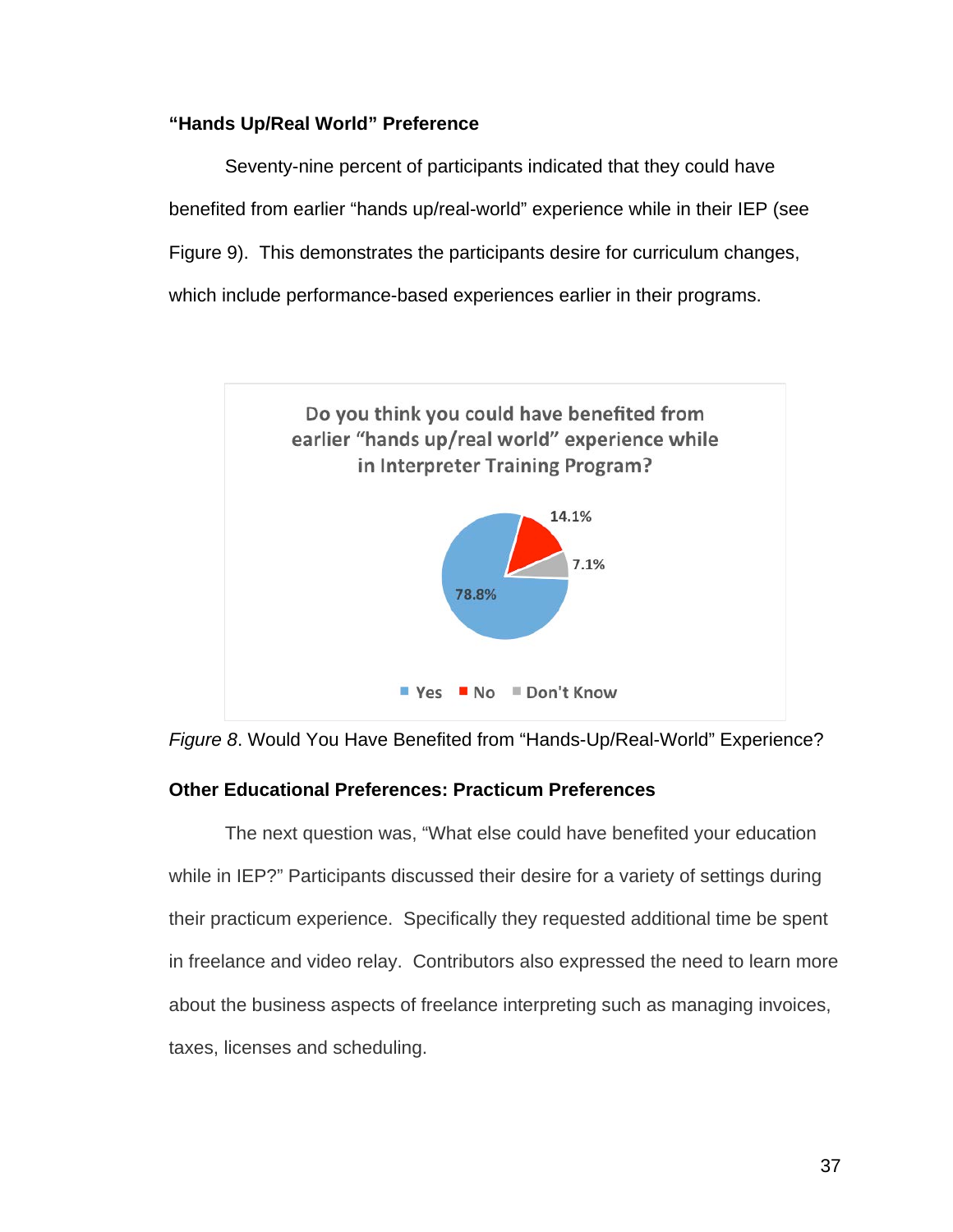### **"Hands Up/Real World" Preference**

Seventy-nine percent of participants indicated that they could have benefited from earlier "hands up/real-world" experience while in their IEP (see Figure 9). This demonstrates the participants desire for curriculum changes, which include performance-based experiences earlier in their programs.



*Figure 8*. Would You Have Benefited from "Hands-Up/Real-World" Experience?

## **Other Educational Preferences: Practicum Preferences**

The next question was, "What else could have benefited your education while in IEP?" Participants discussed their desire for a variety of settings during their practicum experience. Specifically they requested additional time be spent in freelance and video relay. Contributors also expressed the need to learn more about the business aspects of freelance interpreting such as managing invoices, taxes, licenses and scheduling.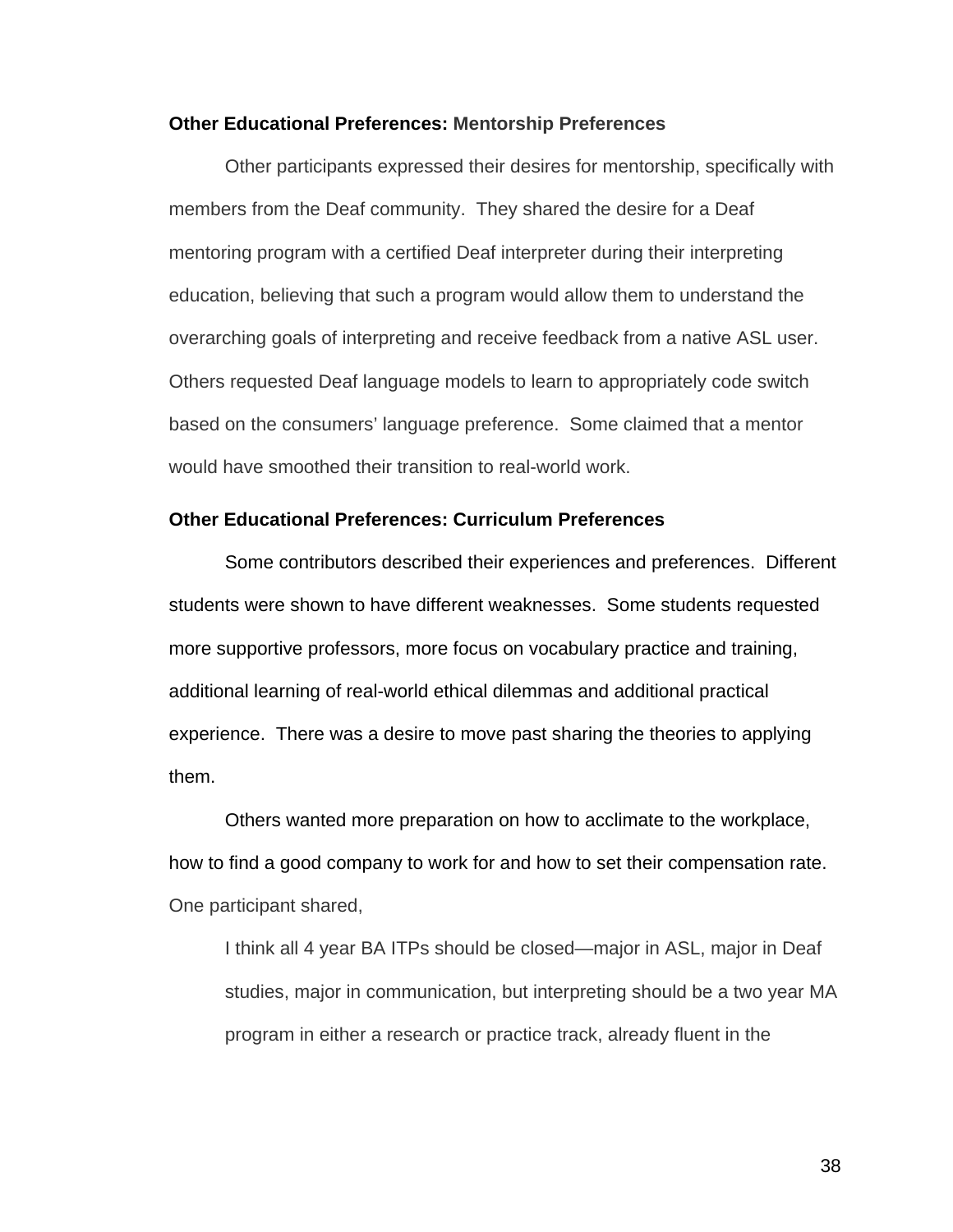#### **Other Educational Preferences: Mentorship Preferences**

Other participants expressed their desires for mentorship, specifically with members from the Deaf community. They shared the desire for a Deaf mentoring program with a certified Deaf interpreter during their interpreting education, believing that such a program would allow them to understand the overarching goals of interpreting and receive feedback from a native ASL user. Others requested Deaf language models to learn to appropriately code switch based on the consumers' language preference. Some claimed that a mentor would have smoothed their transition to real-world work.

#### **Other Educational Preferences: Curriculum Preferences**

Some contributors described their experiences and preferences. Different students were shown to have different weaknesses. Some students requested more supportive professors, more focus on vocabulary practice and training, additional learning of real-world ethical dilemmas and additional practical experience. There was a desire to move past sharing the theories to applying them.

Others wanted more preparation on how to acclimate to the workplace, how to find a good company to work for and how to set their compensation rate. One participant shared,

I think all 4 year BA ITPs should be closed—major in ASL, major in Deaf studies, major in communication, but interpreting should be a two year MA program in either a research or practice track, already fluent in the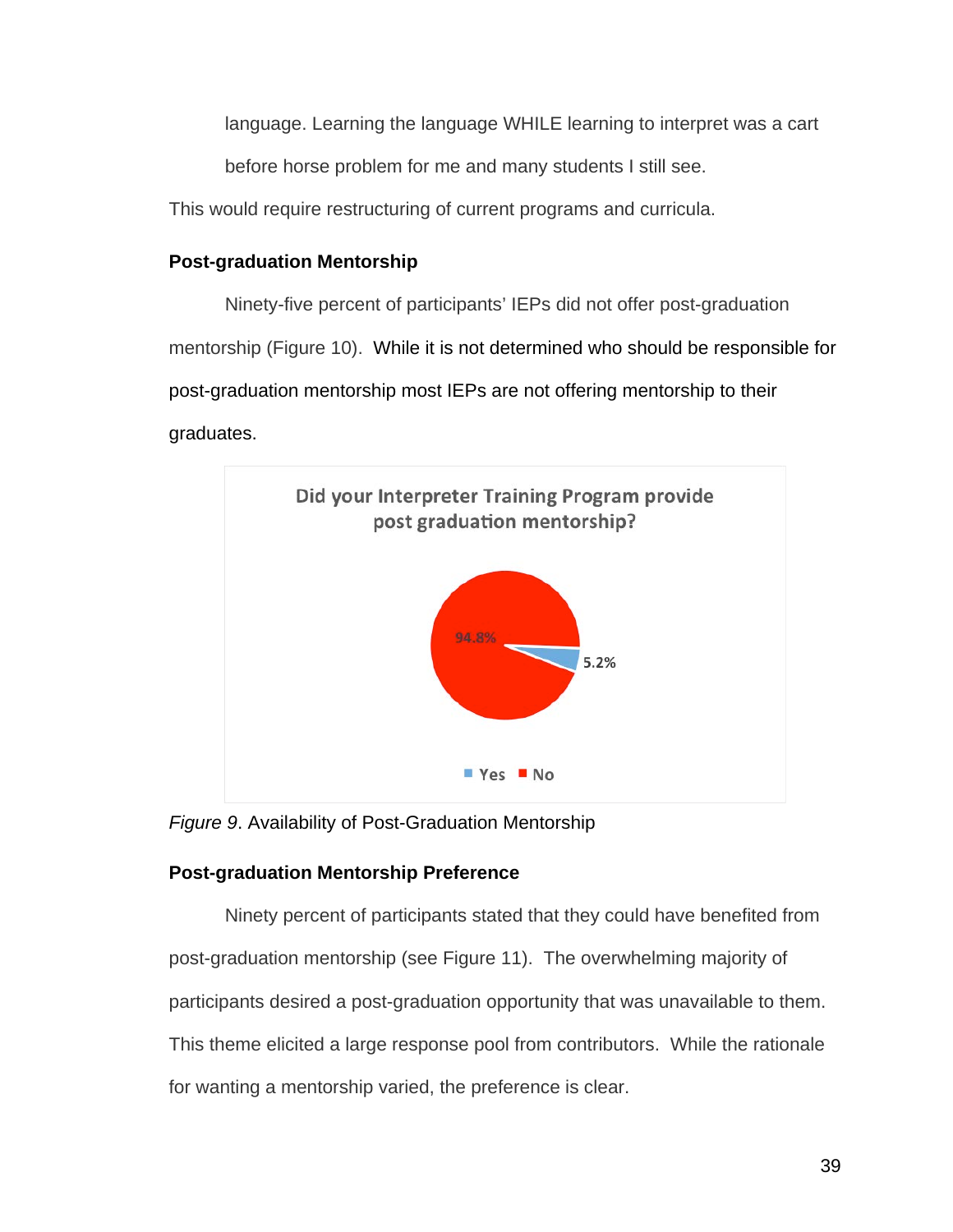language. Learning the language WHILE learning to interpret was a cart

before horse problem for me and many students I still see.

This would require restructuring of current programs and curricula.

# **Post-graduation Mentorship**

Ninety-five percent of participants' IEPs did not offer post-graduation mentorship (Figure 10). While it is not determined who should be responsible for post-graduation mentorship most IEPs are not offering mentorship to their graduates.



*Figure 9*. Availability of Post-Graduation Mentorship

# **Post-graduation Mentorship Preference**

Ninety percent of participants stated that they could have benefited from post-graduation mentorship (see Figure 11). The overwhelming majority of participants desired a post-graduation opportunity that was unavailable to them. This theme elicited a large response pool from contributors. While the rationale for wanting a mentorship varied, the preference is clear.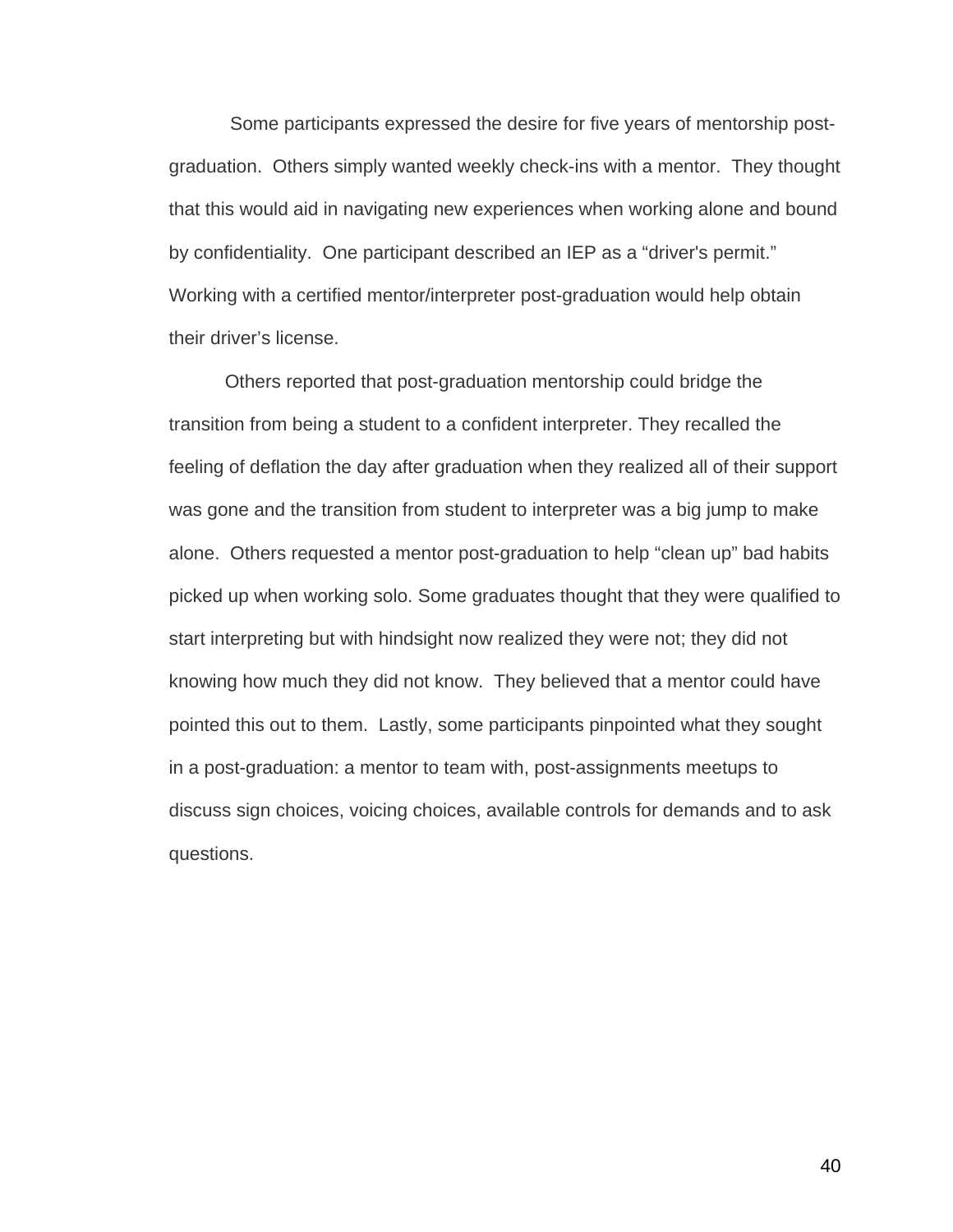Some participants expressed the desire for five years of mentorship postgraduation. Others simply wanted weekly check-ins with a mentor. They thought that this would aid in navigating new experiences when working alone and bound by confidentiality. One participant described an IEP as a "driver's permit." Working with a certified mentor/interpreter post-graduation would help obtain their driver's license.

Others reported that post-graduation mentorship could bridge the transition from being a student to a confident interpreter. They recalled the feeling of deflation the day after graduation when they realized all of their support was gone and the transition from student to interpreter was a big jump to make alone. Others requested a mentor post-graduation to help "clean up" bad habits picked up when working solo. Some graduates thought that they were qualified to start interpreting but with hindsight now realized they were not; they did not knowing how much they did not know. They believed that a mentor could have pointed this out to them. Lastly, some participants pinpointed what they sought in a post-graduation: a mentor to team with, post-assignments meetups to discuss sign choices, voicing choices, available controls for demands and to ask questions.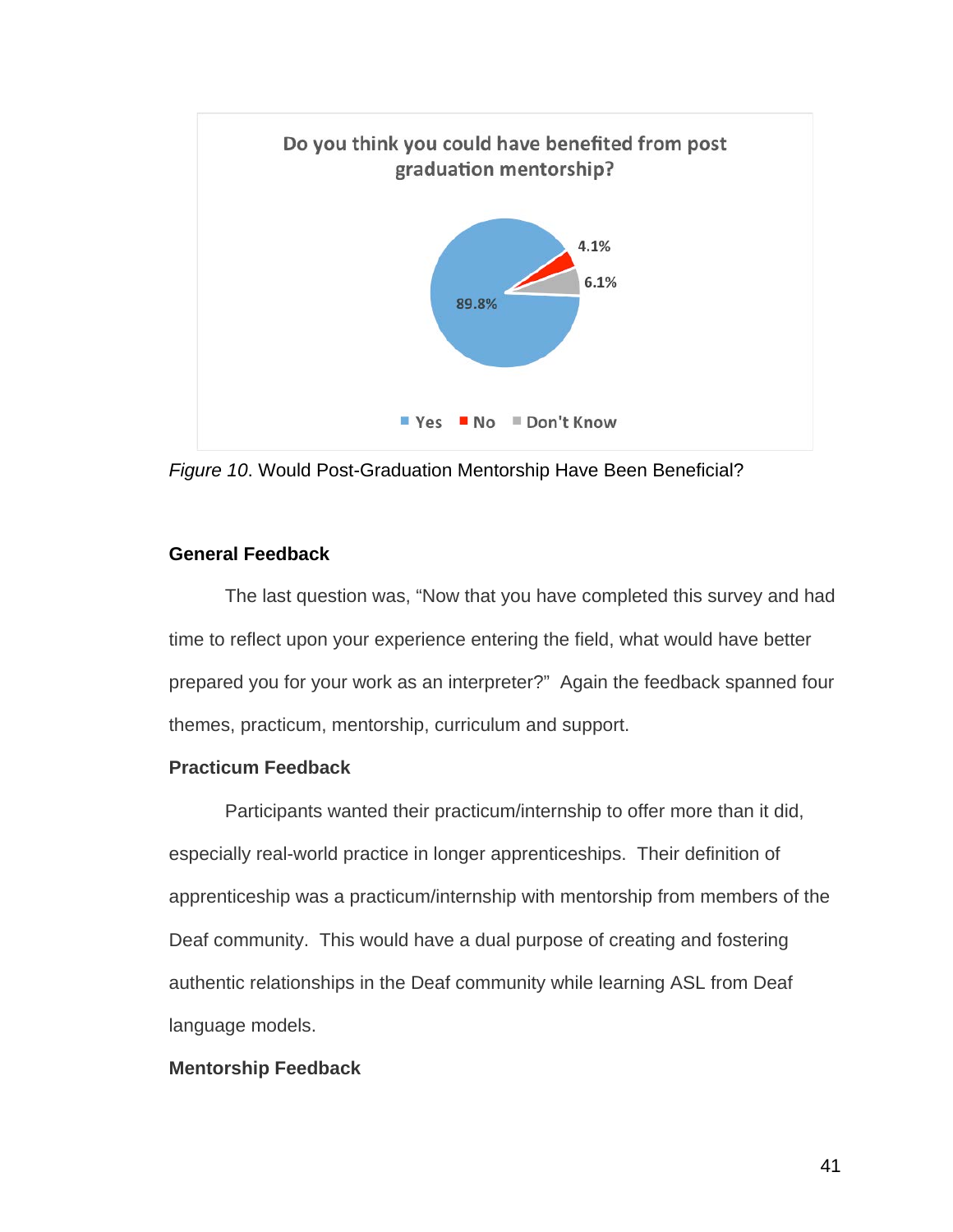

*Figure 10*. Would Post-Graduation Mentorship Have Been Beneficial?

## **General Feedback**

The last question was, "Now that you have completed this survey and had time to reflect upon your experience entering the field, what would have better prepared you for your work as an interpreter?" Again the feedback spanned four themes, practicum, mentorship, curriculum and support.

## **Practicum Feedback**

Participants wanted their practicum/internship to offer more than it did, especially real-world practice in longer apprenticeships. Their definition of apprenticeship was a practicum/internship with mentorship from members of the Deaf community. This would have a dual purpose of creating and fostering authentic relationships in the Deaf community while learning ASL from Deaf language models.

## **Mentorship Feedback**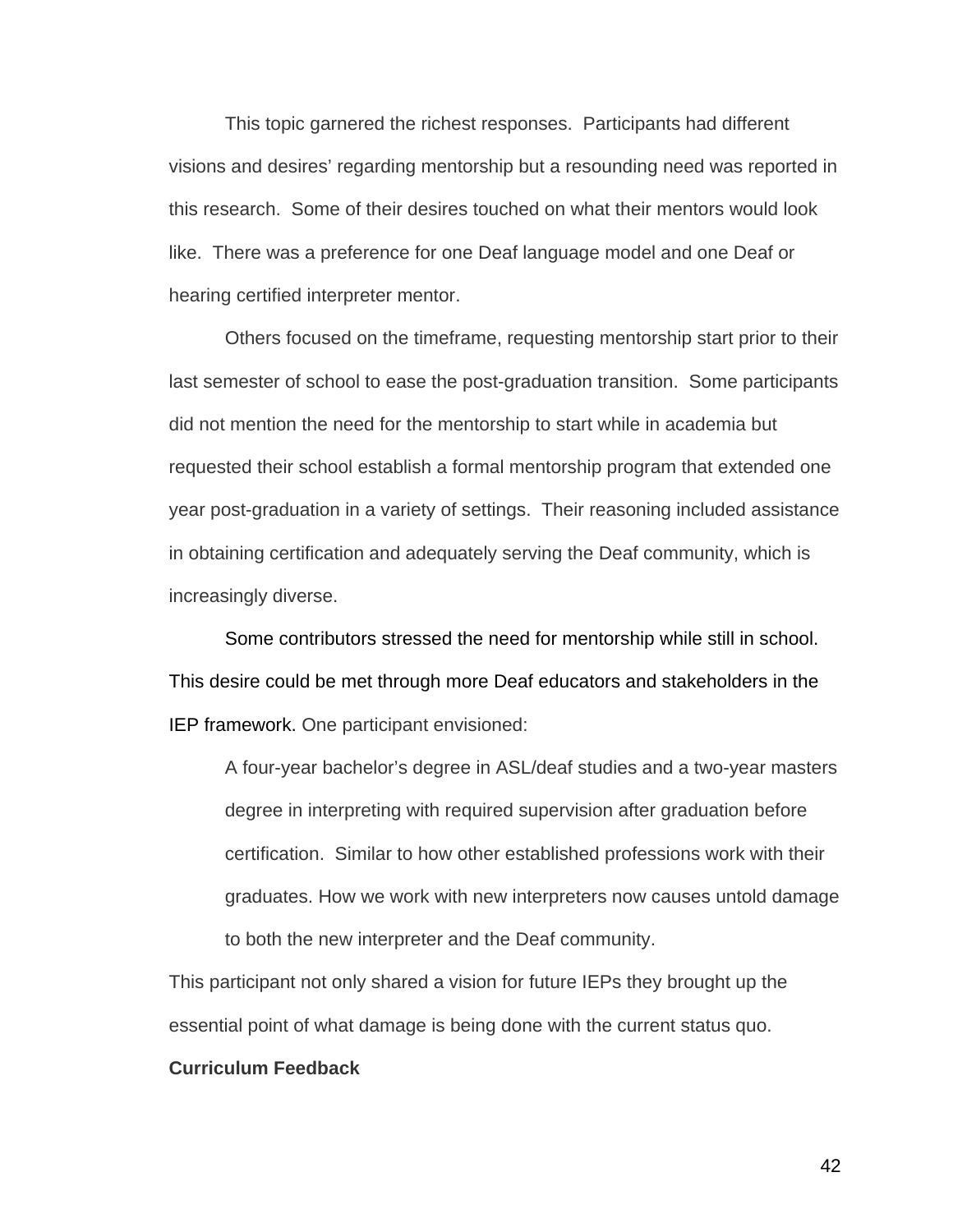This topic garnered the richest responses. Participants had different visions and desires' regarding mentorship but a resounding need was reported in this research. Some of their desires touched on what their mentors would look like. There was a preference for one Deaf language model and one Deaf or hearing certified interpreter mentor.

Others focused on the timeframe, requesting mentorship start prior to their last semester of school to ease the post-graduation transition. Some participants did not mention the need for the mentorship to start while in academia but requested their school establish a formal mentorship program that extended one year post-graduation in a variety of settings. Their reasoning included assistance in obtaining certification and adequately serving the Deaf community, which is increasingly diverse.

Some contributors stressed the need for mentorship while still in school. This desire could be met through more Deaf educators and stakeholders in the IEP framework. One participant envisioned:

A four-year bachelor's degree in ASL/deaf studies and a two-year masters degree in interpreting with required supervision after graduation before certification. Similar to how other established professions work with their graduates. How we work with new interpreters now causes untold damage to both the new interpreter and the Deaf community.

This participant not only shared a vision for future IEPs they brought up the essential point of what damage is being done with the current status quo.

#### **Curriculum Feedback**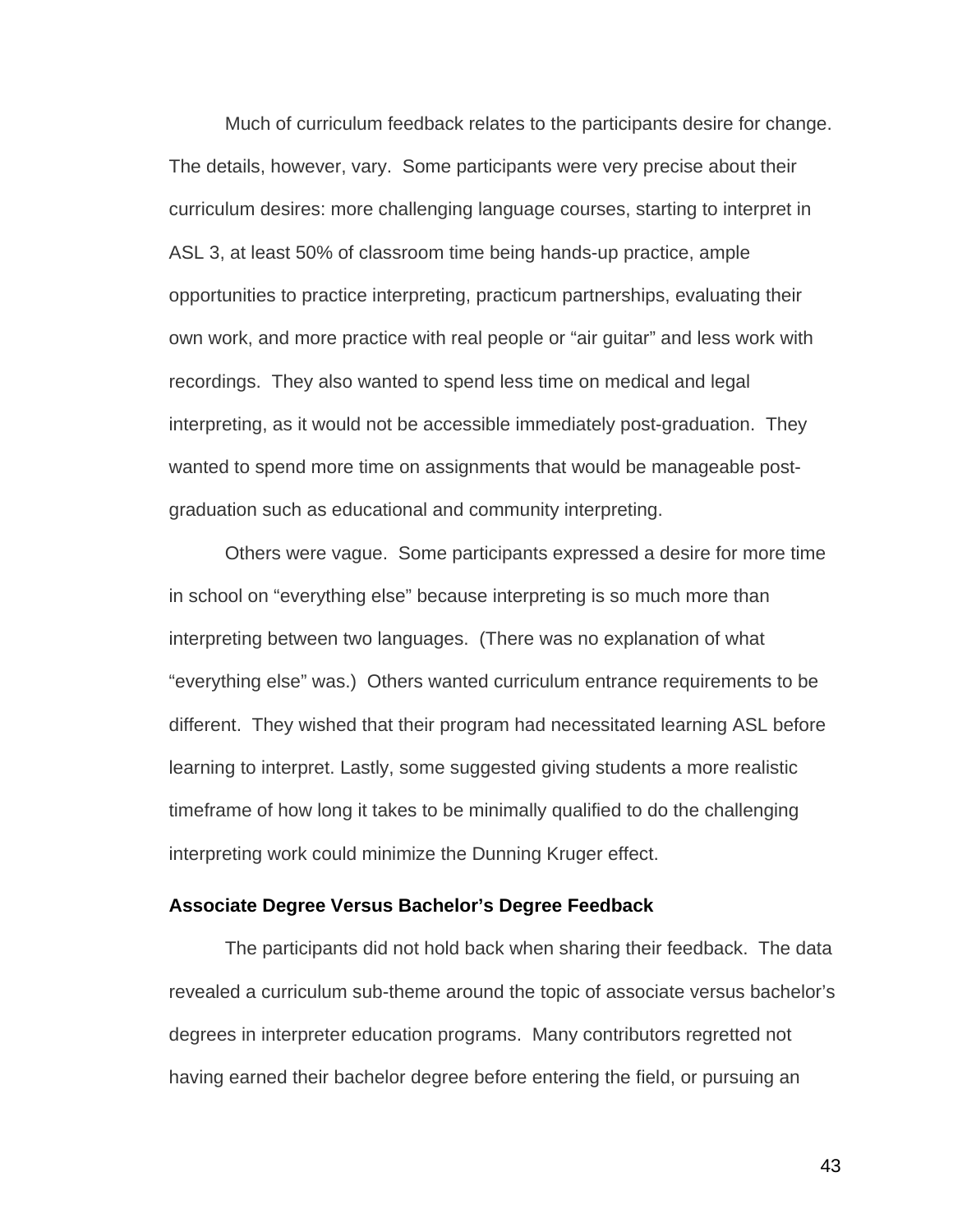Much of curriculum feedback relates to the participants desire for change. The details, however, vary. Some participants were very precise about their curriculum desires: more challenging language courses, starting to interpret in ASL 3, at least 50% of classroom time being hands-up practice, ample opportunities to practice interpreting, practicum partnerships, evaluating their own work, and more practice with real people or "air guitar" and less work with recordings. They also wanted to spend less time on medical and legal interpreting, as it would not be accessible immediately post-graduation. They wanted to spend more time on assignments that would be manageable postgraduation such as educational and community interpreting.

Others were vague. Some participants expressed a desire for more time in school on "everything else" because interpreting is so much more than interpreting between two languages. (There was no explanation of what "everything else" was.) Others wanted curriculum entrance requirements to be different. They wished that their program had necessitated learning ASL before learning to interpret. Lastly, some suggested giving students a more realistic timeframe of how long it takes to be minimally qualified to do the challenging interpreting work could minimize the Dunning Kruger effect.

#### **Associate Degree Versus Bachelor's Degree Feedback**

The participants did not hold back when sharing their feedback. The data revealed a curriculum sub-theme around the topic of associate versus bachelor's degrees in interpreter education programs. Many contributors regretted not having earned their bachelor degree before entering the field, or pursuing an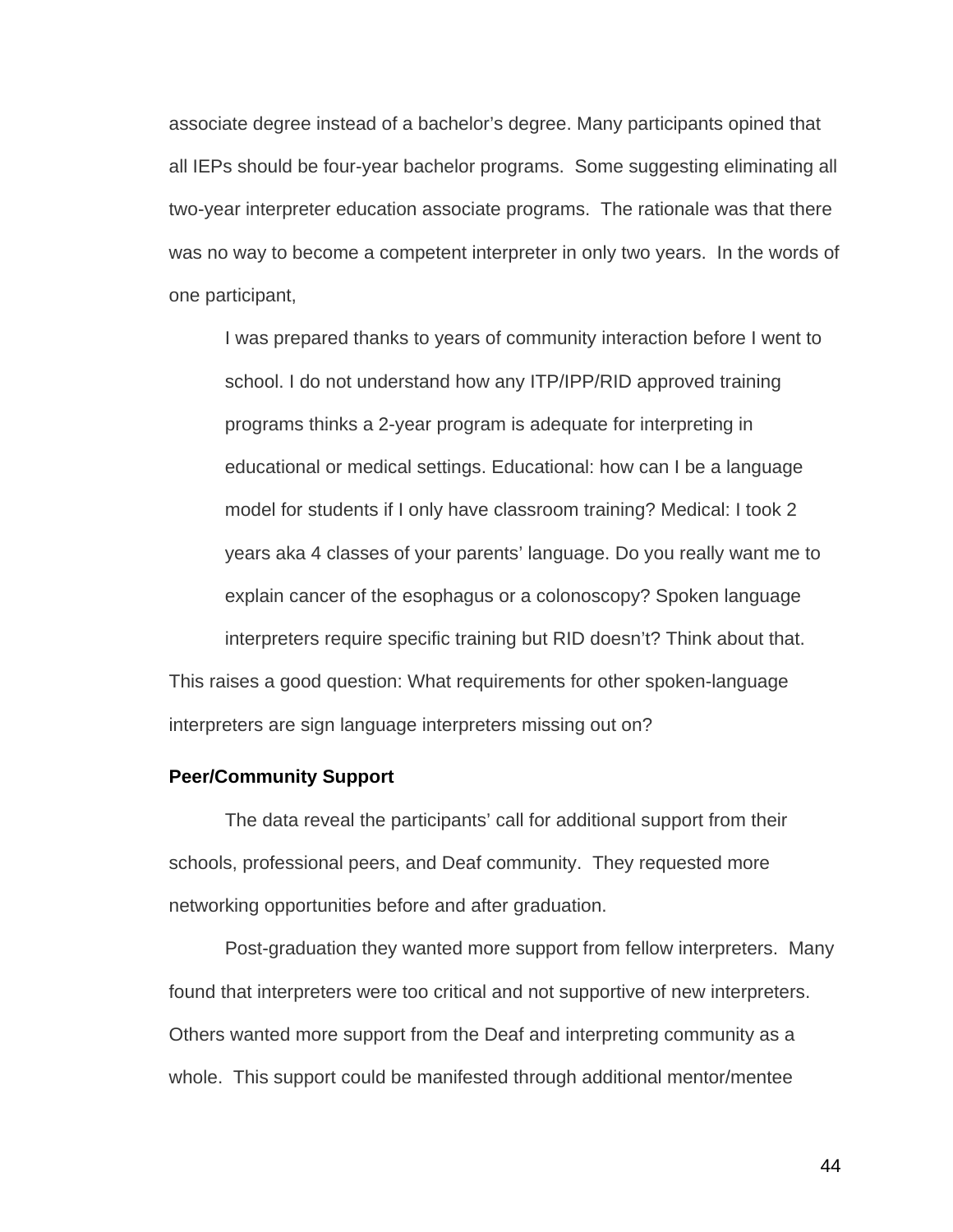associate degree instead of a bachelor's degree. Many participants opined that all IEPs should be four-year bachelor programs. Some suggesting eliminating all two-year interpreter education associate programs. The rationale was that there was no way to become a competent interpreter in only two years. In the words of one participant,

I was prepared thanks to years of community interaction before I went to school. I do not understand how any ITP/IPP/RID approved training programs thinks a 2-year program is adequate for interpreting in educational or medical settings. Educational: how can I be a language model for students if I only have classroom training? Medical: I took 2 years aka 4 classes of your parents' language. Do you really want me to explain cancer of the esophagus or a colonoscopy? Spoken language interpreters require specific training but RID doesn't? Think about that. This raises a good question: What requirements for other spoken-language

# **Peer/Community Support**

The data reveal the participants' call for additional support from their schools, professional peers, and Deaf community. They requested more networking opportunities before and after graduation.

interpreters are sign language interpreters missing out on?

Post-graduation they wanted more support from fellow interpreters. Many found that interpreters were too critical and not supportive of new interpreters. Others wanted more support from the Deaf and interpreting community as a whole. This support could be manifested through additional mentor/mentee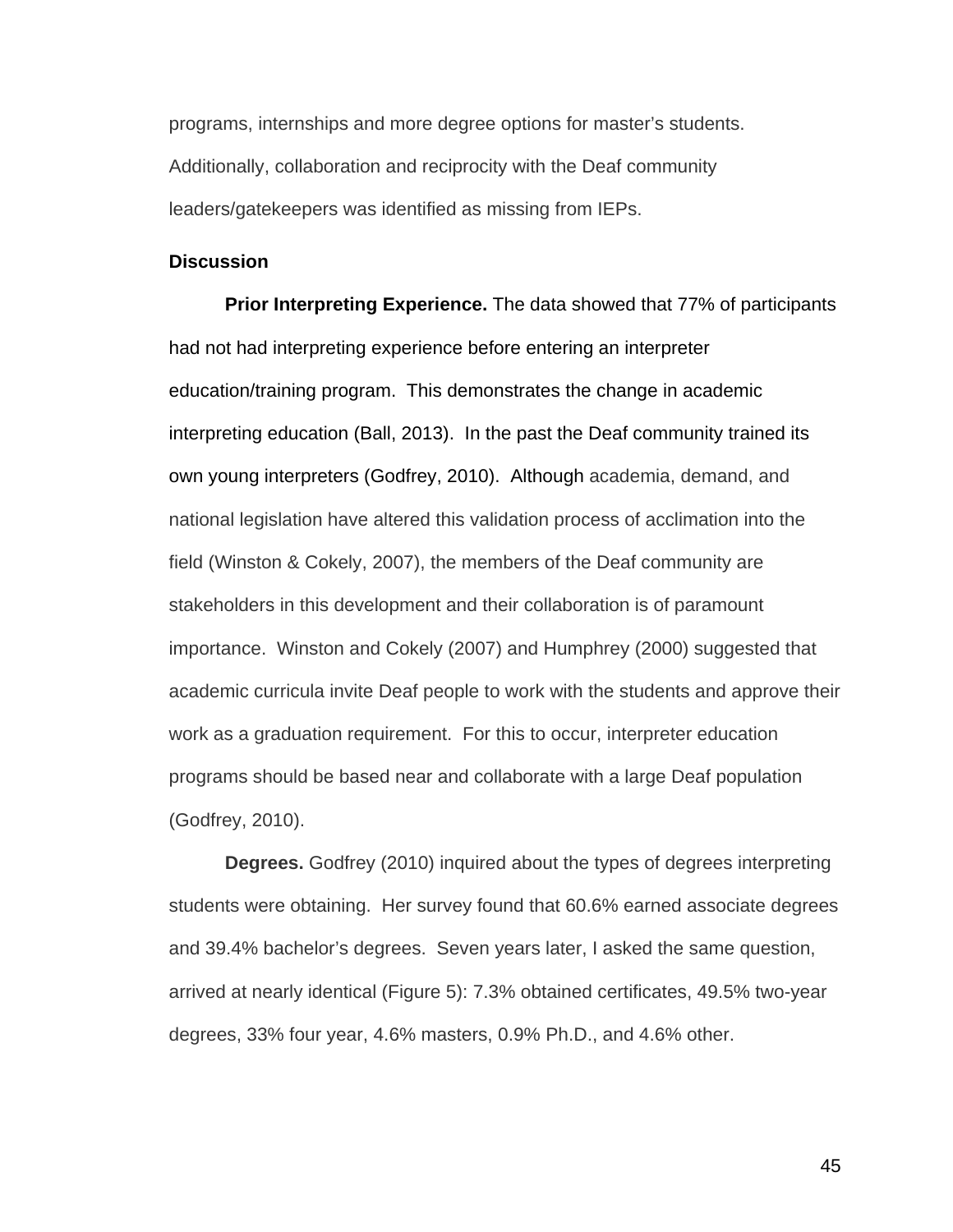programs, internships and more degree options for master's students. Additionally, collaboration and reciprocity with the Deaf community leaders/gatekeepers was identified as missing from IEPs.

#### **Discussion**

**Prior Interpreting Experience.** The data showed that 77% of participants had not had interpreting experience before entering an interpreter education/training program. This demonstrates the change in academic interpreting education (Ball, 2013). In the past the Deaf community trained its own young interpreters (Godfrey, 2010). Although academia, demand, and national legislation have altered this validation process of acclimation into the field (Winston & Cokely, 2007), the members of the Deaf community are stakeholders in this development and their collaboration is of paramount importance. Winston and Cokely (2007) and Humphrey (2000) suggested that academic curricula invite Deaf people to work with the students and approve their work as a graduation requirement. For this to occur, interpreter education programs should be based near and collaborate with a large Deaf population (Godfrey, 2010).

**Degrees.** Godfrey (2010) inquired about the types of degrees interpreting students were obtaining. Her survey found that 60.6% earned associate degrees and 39.4% bachelor's degrees. Seven years later, I asked the same question, arrived at nearly identical (Figure 5): 7.3% obtained certificates, 49.5% two-year degrees, 33% four year, 4.6% masters, 0.9% Ph.D., and 4.6% other.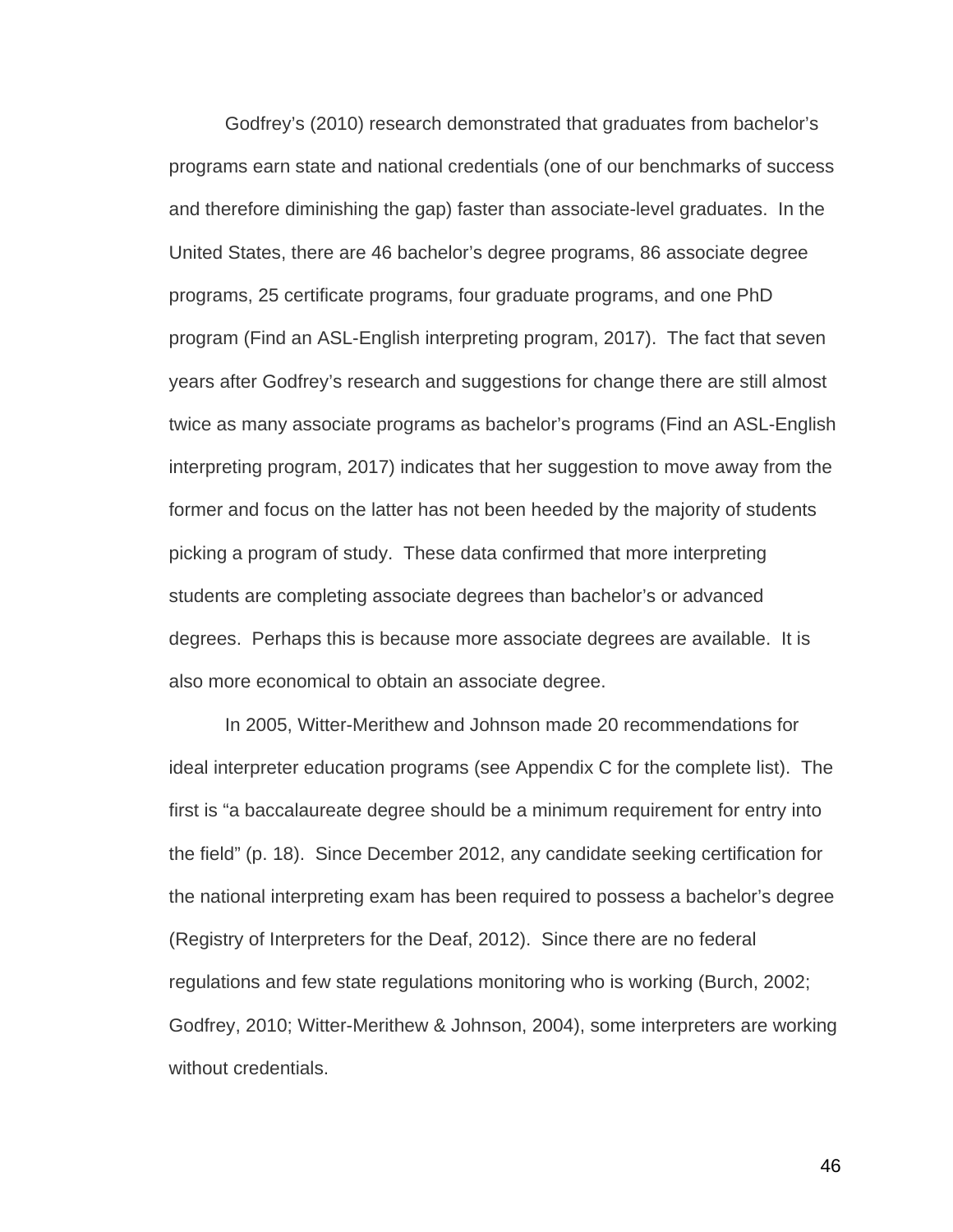Godfrey's (2010) research demonstrated that graduates from bachelor's programs earn state and national credentials (one of our benchmarks of success and therefore diminishing the gap) faster than associate-level graduates. In the United States, there are 46 bachelor's degree programs, 86 associate degree programs, 25 certificate programs, four graduate programs, and one PhD program (Find an ASL-English interpreting program, 2017). The fact that seven years after Godfrey's research and suggestions for change there are still almost twice as many associate programs as bachelor's programs (Find an ASL-English interpreting program, 2017) indicates that her suggestion to move away from the former and focus on the latter has not been heeded by the majority of students picking a program of study. These data confirmed that more interpreting students are completing associate degrees than bachelor's or advanced degrees. Perhaps this is because more associate degrees are available. It is also more economical to obtain an associate degree.

In 2005, Witter-Merithew and Johnson made 20 recommendations for ideal interpreter education programs (see Appendix C for the complete list). The first is "a baccalaureate degree should be a minimum requirement for entry into the field" (p. 18). Since December 2012, any candidate seeking certification for the national interpreting exam has been required to possess a bachelor's degree (Registry of Interpreters for the Deaf, 2012). Since there are no federal regulations and few state regulations monitoring who is working (Burch, 2002; Godfrey, 2010; Witter-Merithew & Johnson, 2004), some interpreters are working without credentials.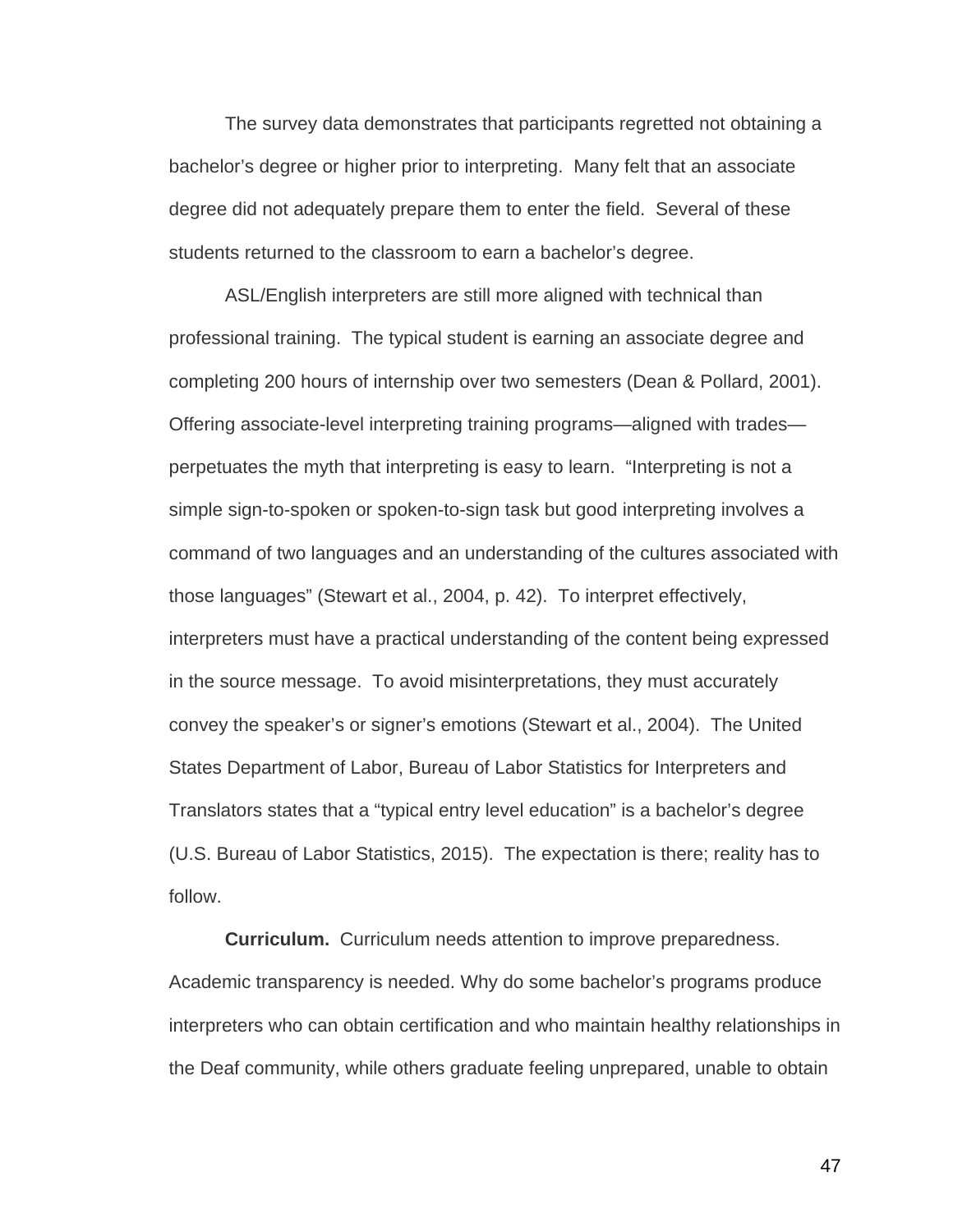The survey data demonstrates that participants regretted not obtaining a bachelor's degree or higher prior to interpreting. Many felt that an associate degree did not adequately prepare them to enter the field. Several of these students returned to the classroom to earn a bachelor's degree.

ASL/English interpreters are still more aligned with technical than professional training. The typical student is earning an associate degree and completing 200 hours of internship over two semesters (Dean & Pollard, 2001). Offering associate-level interpreting training programs—aligned with trades perpetuates the myth that interpreting is easy to learn. "Interpreting is not a simple sign-to-spoken or spoken-to-sign task but good interpreting involves a command of two languages and an understanding of the cultures associated with those languages" (Stewart et al., 2004, p. 42). To interpret effectively, interpreters must have a practical understanding of the content being expressed in the source message. To avoid misinterpretations, they must accurately convey the speaker's or signer's emotions (Stewart et al., 2004). The United States Department of Labor, Bureau of Labor Statistics for Interpreters and Translators states that a "typical entry level education" is a bachelor's degree (U.S. Bureau of Labor Statistics, 2015). The expectation is there; reality has to follow.

**Curriculum.** Curriculum needs attention to improve preparedness. Academic transparency is needed. Why do some bachelor's programs produce interpreters who can obtain certification and who maintain healthy relationships in the Deaf community, while others graduate feeling unprepared, unable to obtain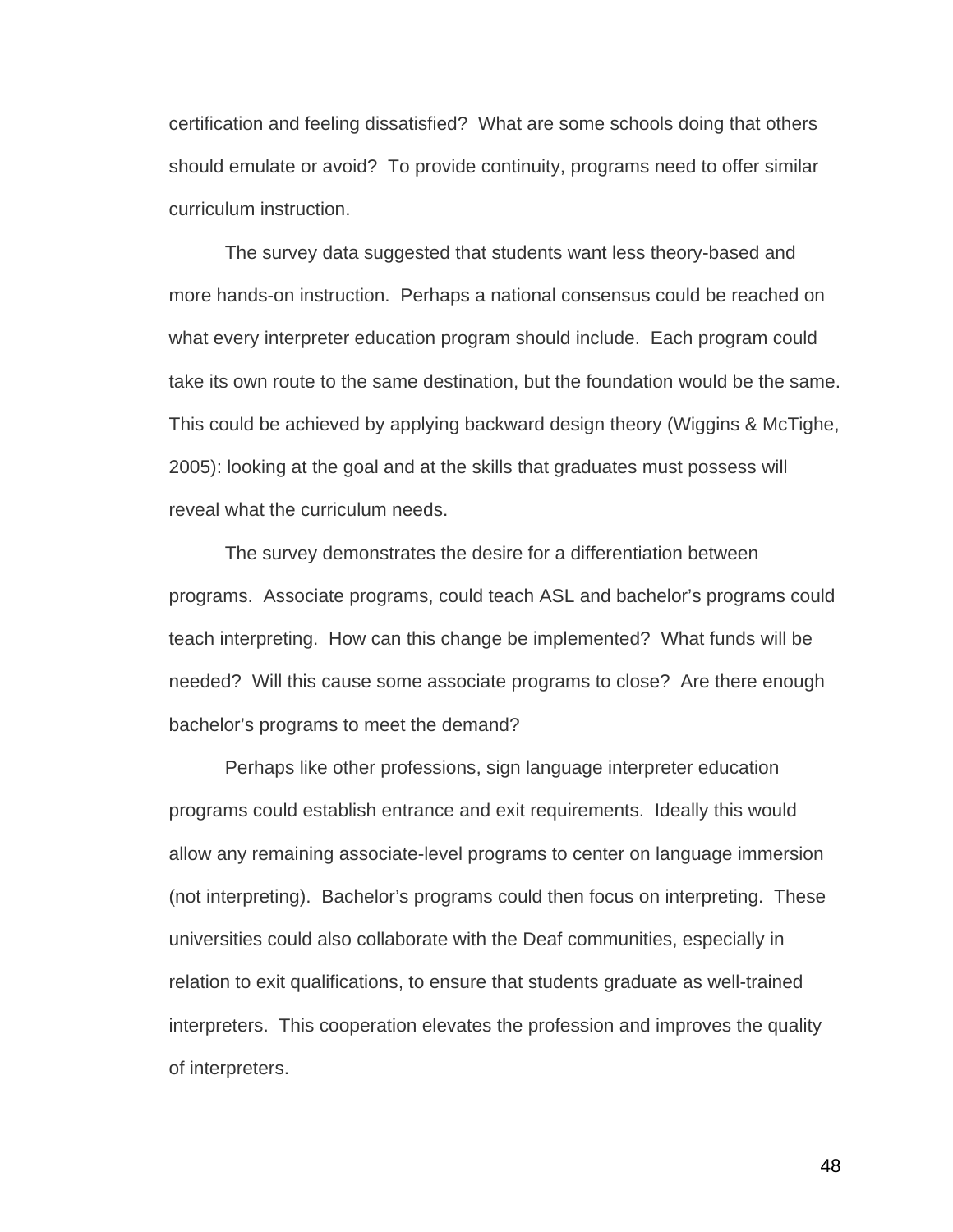certification and feeling dissatisfied? What are some schools doing that others should emulate or avoid? To provide continuity, programs need to offer similar curriculum instruction.

The survey data suggested that students want less theory-based and more hands-on instruction. Perhaps a national consensus could be reached on what every interpreter education program should include. Each program could take its own route to the same destination, but the foundation would be the same. This could be achieved by applying backward design theory (Wiggins & McTighe, 2005): looking at the goal and at the skills that graduates must possess will reveal what the curriculum needs.

The survey demonstrates the desire for a differentiation between programs. Associate programs, could teach ASL and bachelor's programs could teach interpreting. How can this change be implemented? What funds will be needed? Will this cause some associate programs to close? Are there enough bachelor's programs to meet the demand?

Perhaps like other professions, sign language interpreter education programs could establish entrance and exit requirements. Ideally this would allow any remaining associate-level programs to center on language immersion (not interpreting). Bachelor's programs could then focus on interpreting. These universities could also collaborate with the Deaf communities, especially in relation to exit qualifications, to ensure that students graduate as well-trained interpreters. This cooperation elevates the profession and improves the quality of interpreters.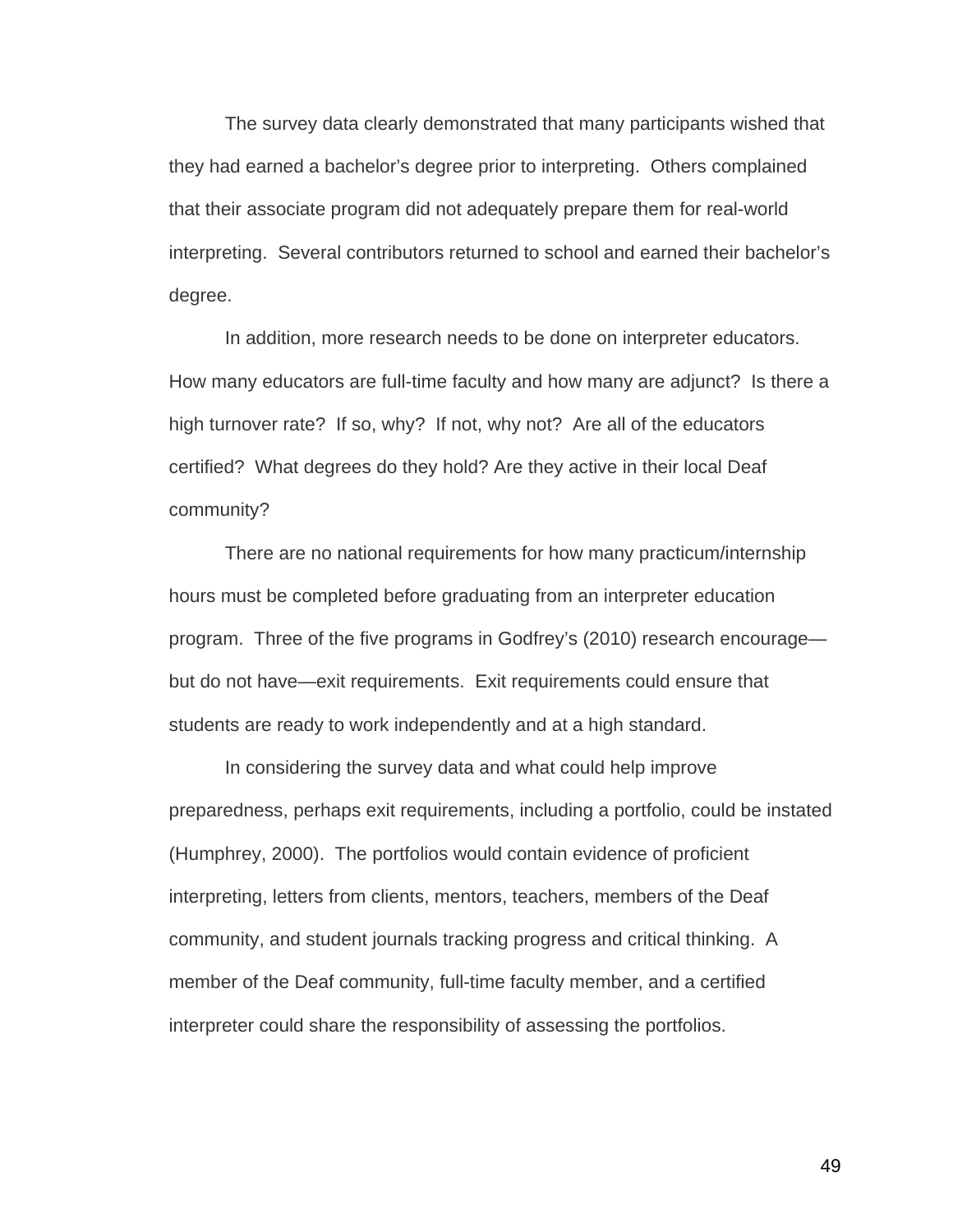The survey data clearly demonstrated that many participants wished that they had earned a bachelor's degree prior to interpreting. Others complained that their associate program did not adequately prepare them for real-world interpreting. Several contributors returned to school and earned their bachelor's degree.

In addition, more research needs to be done on interpreter educators. How many educators are full-time faculty and how many are adjunct? Is there a high turnover rate? If so, why? If not, why not? Are all of the educators certified? What degrees do they hold? Are they active in their local Deaf community?

There are no national requirements for how many practicum/internship hours must be completed before graduating from an interpreter education program. Three of the five programs in Godfrey's (2010) research encourage but do not have—exit requirements. Exit requirements could ensure that students are ready to work independently and at a high standard.

In considering the survey data and what could help improve preparedness, perhaps exit requirements, including a portfolio, could be instated (Humphrey, 2000). The portfolios would contain evidence of proficient interpreting, letters from clients, mentors, teachers, members of the Deaf community, and student journals tracking progress and critical thinking. A member of the Deaf community, full-time faculty member, and a certified interpreter could share the responsibility of assessing the portfolios.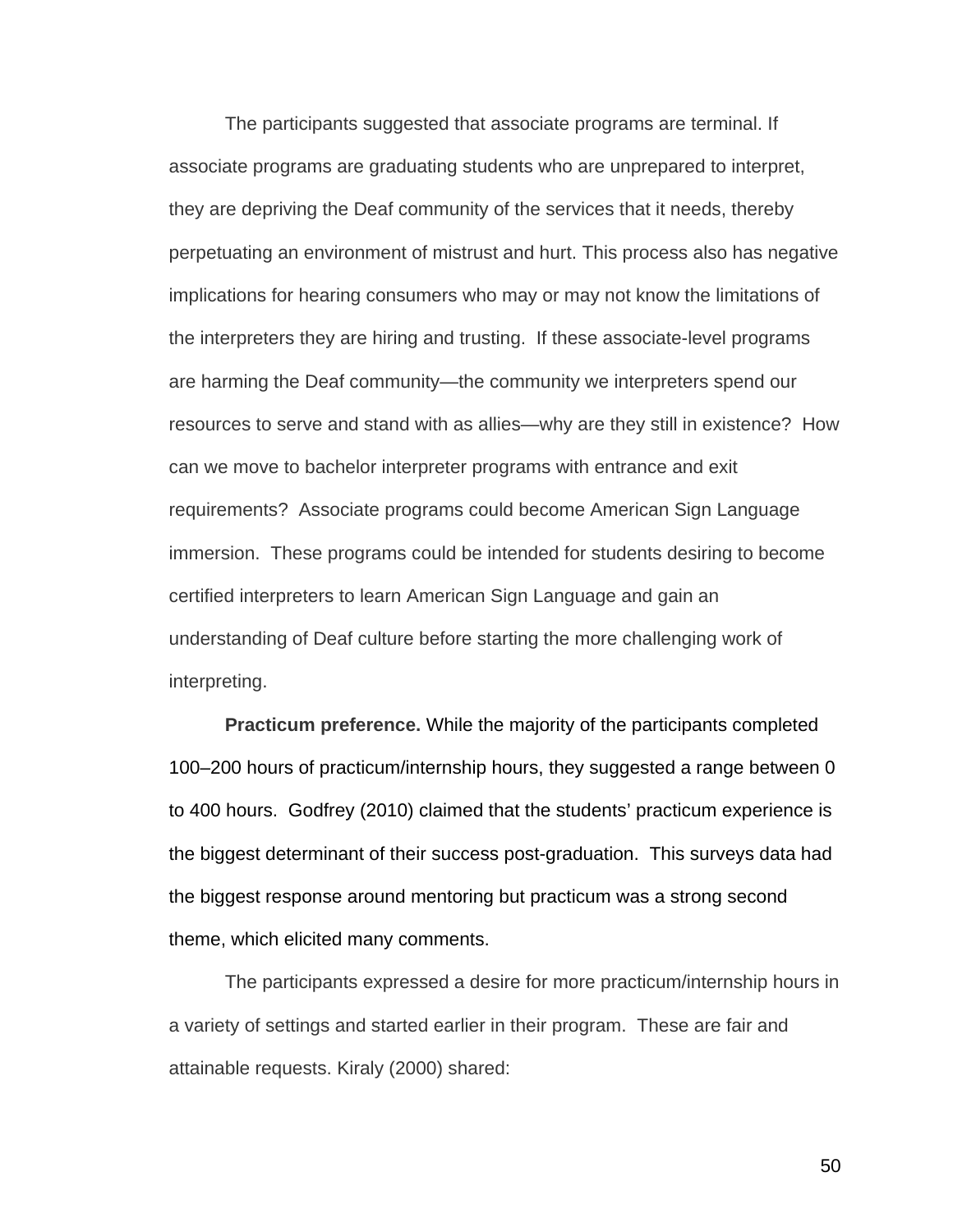The participants suggested that associate programs are terminal. If associate programs are graduating students who are unprepared to interpret, they are depriving the Deaf community of the services that it needs, thereby perpetuating an environment of mistrust and hurt. This process also has negative implications for hearing consumers who may or may not know the limitations of the interpreters they are hiring and trusting. If these associate-level programs are harming the Deaf community—the community we interpreters spend our resources to serve and stand with as allies—why are they still in existence? How can we move to bachelor interpreter programs with entrance and exit requirements? Associate programs could become American Sign Language immersion. These programs could be intended for students desiring to become certified interpreters to learn American Sign Language and gain an understanding of Deaf culture before starting the more challenging work of interpreting.

**Practicum preference.** While the majority of the participants completed 100–200 hours of practicum/internship hours, they suggested a range between 0 to 400 hours. Godfrey (2010) claimed that the students' practicum experience is the biggest determinant of their success post-graduation. This surveys data had the biggest response around mentoring but practicum was a strong second theme, which elicited many comments.

The participants expressed a desire for more practicum/internship hours in a variety of settings and started earlier in their program. These are fair and attainable requests. Kiraly (2000) shared: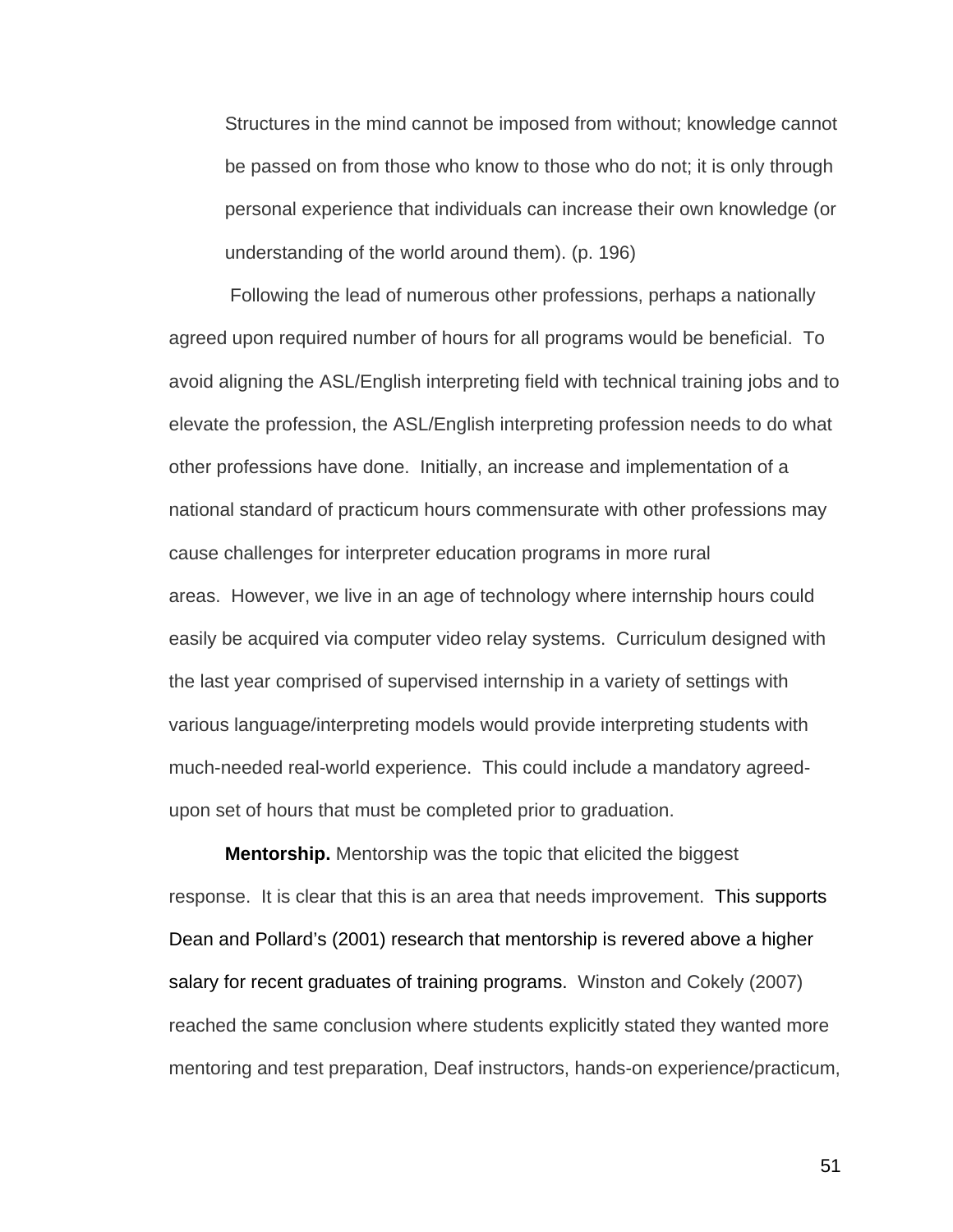Structures in the mind cannot be imposed from without; knowledge cannot be passed on from those who know to those who do not; it is only through personal experience that individuals can increase their own knowledge (or understanding of the world around them). (p. 196)

Following the lead of numerous other professions, perhaps a nationally agreed upon required number of hours for all programs would be beneficial. To avoid aligning the ASL/English interpreting field with technical training jobs and to elevate the profession, the ASL/English interpreting profession needs to do what other professions have done. Initially, an increase and implementation of a national standard of practicum hours commensurate with other professions may cause challenges for interpreter education programs in more rural areas. However, we live in an age of technology where internship hours could easily be acquired via computer video relay systems. Curriculum designed with the last year comprised of supervised internship in a variety of settings with various language/interpreting models would provide interpreting students with much-needed real-world experience. This could include a mandatory agreedupon set of hours that must be completed prior to graduation.

**Mentorship.** Mentorship was the topic that elicited the biggest response. It is clear that this is an area that needs improvement. This supports Dean and Pollard's (2001) research that mentorship is revered above a higher salary for recent graduates of training programs. Winston and Cokely (2007) reached the same conclusion where students explicitly stated they wanted more mentoring and test preparation, Deaf instructors, hands-on experience/practicum,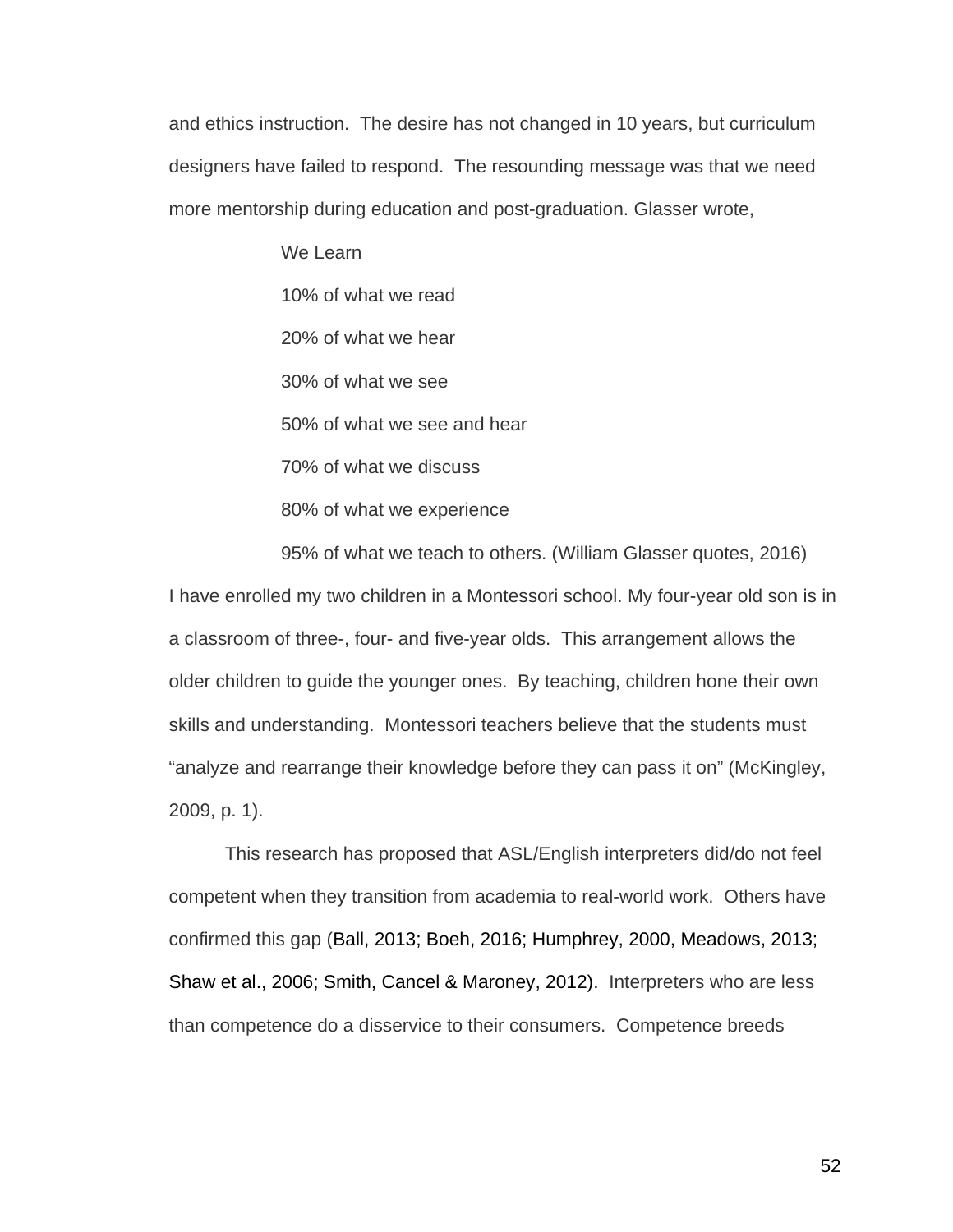and ethics instruction. The desire has not changed in 10 years, but curriculum designers have failed to respond. The resounding message was that we need more mentorship during education and post-graduation. Glasser wrote,

> We Learn 10% of what we read 20% of what we hear 30% of what we see 50% of what we see and hear 70% of what we discuss 80% of what we experience

95% of what we teach to others. (William Glasser quotes, 2016) I have enrolled my two children in a Montessori school. My four-year old son is in a classroom of three-, four- and five-year olds. This arrangement allows the older children to guide the younger ones. By teaching, children hone their own skills and understanding. Montessori teachers believe that the students must "analyze and rearrange their knowledge before they can pass it on" (McKingley, 2009, p. 1).

This research has proposed that ASL/English interpreters did/do not feel competent when they transition from academia to real-world work. Others have confirmed this gap (Ball, 2013; Boeh, 2016; Humphrey, 2000, Meadows, 2013; Shaw et al., 2006; Smith, Cancel & Maroney, 2012). Interpreters who are less than competence do a disservice to their consumers. Competence breeds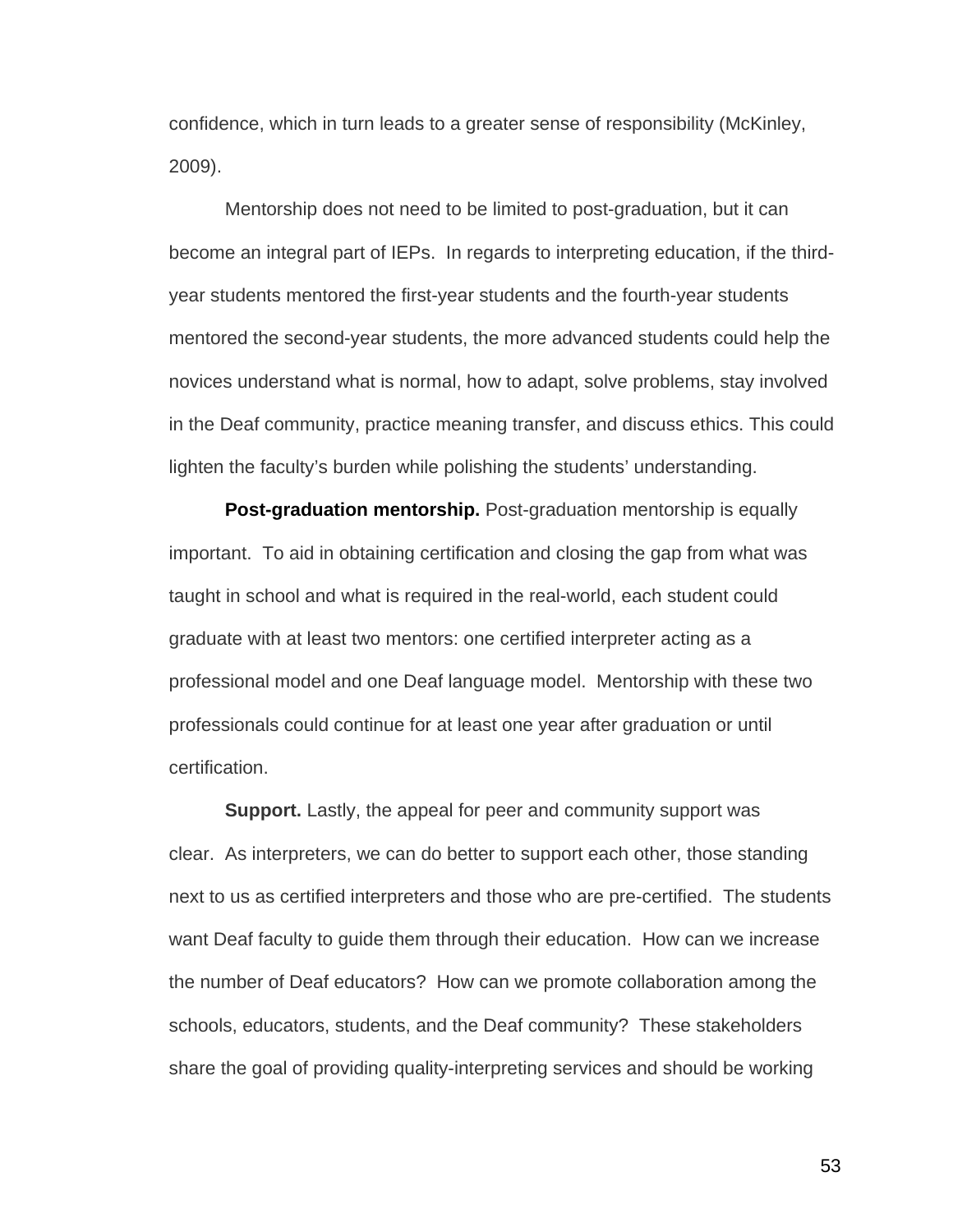confidence, which in turn leads to a greater sense of responsibility (McKinley, 2009).

Mentorship does not need to be limited to post-graduation, but it can become an integral part of IEPs. In regards to interpreting education, if the thirdyear students mentored the first-year students and the fourth-year students mentored the second-year students, the more advanced students could help the novices understand what is normal, how to adapt, solve problems, stay involved in the Deaf community, practice meaning transfer, and discuss ethics. This could lighten the faculty's burden while polishing the students' understanding.

**Post-graduation mentorship.** Post-graduation mentorship is equally important. To aid in obtaining certification and closing the gap from what was taught in school and what is required in the real-world, each student could graduate with at least two mentors: one certified interpreter acting as a professional model and one Deaf language model. Mentorship with these two professionals could continue for at least one year after graduation or until certification.

**Support.** Lastly, the appeal for peer and community support was clear. As interpreters, we can do better to support each other, those standing next to us as certified interpreters and those who are pre-certified. The students want Deaf faculty to guide them through their education. How can we increase the number of Deaf educators? How can we promote collaboration among the schools, educators, students, and the Deaf community? These stakeholders share the goal of providing quality-interpreting services and should be working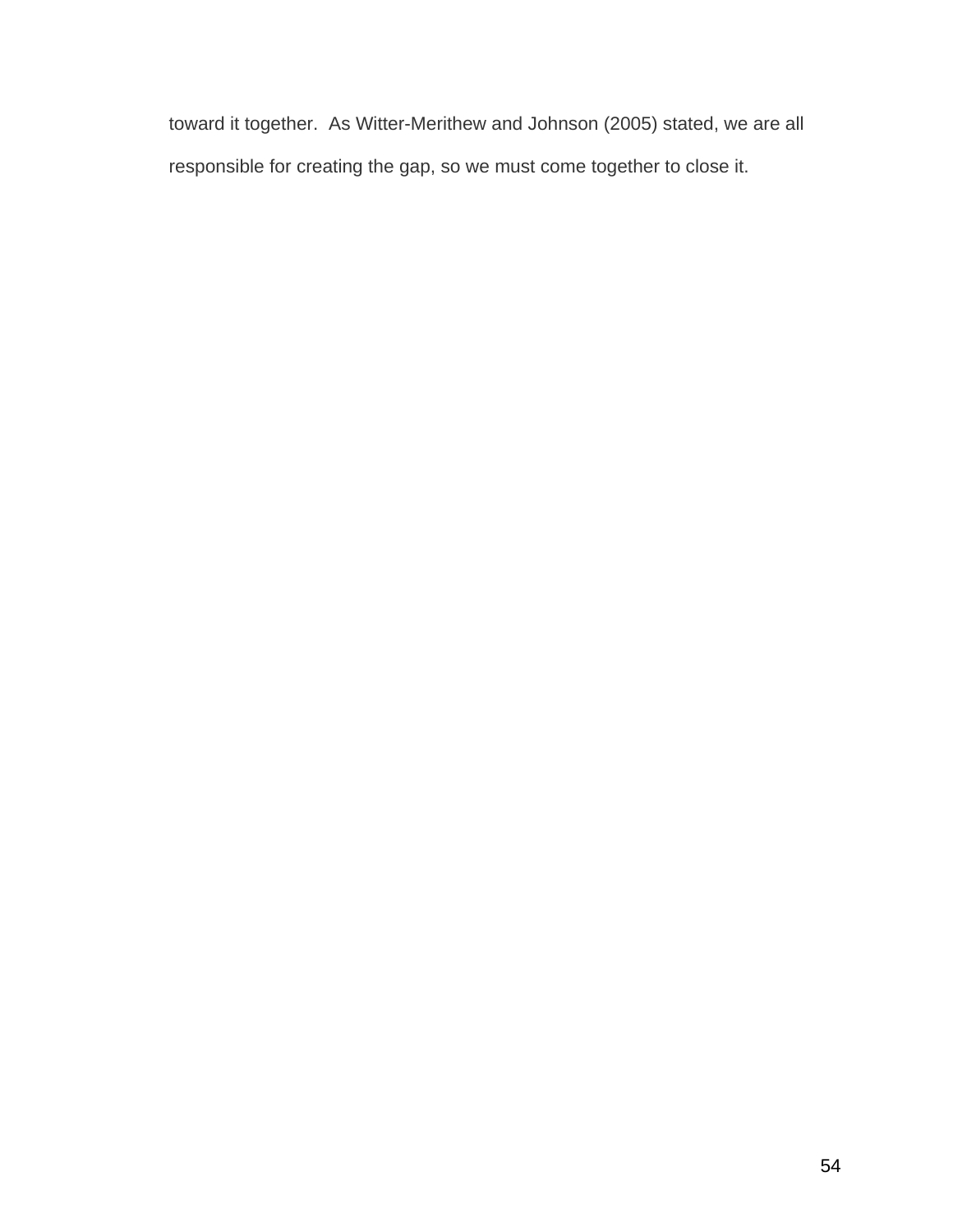toward it together. As Witter-Merithew and Johnson (2005) stated, we are all responsible for creating the gap, so we must come together to close it.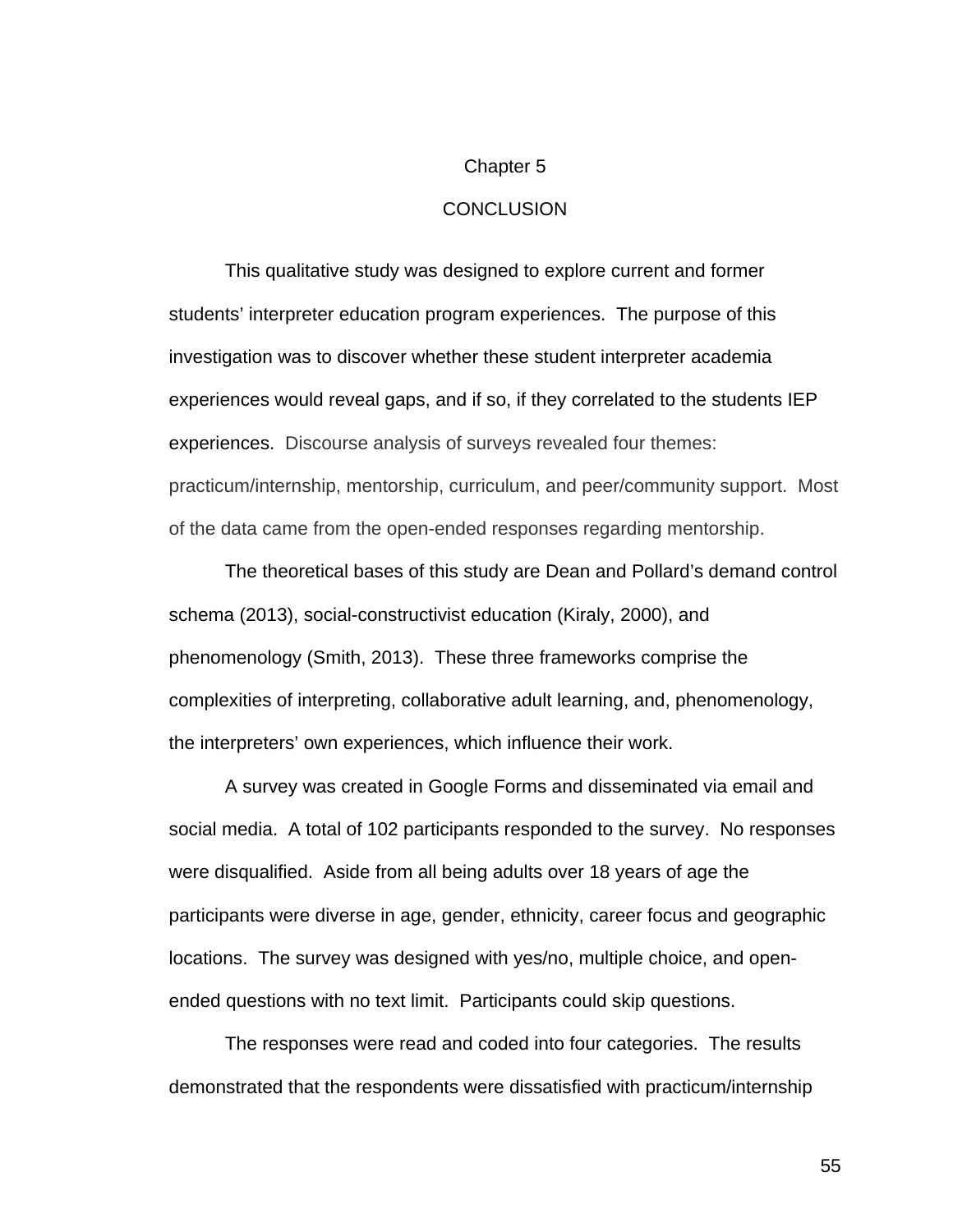#### Chapter 5

#### **CONCLUSION**

This qualitative study was designed to explore current and former students' interpreter education program experiences. The purpose of this investigation was to discover whether these student interpreter academia experiences would reveal gaps, and if so, if they correlated to the students IEP experiences. Discourse analysis of surveys revealed four themes: practicum/internship, mentorship, curriculum, and peer/community support. Most of the data came from the open-ended responses regarding mentorship.

The theoretical bases of this study are Dean and Pollard's demand control schema (2013), social-constructivist education (Kiraly, 2000), and phenomenology (Smith, 2013). These three frameworks comprise the complexities of interpreting, collaborative adult learning, and, phenomenology, the interpreters' own experiences, which influence their work.

A survey was created in Google Forms and disseminated via email and social media. A total of 102 participants responded to the survey. No responses were disqualified. Aside from all being adults over 18 years of age the participants were diverse in age, gender, ethnicity, career focus and geographic locations. The survey was designed with yes/no, multiple choice, and openended questions with no text limit. Participants could skip questions.

The responses were read and coded into four categories. The results demonstrated that the respondents were dissatisfied with practicum/internship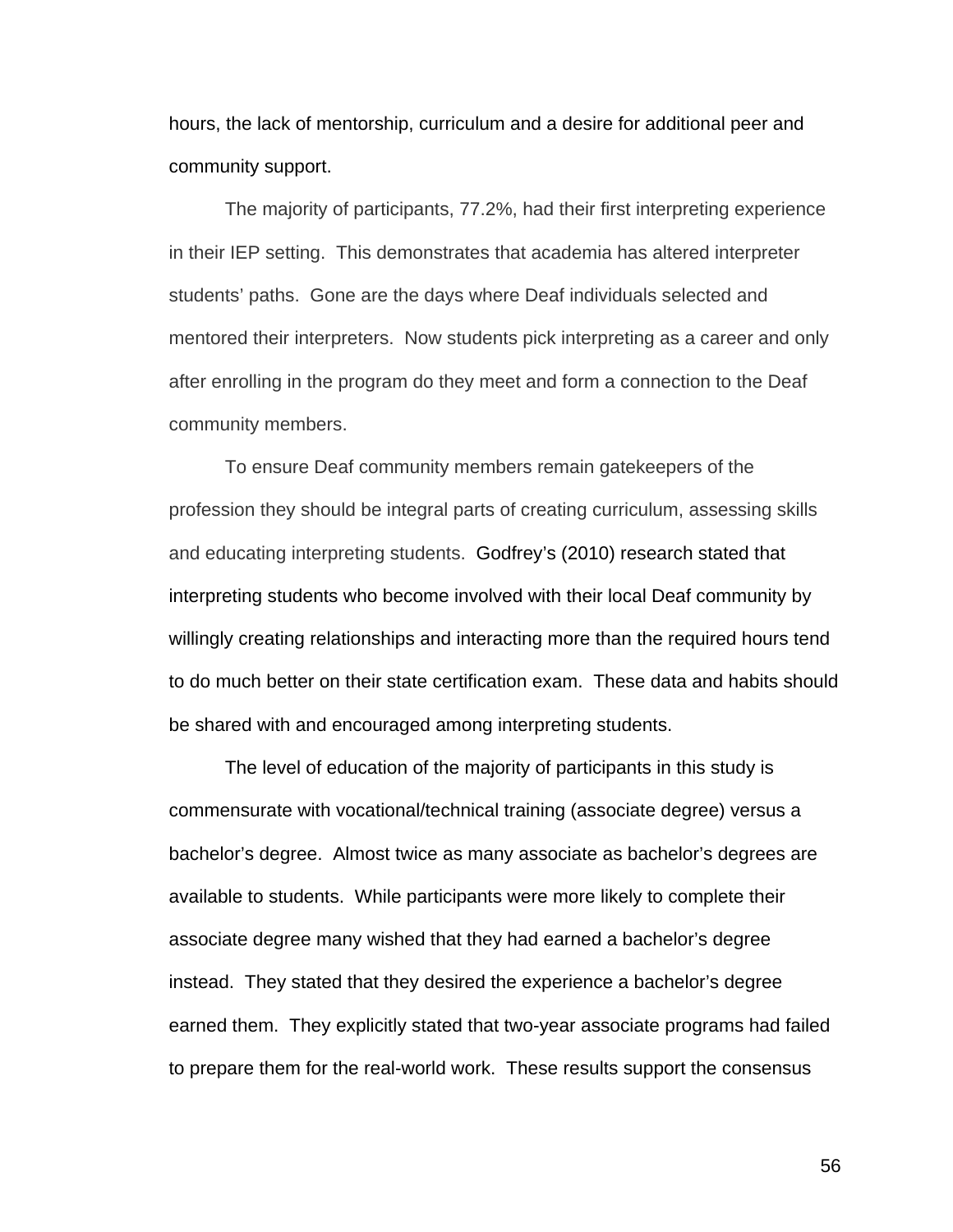hours, the lack of mentorship, curriculum and a desire for additional peer and community support.

The majority of participants, 77.2%, had their first interpreting experience in their IEP setting. This demonstrates that academia has altered interpreter students' paths. Gone are the days where Deaf individuals selected and mentored their interpreters. Now students pick interpreting as a career and only after enrolling in the program do they meet and form a connection to the Deaf community members.

To ensure Deaf community members remain gatekeepers of the profession they should be integral parts of creating curriculum, assessing skills and educating interpreting students. Godfrey's (2010) research stated that interpreting students who become involved with their local Deaf community by willingly creating relationships and interacting more than the required hours tend to do much better on their state certification exam. These data and habits should be shared with and encouraged among interpreting students.

The level of education of the majority of participants in this study is commensurate with vocational/technical training (associate degree) versus a bachelor's degree. Almost twice as many associate as bachelor's degrees are available to students. While participants were more likely to complete their associate degree many wished that they had earned a bachelor's degree instead. They stated that they desired the experience a bachelor's degree earned them. They explicitly stated that two-year associate programs had failed to prepare them for the real-world work. These results support the consensus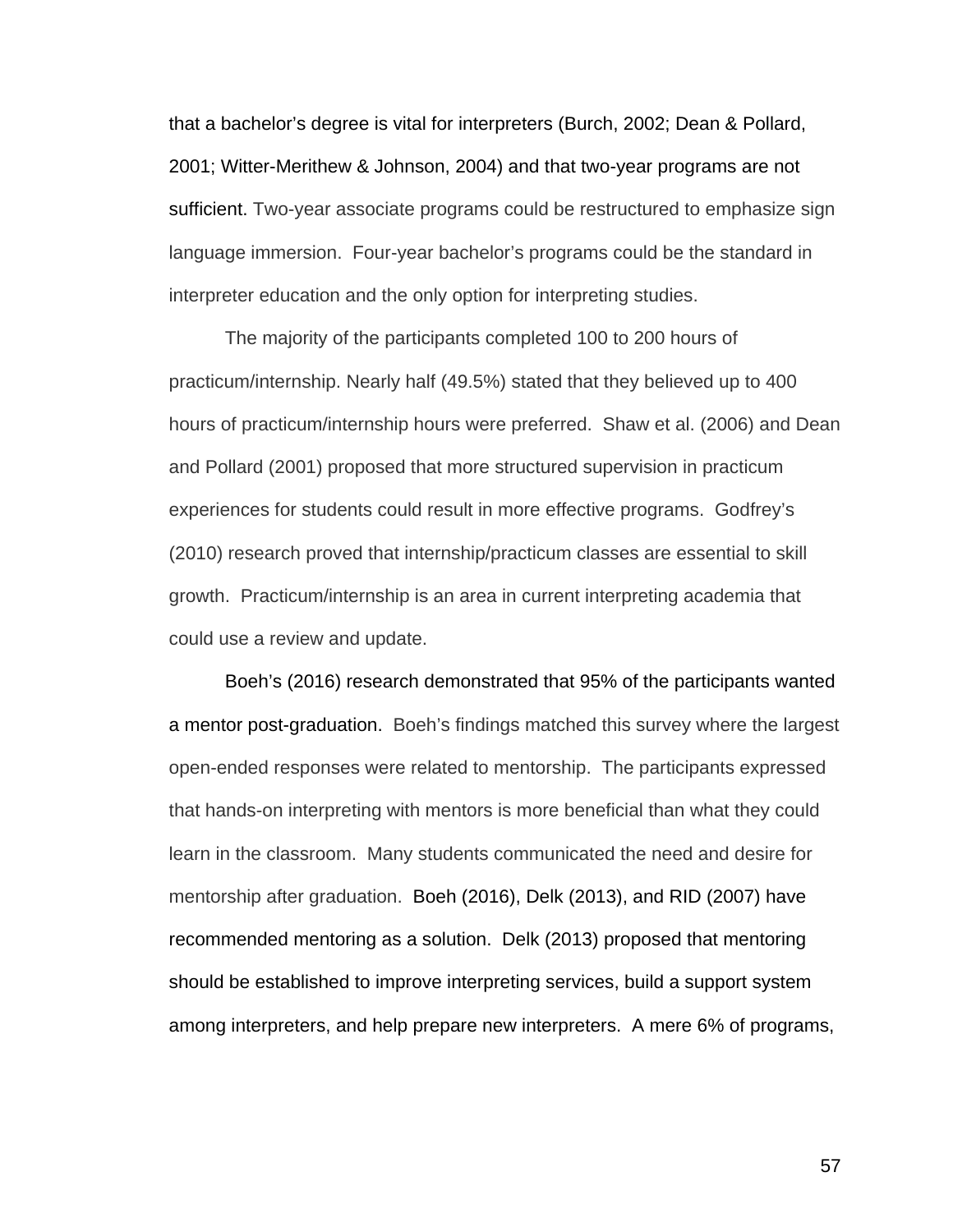that a bachelor's degree is vital for interpreters (Burch, 2002; Dean & Pollard, 2001; Witter-Merithew & Johnson, 2004) and that two-year programs are not sufficient. Two-year associate programs could be restructured to emphasize sign language immersion. Four-year bachelor's programs could be the standard in interpreter education and the only option for interpreting studies.

The majority of the participants completed 100 to 200 hours of practicum/internship. Nearly half (49.5%) stated that they believed up to 400 hours of practicum/internship hours were preferred. Shaw et al. (2006) and Dean and Pollard (2001) proposed that more structured supervision in practicum experiences for students could result in more effective programs. Godfrey's (2010) research proved that internship/practicum classes are essential to skill growth. Practicum/internship is an area in current interpreting academia that could use a review and update.

Boeh's (2016) research demonstrated that 95% of the participants wanted a mentor post-graduation. Boeh's findings matched this survey where the largest open-ended responses were related to mentorship. The participants expressed that hands-on interpreting with mentors is more beneficial than what they could learn in the classroom. Many students communicated the need and desire for mentorship after graduation. Boeh (2016), Delk (2013), and RID (2007) have recommended mentoring as a solution. Delk (2013) proposed that mentoring should be established to improve interpreting services, build a support system among interpreters, and help prepare new interpreters. A mere 6% of programs,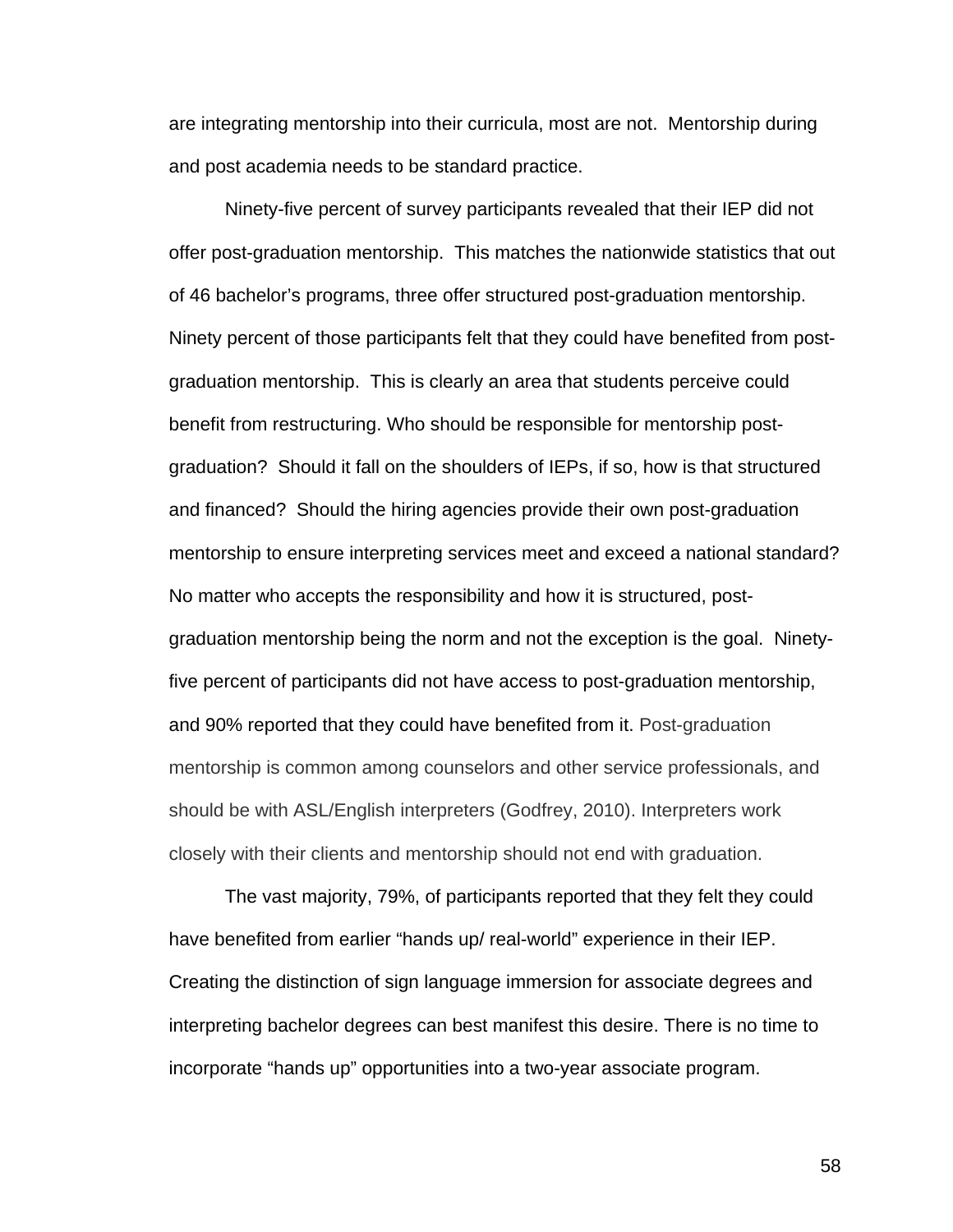are integrating mentorship into their curricula, most are not. Mentorship during and post academia needs to be standard practice.

Ninety-five percent of survey participants revealed that their IEP did not offer post-graduation mentorship. This matches the nationwide statistics that out of 46 bachelor's programs, three offer structured post-graduation mentorship. Ninety percent of those participants felt that they could have benefited from postgraduation mentorship. This is clearly an area that students perceive could benefit from restructuring. Who should be responsible for mentorship postgraduation? Should it fall on the shoulders of IEPs, if so, how is that structured and financed? Should the hiring agencies provide their own post-graduation mentorship to ensure interpreting services meet and exceed a national standard? No matter who accepts the responsibility and how it is structured, postgraduation mentorship being the norm and not the exception is the goal. Ninetyfive percent of participants did not have access to post-graduation mentorship, and 90% reported that they could have benefited from it. Post-graduation mentorship is common among counselors and other service professionals, and should be with ASL/English interpreters (Godfrey, 2010). Interpreters work closely with their clients and mentorship should not end with graduation.

The vast majority, 79%, of participants reported that they felt they could have benefited from earlier "hands up/ real-world" experience in their IEP. Creating the distinction of sign language immersion for associate degrees and interpreting bachelor degrees can best manifest this desire. There is no time to incorporate "hands up" opportunities into a two-year associate program.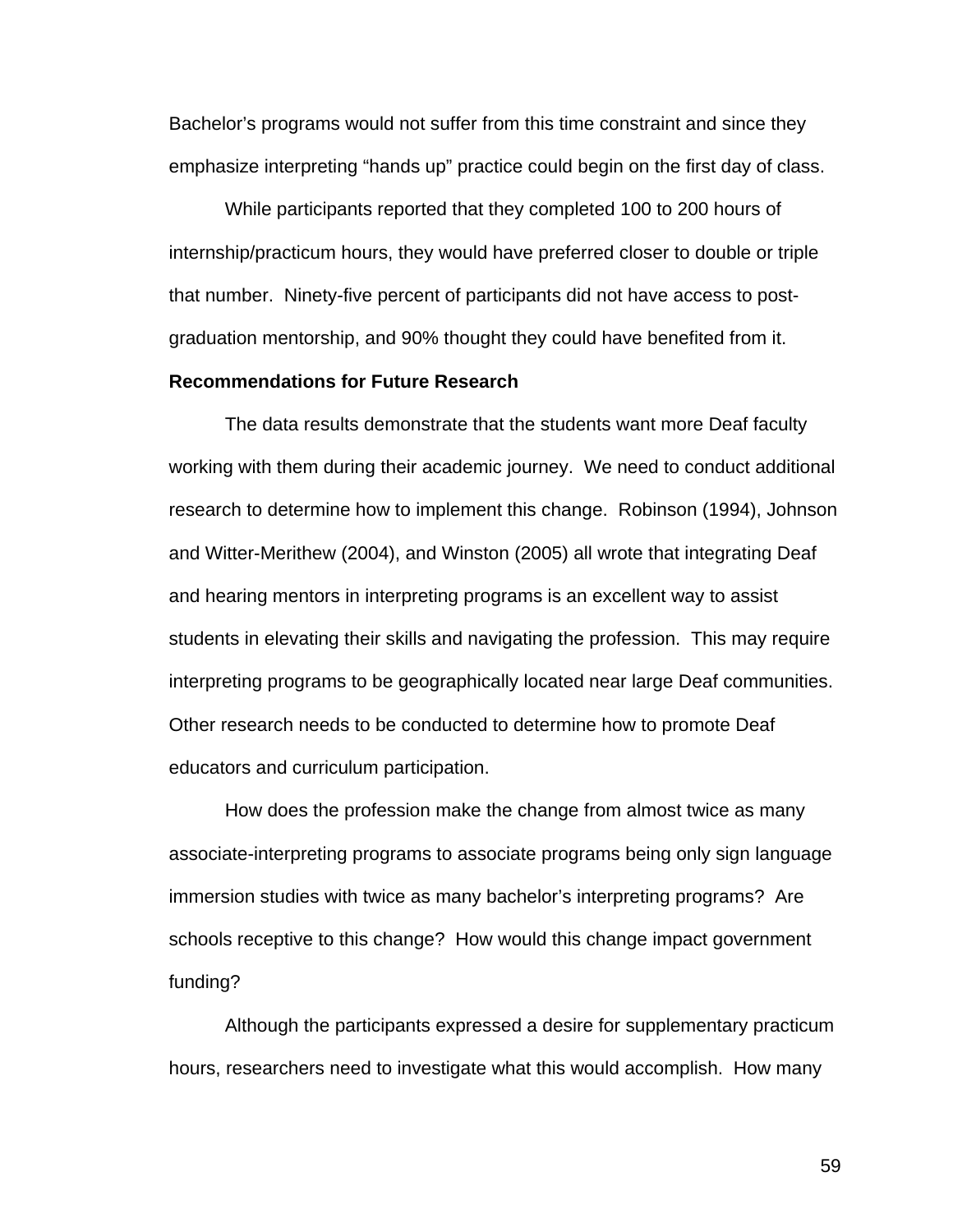Bachelor's programs would not suffer from this time constraint and since they emphasize interpreting "hands up" practice could begin on the first day of class.

While participants reported that they completed 100 to 200 hours of internship/practicum hours, they would have preferred closer to double or triple that number. Ninety-five percent of participants did not have access to postgraduation mentorship, and 90% thought they could have benefited from it.

#### **Recommendations for Future Research**

The data results demonstrate that the students want more Deaf faculty working with them during their academic journey. We need to conduct additional research to determine how to implement this change. Robinson (1994), Johnson and Witter-Merithew (2004), and Winston (2005) all wrote that integrating Deaf and hearing mentors in interpreting programs is an excellent way to assist students in elevating their skills and navigating the profession. This may require interpreting programs to be geographically located near large Deaf communities. Other research needs to be conducted to determine how to promote Deaf educators and curriculum participation.

How does the profession make the change from almost twice as many associate-interpreting programs to associate programs being only sign language immersion studies with twice as many bachelor's interpreting programs? Are schools receptive to this change? How would this change impact government funding?

Although the participants expressed a desire for supplementary practicum hours, researchers need to investigate what this would accomplish. How many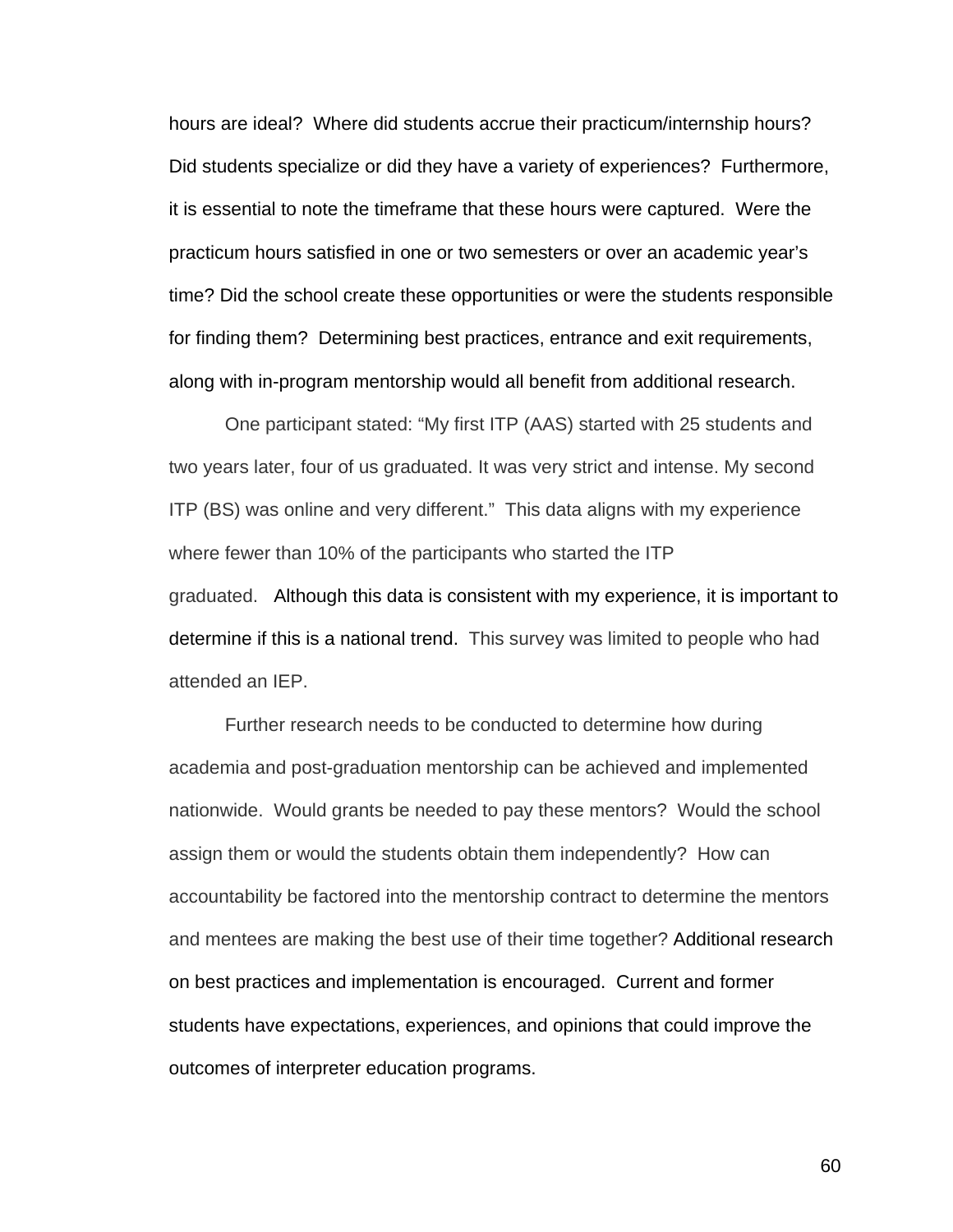hours are ideal? Where did students accrue their practicum/internship hours? Did students specialize or did they have a variety of experiences? Furthermore, it is essential to note the timeframe that these hours were captured. Were the practicum hours satisfied in one or two semesters or over an academic year's time? Did the school create these opportunities or were the students responsible for finding them? Determining best practices, entrance and exit requirements, along with in-program mentorship would all benefit from additional research.

One participant stated: "My first ITP (AAS) started with 25 students and two years later, four of us graduated. It was very strict and intense. My second ITP (BS) was online and very different." This data aligns with my experience where fewer than 10% of the participants who started the ITP graduated. Although this data is consistent with my experience, it is important to determine if this is a national trend. This survey was limited to people who had attended an IEP.

Further research needs to be conducted to determine how during academia and post-graduation mentorship can be achieved and implemented nationwide. Would grants be needed to pay these mentors? Would the school assign them or would the students obtain them independently? How can accountability be factored into the mentorship contract to determine the mentors and mentees are making the best use of their time together? Additional research on best practices and implementation is encouraged. Current and former students have expectations, experiences, and opinions that could improve the outcomes of interpreter education programs.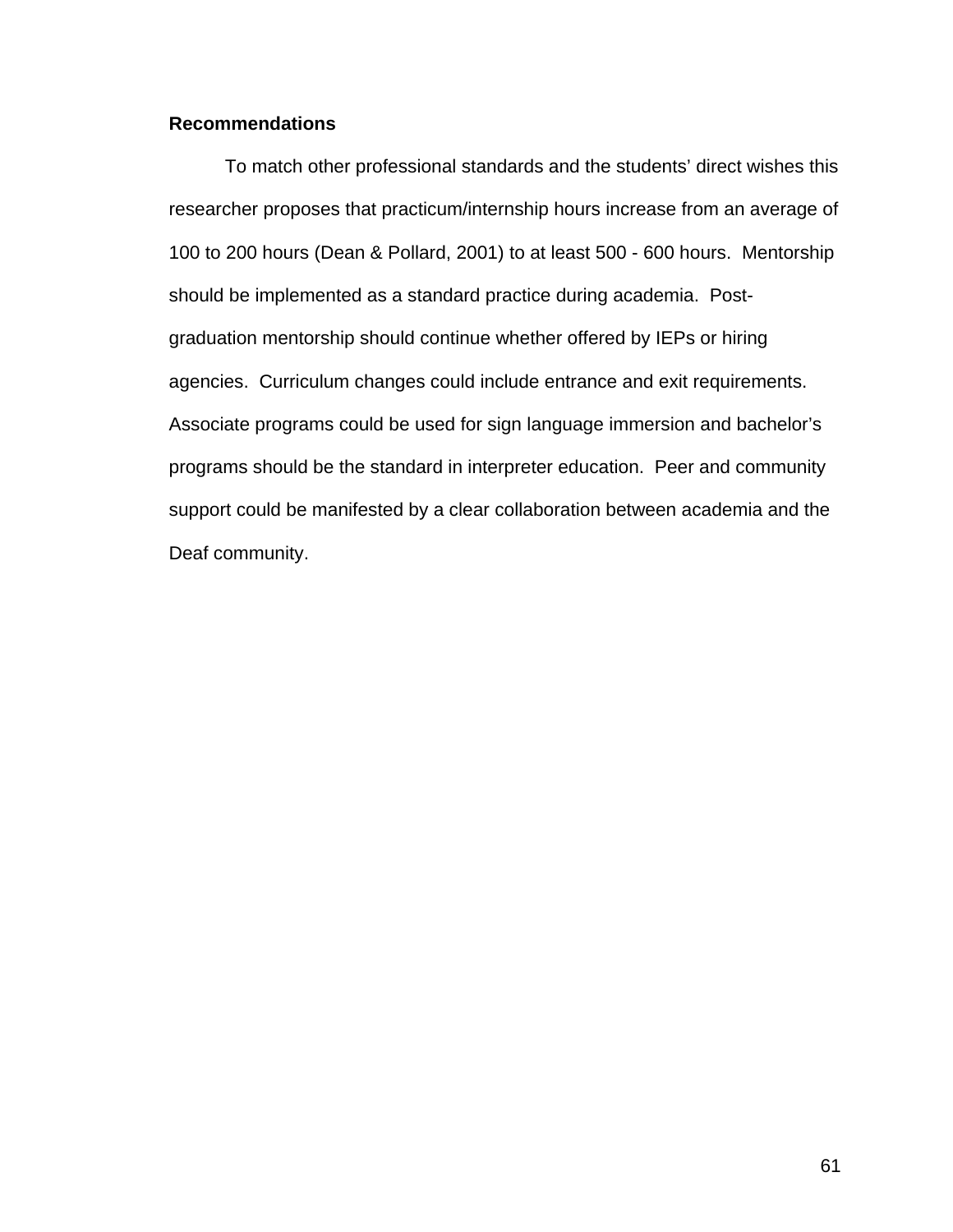### **Recommendations**

To match other professional standards and the students' direct wishes this researcher proposes that practicum/internship hours increase from an average of 100 to 200 hours (Dean & Pollard, 2001) to at least 500 - 600 hours. Mentorship should be implemented as a standard practice during academia. Postgraduation mentorship should continue whether offered by IEPs or hiring agencies. Curriculum changes could include entrance and exit requirements. Associate programs could be used for sign language immersion and bachelor's programs should be the standard in interpreter education. Peer and community support could be manifested by a clear collaboration between academia and the Deaf community.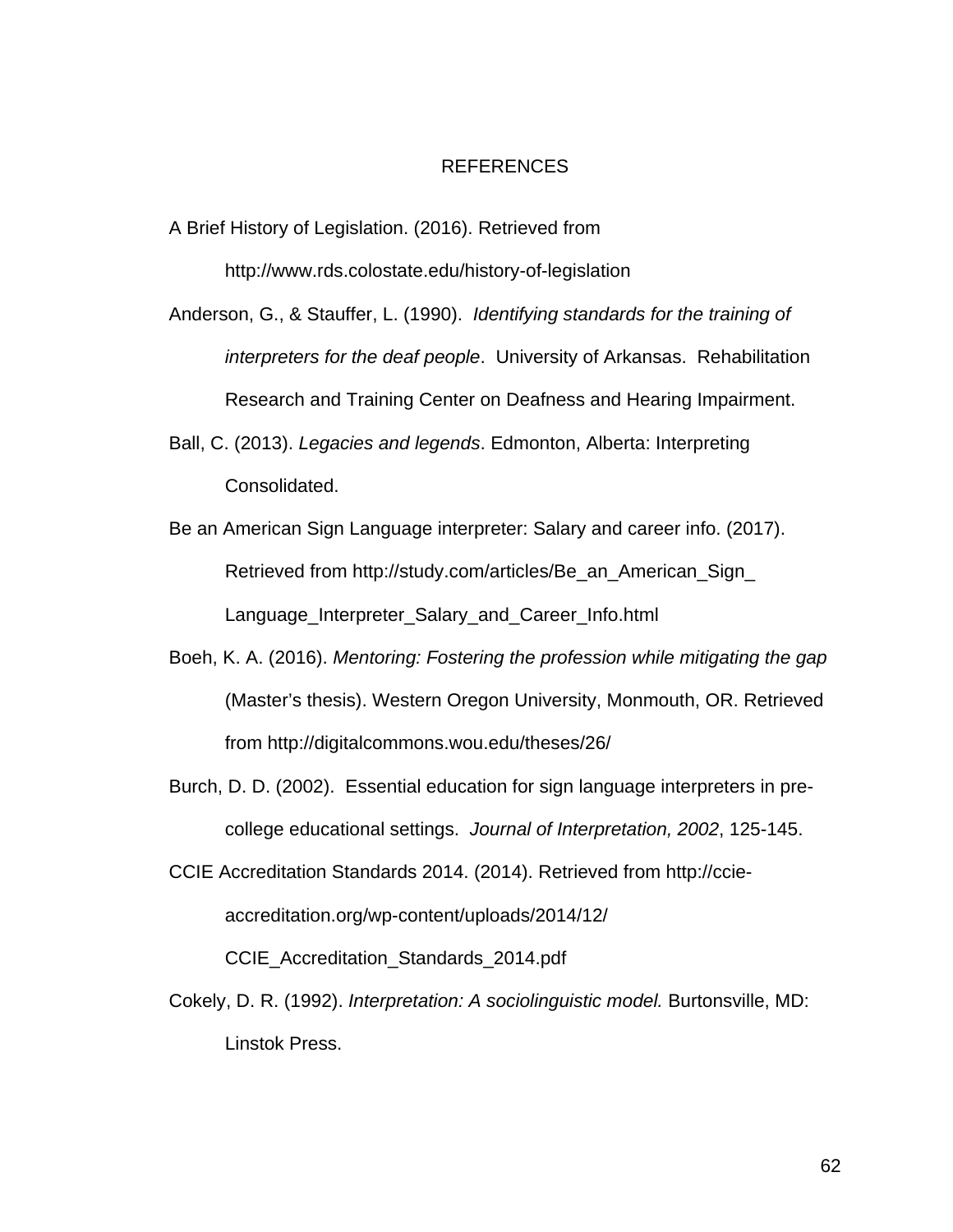#### REFERENCES

- A Brief History of Legislation. (2016). Retrieved from http://www.rds.colostate.edu/history-of-legislation
- Anderson, G., & Stauffer, L. (1990). *Identifying standards for the training of interpreters for the deaf people*. University of Arkansas. Rehabilitation Research and Training Center on Deafness and Hearing Impairment.
- Ball, C. (2013). *Legacies and legends*. Edmonton, Alberta: Interpreting Consolidated.
- Be an American Sign Language interpreter: Salary and career info. (2017). Retrieved from http://study.com/articles/Be\_an\_American\_Sign\_ Language\_Interpreter\_Salary\_and\_Career\_Info.html
- Boeh, K. A. (2016). *Mentoring: Fostering the profession while mitigating the gap* (Master's thesis). Western Oregon University, Monmouth, OR. Retrieved from http://digitalcommons.wou.edu/theses/26/
- Burch, D. D. (2002). Essential education for sign language interpreters in precollege educational settings. *Journal of Interpretation, 2002*, 125-145.
- CCIE Accreditation Standards 2014. (2014). Retrieved from http://ccieaccreditation.org/wp-content/uploads/2014/12/

CCIE\_Accreditation\_Standards\_2014.pdf

Cokely, D. R. (1992). *Interpretation: A sociolinguistic model.* Burtonsville, MD: Linstok Press.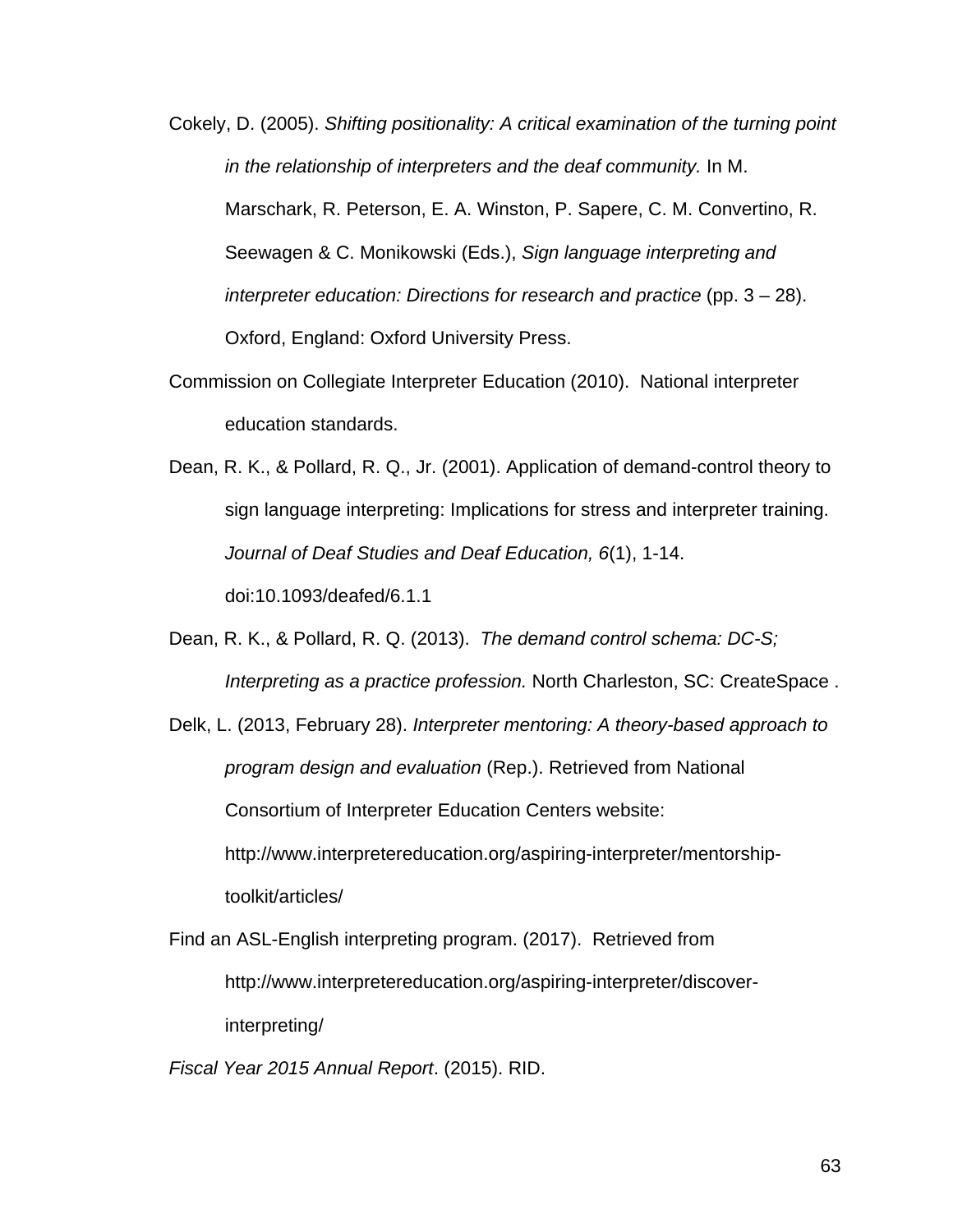- Cokely, D. (2005). *Shifting positionality: A critical examination of the turning point in the relationship of interpreters and the deaf community.* In M. Marschark, R. Peterson, E. A. Winston, P. Sapere, C. M. Convertino, R. Seewagen & C. Monikowski (Eds.), *Sign language interpreting and interpreter education: Directions for research and practice* (pp. 3 – 28). Oxford, England: Oxford University Press.
- Commission on Collegiate Interpreter Education (2010). National interpreter education standards.
- Dean, R. K., & Pollard, R. Q., Jr. (2001). Application of demand-control theory to sign language interpreting: Implications for stress and interpreter training. *Journal of Deaf Studies and Deaf Education, 6*(1), 1-14. doi:10.1093/deafed/6.1.1
- Dean, R. K., & Pollard, R. Q. (2013). *The demand control schema: DC-S; Interpreting as a practice profession.* North Charleston, SC: CreateSpace .
- Delk, L. (2013, February 28). *Interpreter mentoring: A theory-based approach to program design and evaluation* (Rep.). Retrieved from National Consortium of Interpreter Education Centers website: http://www.interpretereducation.org/aspiring-interpreter/mentorshiptoolkit/articles/
- Find an ASL-English interpreting program. (2017). Retrieved from http://www.interpretereducation.org/aspiring-interpreter/discoverinterpreting/

*Fiscal Year 2015 Annual Report*. (2015). RID.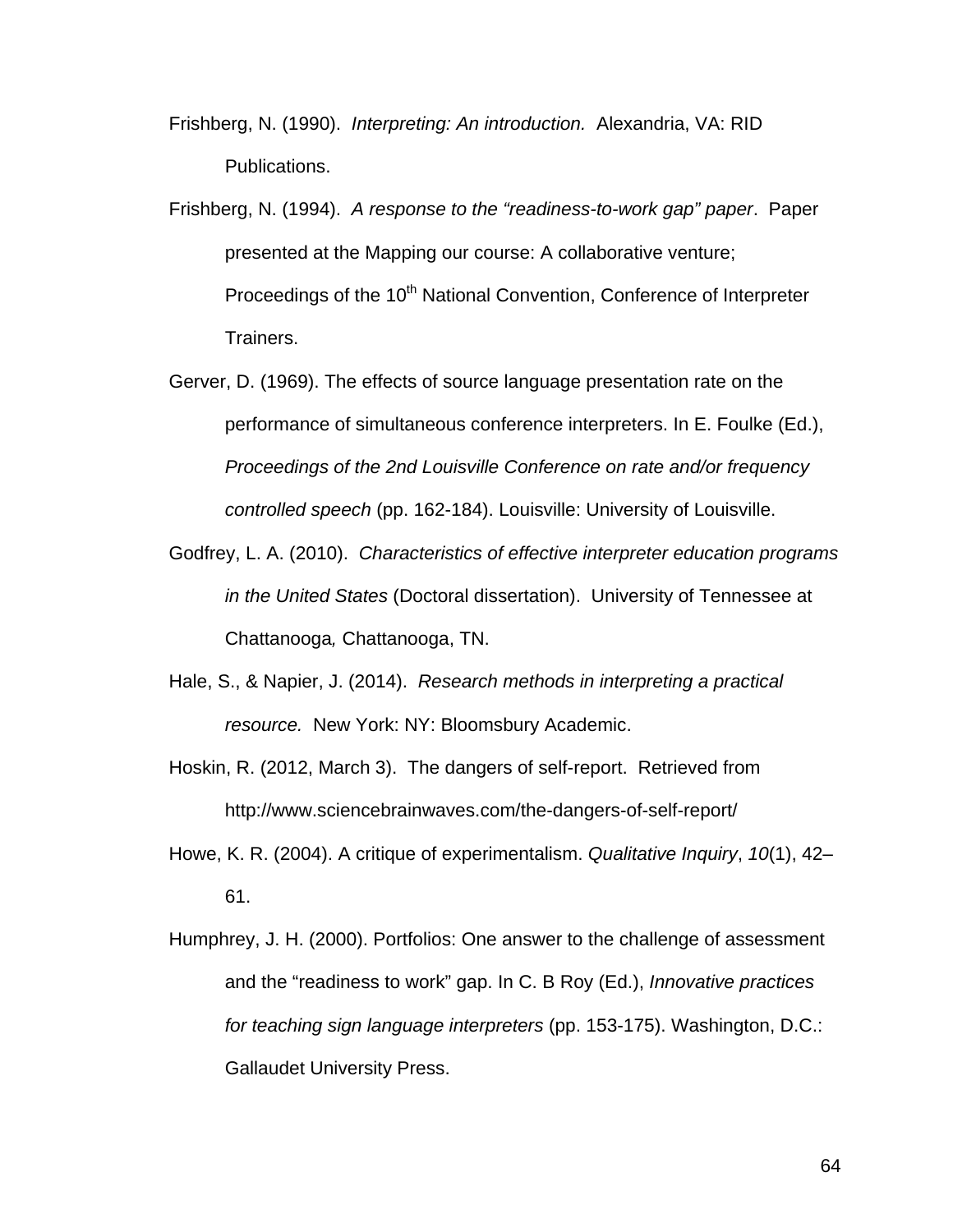- Frishberg, N. (1990). *Interpreting: An introduction.* Alexandria, VA: RID Publications.
- Frishberg, N. (1994). *A response to the "readiness-to-work gap" paper*. Paper presented at the Mapping our course: A collaborative venture; Proceedings of the 10<sup>th</sup> National Convention, Conference of Interpreter Trainers.
- Gerver, D. (1969). The effects of source language presentation rate on the performance of simultaneous conference interpreters. In E. Foulke (Ed.), *Proceedings of the 2nd Louisville Conference on rate and/or frequency controlled speech* (pp. 162-184). Louisville: University of Louisville.
- Godfrey, L. A. (2010). *Characteristics of effective interpreter education programs in the United States* (Doctoral dissertation). University of Tennessee at Chattanooga*,* Chattanooga, TN.
- Hale, S., & Napier, J. (2014). *Research methods in interpreting a practical resource.* New York: NY: Bloomsbury Academic.
- Hoskin, R. (2012, March 3). The dangers of self-report. Retrieved from http://www.sciencebrainwaves.com/the-dangers-of-self-report/
- Howe, K. R. (2004). A critique of experimentalism. *Qualitative Inquiry*, *10*(1), 42– 61.
- Humphrey, J. H. (2000). Portfolios: One answer to the challenge of assessment and the "readiness to work" gap. In C. B Roy (Ed.), *Innovative practices for teaching sign language interpreters* (pp. 153-175). Washington, D.C.: Gallaudet University Press.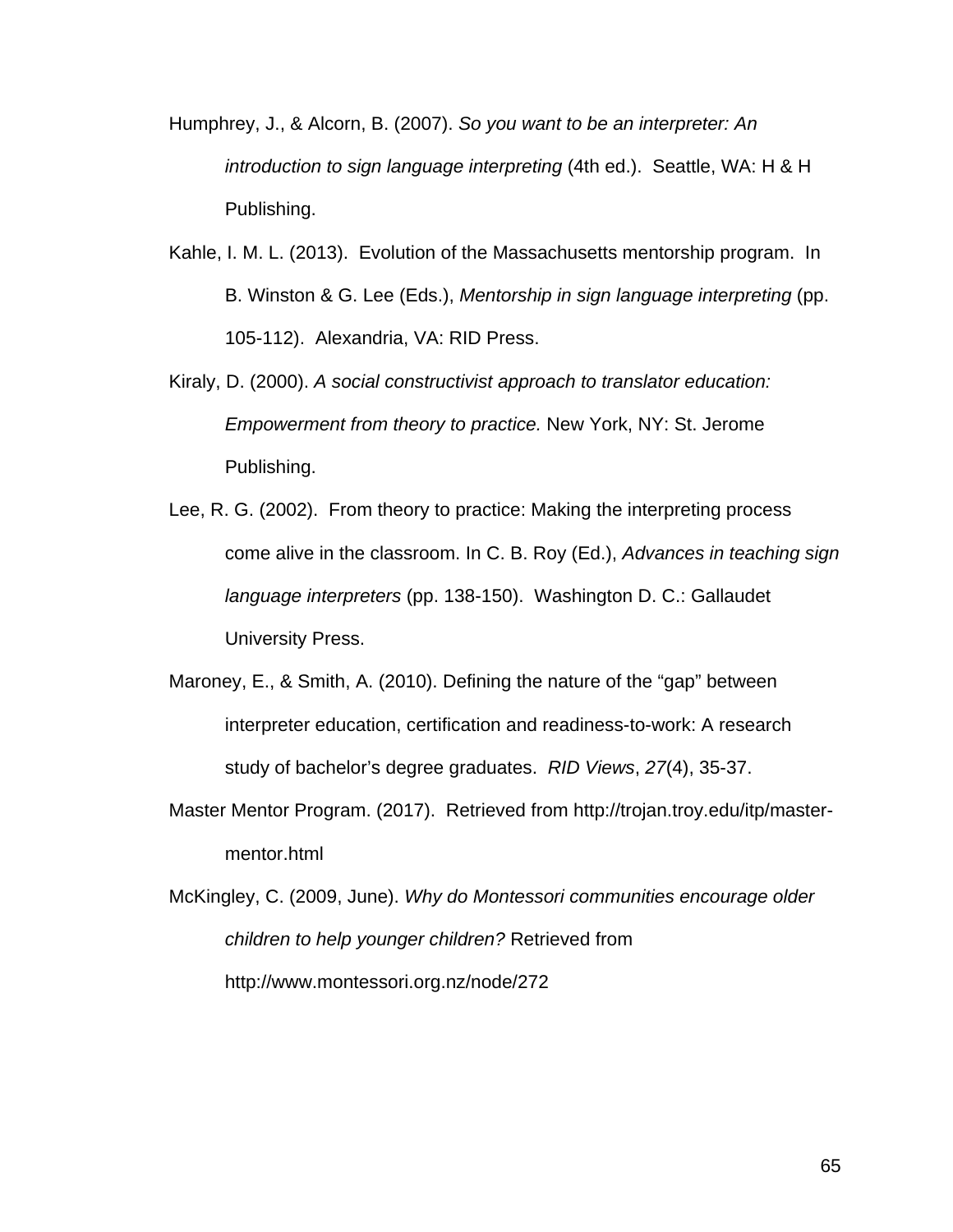- Humphrey, J., & Alcorn, B. (2007). *So you want to be an interpreter: An introduction to sign language interpreting* (4th ed.). Seattle, WA: H & H Publishing.
- Kahle, I. M. L. (2013). Evolution of the Massachusetts mentorship program. In B. Winston & G. Lee (Eds.), *Mentorship in sign language interpreting* (pp. 105-112). Alexandria, VA: RID Press.
- Kiraly, D. (2000). *A social constructivist approach to translator education: Empowerment from theory to practice.* New York, NY: St. Jerome Publishing.
- Lee, R. G. (2002). From theory to practice: Making the interpreting process come alive in the classroom. In C. B. Roy (Ed.), *Advances in teaching sign language interpreters* (pp. 138-150). Washington D. C.: Gallaudet University Press.
- Maroney, E., & Smith, A. (2010). Defining the nature of the "gap" between interpreter education, certification and readiness-to-work: A research study of bachelor's degree graduates. *RID Views*, *27*(4), 35-37.
- Master Mentor Program. (2017). Retrieved from http://trojan.troy.edu/itp/mastermentor.html
- McKingley, C. (2009, June). *Why do Montessori communities encourage older children to help younger children?* Retrieved from http://www.montessori.org.nz/node/272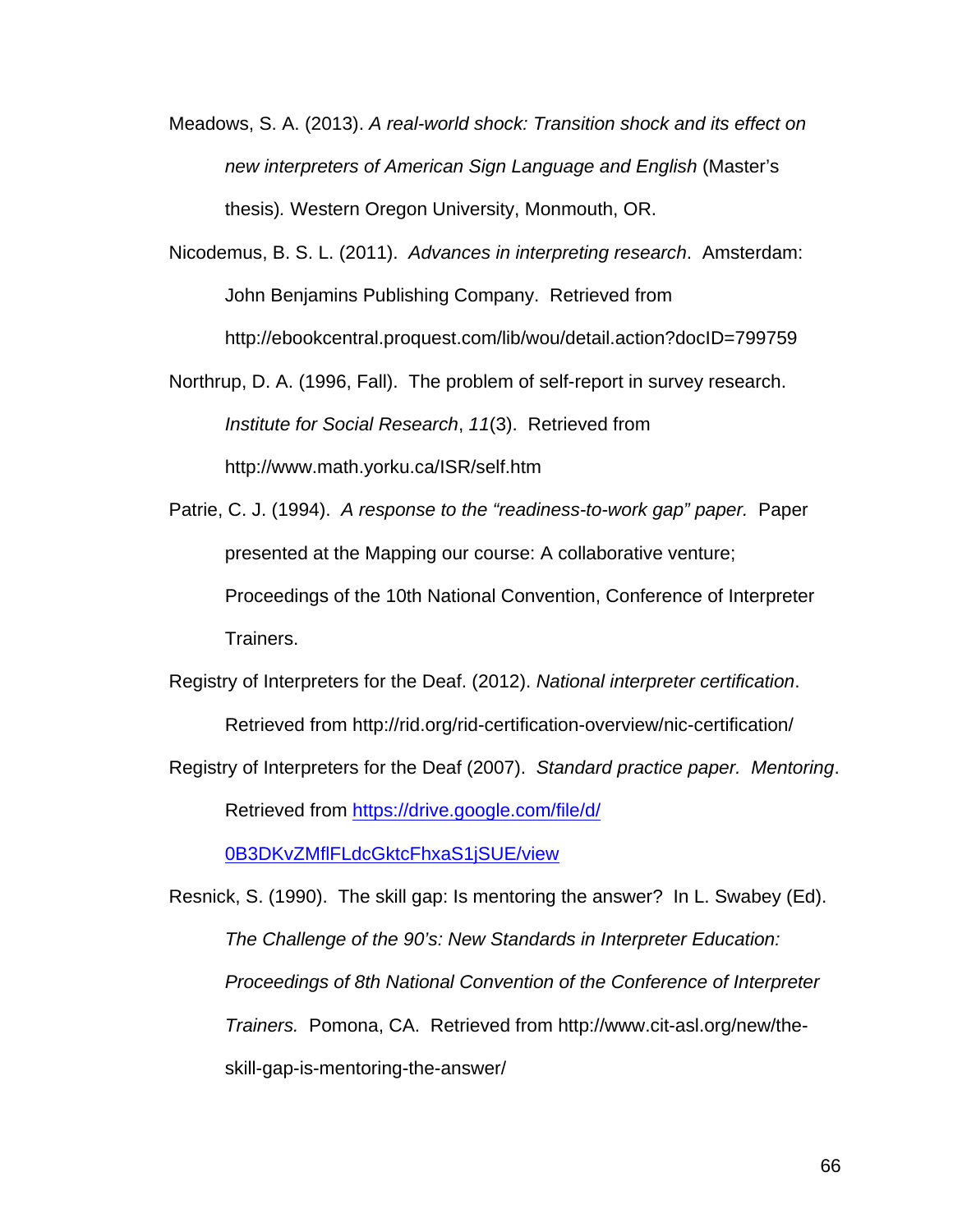- Meadows, S. A. (2013). *A real-world shock: Transition shock and its effect on new interpreters of American Sign Language and English* (Master's thesis)*.* Western Oregon University, Monmouth, OR.
- Nicodemus, B. S. L. (2011). *Advances in interpreting research*. Amsterdam: John Benjamins Publishing Company. Retrieved from http://ebookcentral.proquest.com/lib/wou/detail.action?docID=799759
- Northrup, D. A. (1996, Fall). The problem of self-report in survey research. *Institute for Social Research*, *11*(3). Retrieved from http://www.math.yorku.ca/ISR/self.htm
- Patrie, C. J. (1994). *A response to the "readiness-to-work gap" paper.* Paper presented at the Mapping our course: A collaborative venture; Proceedings of the 10th National Convention, Conference of Interpreter Trainers.

Registry of Interpreters for the Deaf. (2012). *National interpreter certification*. Retrieved from http://rid.org/rid-certification-overview/nic-certification/

Registry of Interpreters for the Deaf (2007). *Standard practice paper. Mentoring*. Retrieved from https://drive.google.com/file/d/

0B3DKvZMflFLdcGktcFhxaS1jSUE/view

Resnick, S. (1990). The skill gap: Is mentoring the answer? In L. Swabey (Ed). *The Challenge of the 90's: New Standards in Interpreter Education: Proceedings of 8th National Convention of the Conference of Interpreter Trainers.* Pomona, CA. Retrieved from http://www.cit-asl.org/new/theskill-gap-is-mentoring-the-answer/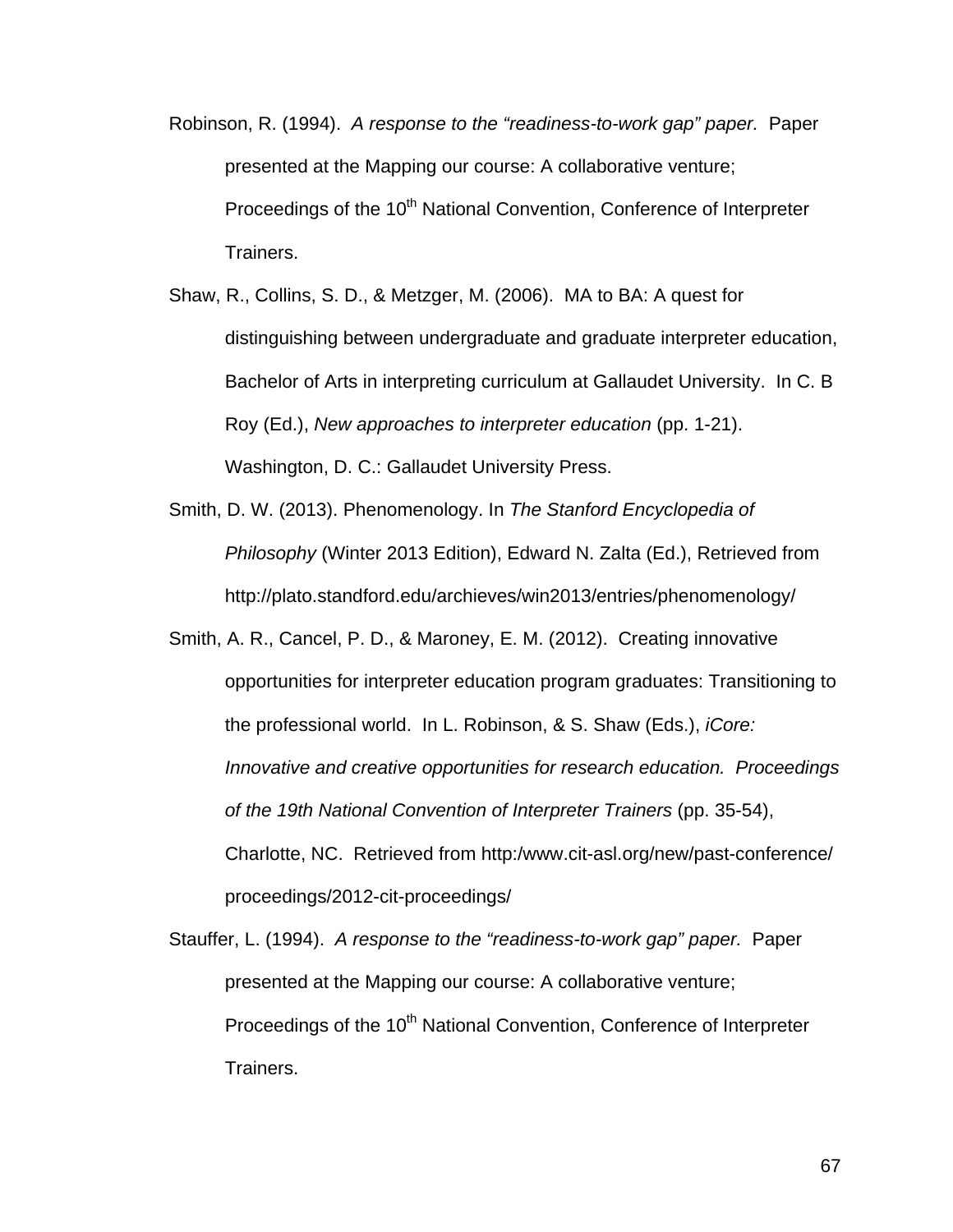- Robinson, R. (1994). *A response to the "readiness-to-work gap" paper.* Paper presented at the Mapping our course: A collaborative venture; Proceedings of the 10<sup>th</sup> National Convention, Conference of Interpreter Trainers.
- Shaw, R., Collins, S. D., & Metzger, M. (2006). MA to BA: A quest for distinguishing between undergraduate and graduate interpreter education, Bachelor of Arts in interpreting curriculum at Gallaudet University. In C. B Roy (Ed.), *New approaches to interpreter education* (pp. 1-21). Washington, D. C.: Gallaudet University Press.
- Smith, D. W. (2013). Phenomenology. In *The Stanford Encyclopedia of Philosophy* (Winter 2013 Edition), Edward N. Zalta (Ed.), Retrieved from http://plato.standford.edu/archieves/win2013/entries/phenomenology/
- Smith, A. R., Cancel, P. D., & Maroney, E. M. (2012). Creating innovative opportunities for interpreter education program graduates: Transitioning to the professional world. In L. Robinson, & S. Shaw (Eds.), *iCore: Innovative and creative opportunities for research education. Proceedings of the 19th National Convention of Interpreter Trainers* (pp. 35-54), Charlotte, NC. Retrieved from http:/www.cit-asl.org/new/past-conference/ proceedings/2012-cit-proceedings/

Stauffer, L. (1994). *A response to the "readiness-to-work gap" paper.* Paper presented at the Mapping our course: A collaborative venture; Proceedings of the 10<sup>th</sup> National Convention, Conference of Interpreter Trainers.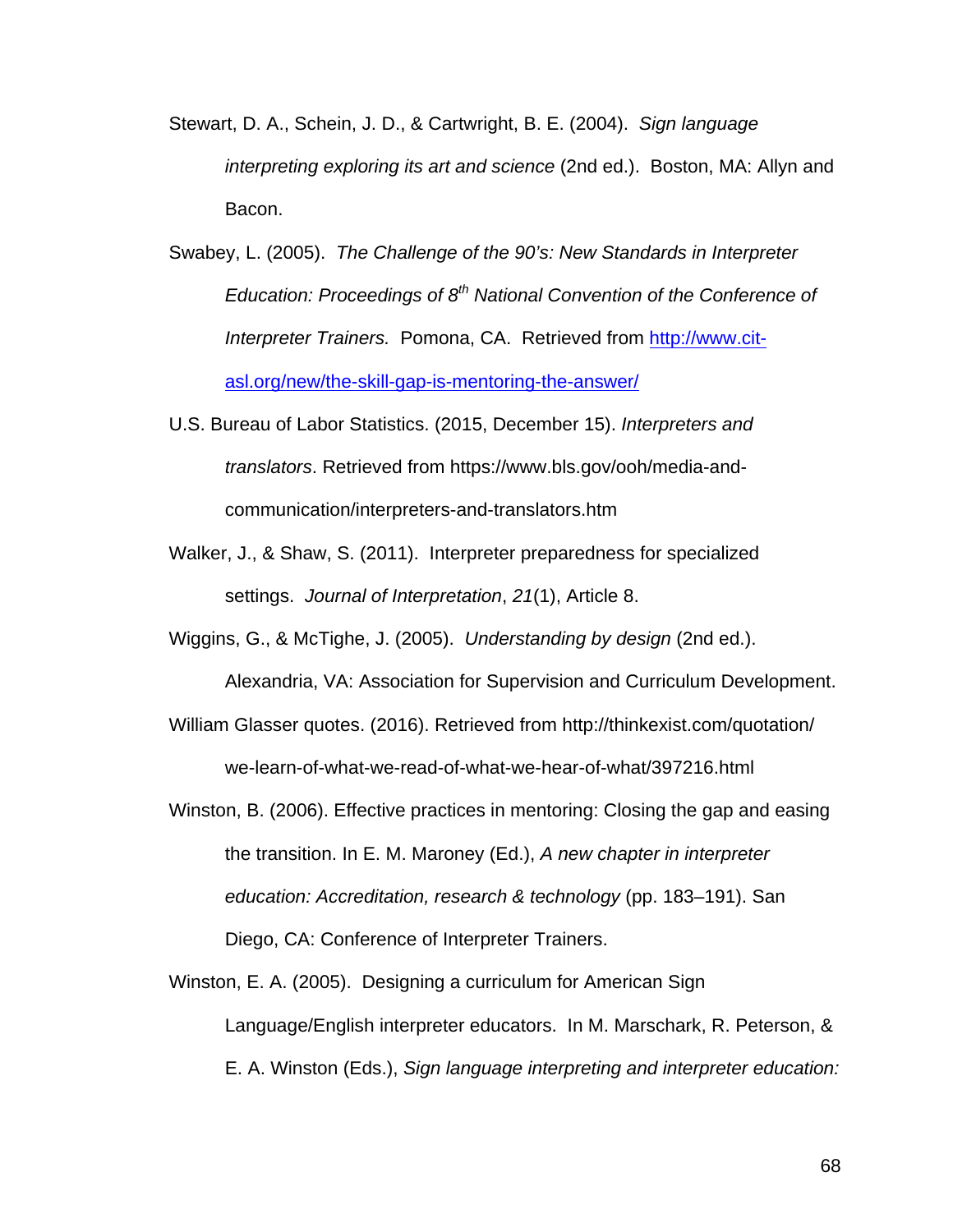- Stewart, D. A., Schein, J. D., & Cartwright, B. E. (2004). *Sign language interpreting exploring its art and science* (2nd ed.). Boston, MA: Allyn and Bacon.
- Swabey, L. (2005). *The Challenge of the 90's: New Standards in Interpreter Education: Proceedings of 8th National Convention of the Conference of Interpreter Trainers.* Pomona, CA. Retrieved from http://www.citasl.org/new/the-skill-gap-is-mentoring-the-answer/
- U.S. Bureau of Labor Statistics. (2015, December 15). *Interpreters and translators*. Retrieved from https://www.bls.gov/ooh/media-andcommunication/interpreters-and-translators.htm
- Walker, J., & Shaw, S. (2011). Interpreter preparedness for specialized settings. *Journal of Interpretation*, *21*(1), Article 8.

Wiggins, G., & McTighe, J. (2005). *Understanding by design* (2nd ed.).

Alexandria, VA: Association for Supervision and Curriculum Development.

- William Glasser quotes. (2016). Retrieved from http://thinkexist.com/quotation/ we-learn-of-what-we-read-of-what-we-hear-of-what/397216.html
- Winston, B. (2006). Effective practices in mentoring: Closing the gap and easing the transition. In E. M. Maroney (Ed.), *A new chapter in interpreter education: Accreditation, research & technology* (pp. 183–191). San Diego, CA: Conference of Interpreter Trainers.
- Winston, E. A. (2005). Designing a curriculum for American Sign Language/English interpreter educators. In M. Marschark, R. Peterson, & E. A. Winston (Eds.), *Sign language interpreting and interpreter education:*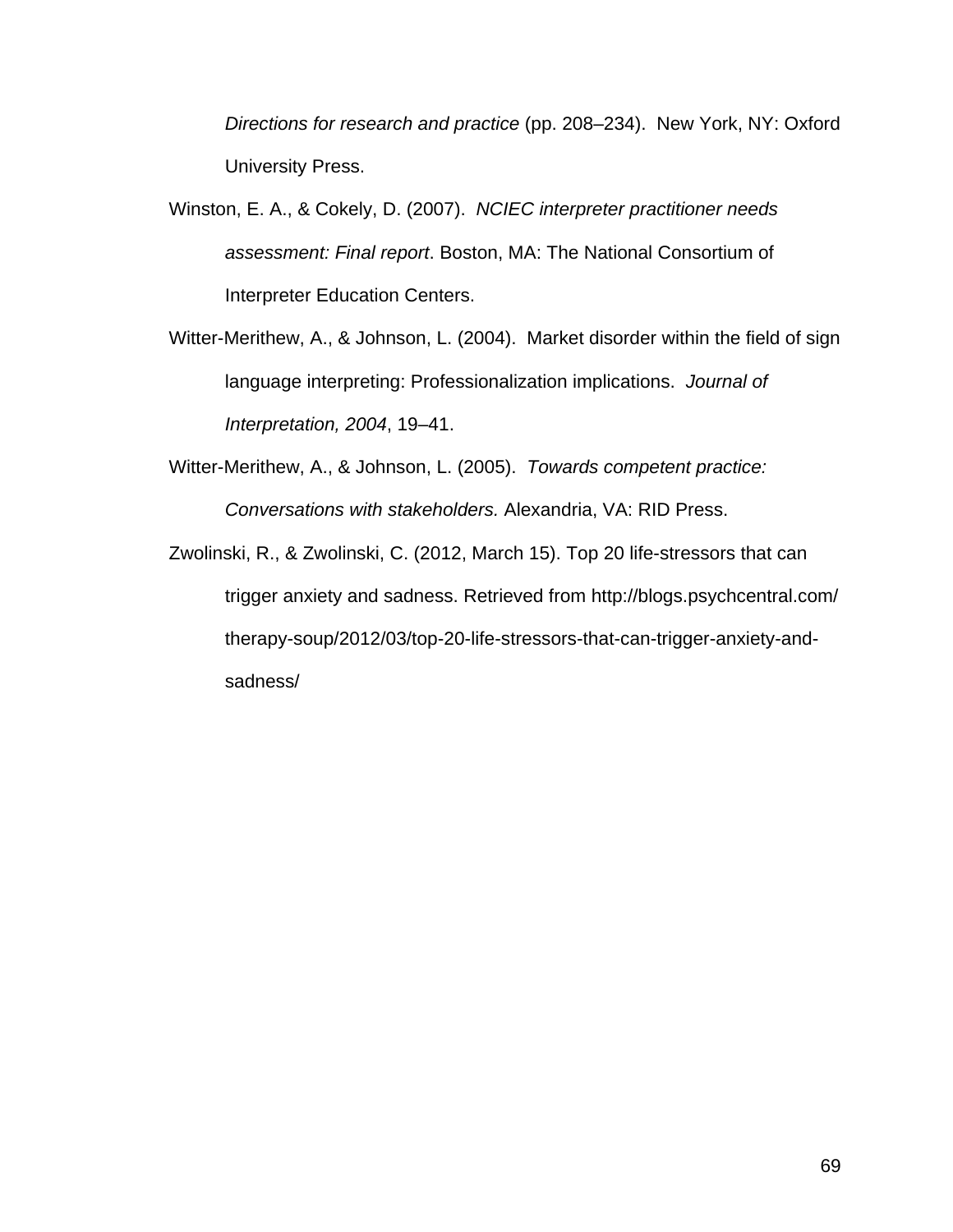*Directions for research and practice* (pp. 208–234). New York, NY: Oxford University Press.

- Winston, E. A., & Cokely, D. (2007). *NCIEC interpreter practitioner needs assessment: Final report*. Boston, MA: The National Consortium of Interpreter Education Centers.
- Witter-Merithew, A., & Johnson, L. (2004). Market disorder within the field of sign language interpreting: Professionalization implications. *Journal of Interpretation, 2004*, 19–41.
- Witter-Merithew, A., & Johnson, L. (2005). *Towards competent practice: Conversations with stakeholders.* Alexandria, VA: RID Press.
- Zwolinski, R., & Zwolinski, C. (2012, March 15). Top 20 life-stressors that can trigger anxiety and sadness. Retrieved from http://blogs.psychcentral.com/ therapy-soup/2012/03/top-20-life-stressors-that-can-trigger-anxiety-andsadness/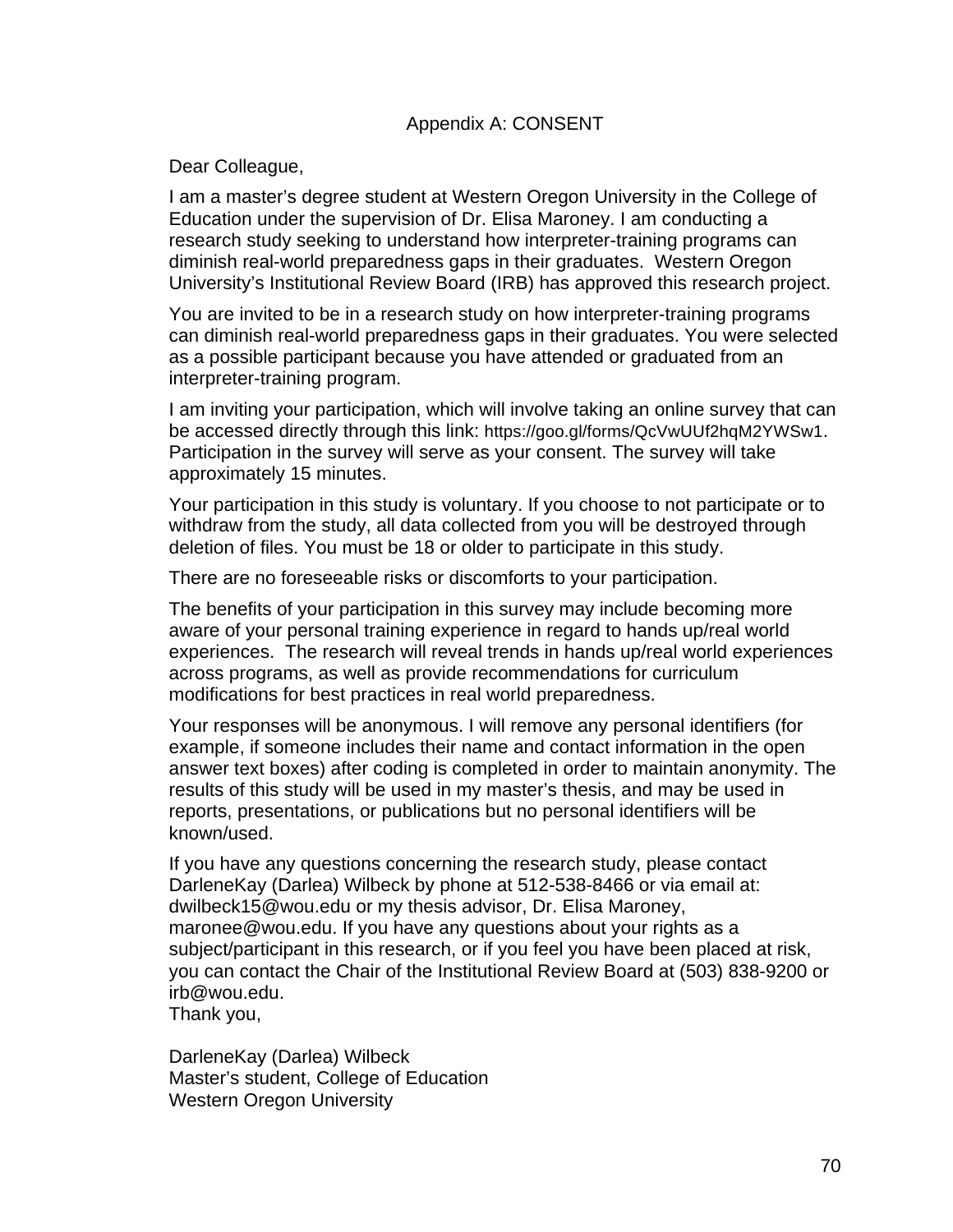Dear Colleague,

I am a master's degree student at Western Oregon University in the College of Education under the supervision of Dr. Elisa Maroney. I am conducting a research study seeking to understand how interpreter-training programs can diminish real-world preparedness gaps in their graduates. Western Oregon University's Institutional Review Board (IRB) has approved this research project.

You are invited to be in a research study on how interpreter-training programs can diminish real-world preparedness gaps in their graduates. You were selected as a possible participant because you have attended or graduated from an interpreter-training program.

I am inviting your participation, which will involve taking an online survey that can be accessed directly through this link: https://goo.gl/forms/QcVwUUf2hqM2YWSw1. Participation in the survey will serve as your consent. The survey will take approximately 15 minutes.

Your participation in this study is voluntary. If you choose to not participate or to withdraw from the study, all data collected from you will be destroyed through deletion of files. You must be 18 or older to participate in this study.

There are no foreseeable risks or discomforts to your participation.

The benefits of your participation in this survey may include becoming more aware of your personal training experience in regard to hands up/real world experiences. The research will reveal trends in hands up/real world experiences across programs, as well as provide recommendations for curriculum modifications for best practices in real world preparedness.

Your responses will be anonymous. I will remove any personal identifiers (for example, if someone includes their name and contact information in the open answer text boxes) after coding is completed in order to maintain anonymity. The results of this study will be used in my master's thesis, and may be used in reports, presentations, or publications but no personal identifiers will be known/used.

If you have any questions concerning the research study, please contact DarleneKay (Darlea) Wilbeck by phone at 512-538-8466 or via email at: dwilbeck15@wou.edu or my thesis advisor, Dr. Elisa Maroney, maronee@wou.edu. If you have any questions about your rights as a subject/participant in this research, or if you feel you have been placed at risk, you can contact the Chair of the Institutional Review Board at (503) 838-9200 or irb@wou.edu.

Thank you,

DarleneKay (Darlea) Wilbeck Master's student, College of Education Western Oregon University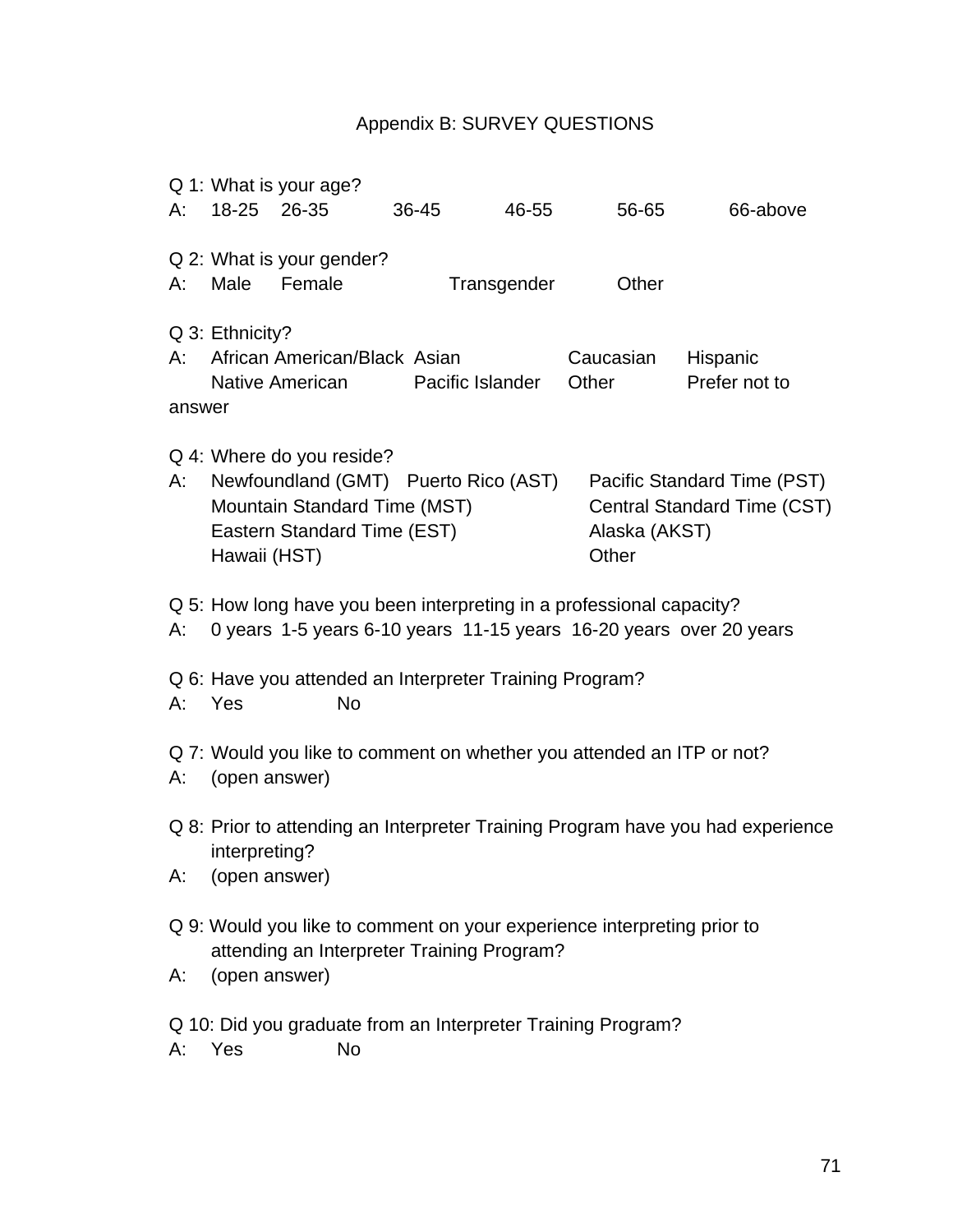## Appendix B: SURVEY QUESTIONS

|                                                              |                                                                                                                       | Q 1: What is your age?                                               |       |             |  |               |               |  |
|--------------------------------------------------------------|-----------------------------------------------------------------------------------------------------------------------|----------------------------------------------------------------------|-------|-------------|--|---------------|---------------|--|
| А:                                                           | 18-25                                                                                                                 | 26-35                                                                | 36-45 | 46-55       |  | 56-65         | 66-above      |  |
|                                                              |                                                                                                                       | Q 2: What is your gender?                                            |       |             |  |               |               |  |
| А:                                                           | Male                                                                                                                  | Female                                                               |       | Transgender |  | Other         |               |  |
| A:                                                           | Q 3: Ethnicity?                                                                                                       | African American/Black Asian                                         |       |             |  | Caucasian     | Hispanic      |  |
|                                                              |                                                                                                                       | Native American Pacific Islander                                     |       |             |  | Other         | Prefer not to |  |
| answer                                                       |                                                                                                                       |                                                                      |       |             |  |               |               |  |
|                                                              |                                                                                                                       | Q 4: Where do you reside?                                            |       |             |  |               |               |  |
| А:                                                           | Newfoundland (GMT) Puerto Rico (AST)<br>Pacific Standard Time (PST)<br><b>Central Standard Time (CST)</b>             |                                                                      |       |             |  |               |               |  |
|                                                              | Mountain Standard Time (MST)<br>Eastern Standard Time (EST)                                                           |                                                                      |       |             |  | Alaska (AKST) |               |  |
|                                                              | Hawaii (HST)                                                                                                          |                                                                      |       |             |  | Other         |               |  |
|                                                              |                                                                                                                       | Q 5: How long have you been interpreting in a professional capacity? |       |             |  |               |               |  |
| А:                                                           | 0 years 1-5 years 6-10 years 11-15 years 16-20 years over 20 years                                                    |                                                                      |       |             |  |               |               |  |
|                                                              | Q 6: Have you attended an Interpreter Training Program?                                                               |                                                                      |       |             |  |               |               |  |
| А:                                                           | Yes                                                                                                                   | <b>No</b>                                                            |       |             |  |               |               |  |
|                                                              | Q 7: Would you like to comment on whether you attended an ITP or not?                                                 |                                                                      |       |             |  |               |               |  |
| А:                                                           | (open answer)                                                                                                         |                                                                      |       |             |  |               |               |  |
|                                                              | Q 8: Prior to attending an Interpreter Training Program have you had experience<br>interpreting?<br>(open answer)     |                                                                      |       |             |  |               |               |  |
| А:                                                           |                                                                                                                       |                                                                      |       |             |  |               |               |  |
|                                                              |                                                                                                                       |                                                                      |       |             |  |               |               |  |
|                                                              | Q 9: Would you like to comment on your experience interpreting prior to<br>attending an Interpreter Training Program? |                                                                      |       |             |  |               |               |  |
| А:                                                           | (open answer)                                                                                                         |                                                                      |       |             |  |               |               |  |
| Q 10: Did you graduate from an Interpreter Training Program? |                                                                                                                       |                                                                      |       |             |  |               |               |  |
| А:                                                           | Yes                                                                                                                   | No                                                                   |       |             |  |               |               |  |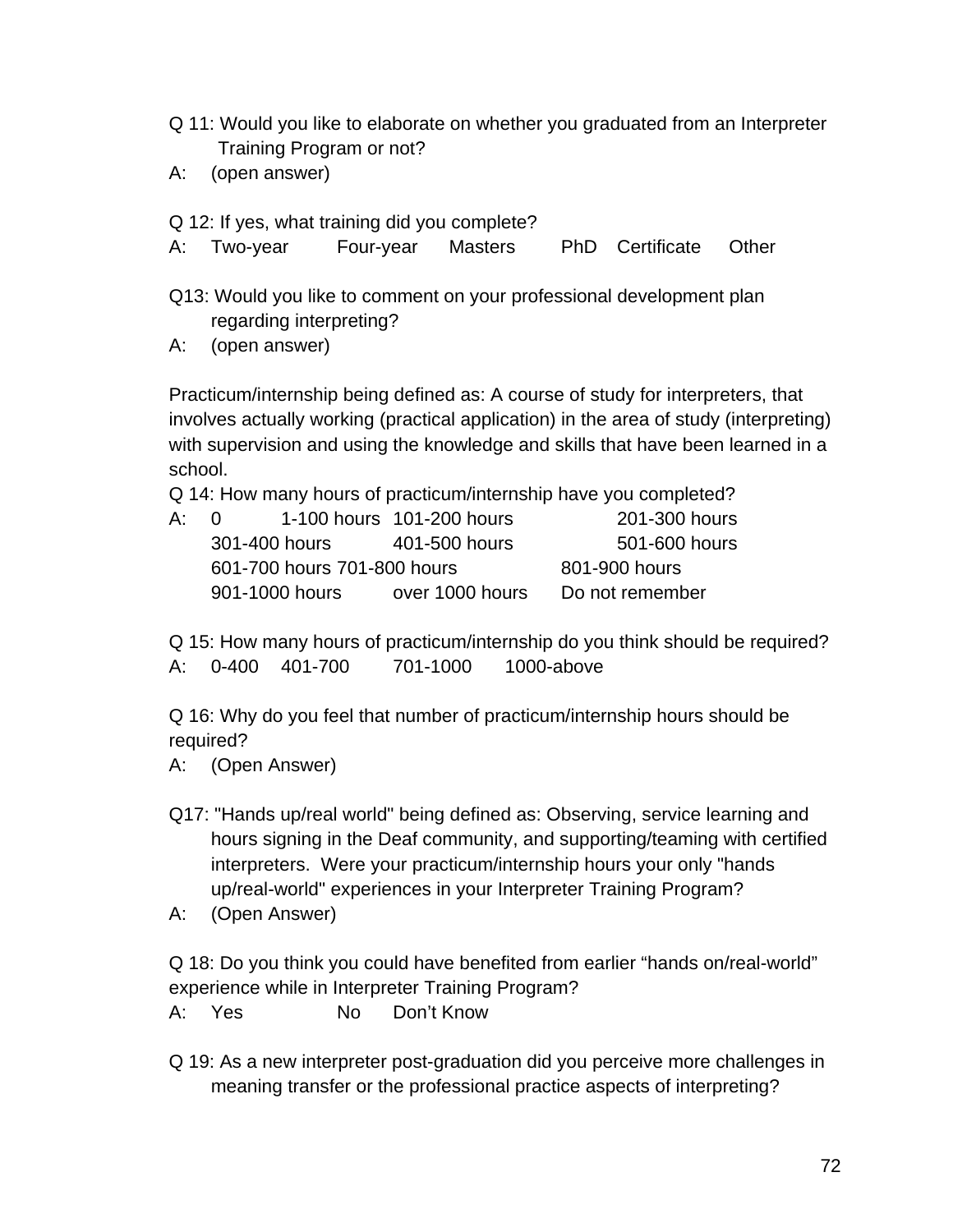- Q 11: Would you like to elaborate on whether you graduated from an Interpreter Training Program or not?
- A: (open answer)

Q 12: If yes, what training did you complete?

A: Two-year Four-year Masters PhD Certificate Other

- Q13: Would you like to comment on your professional development plan regarding interpreting?
- A: (open answer)

Practicum/internship being defined as: A course of study for interpreters, that involves actually working (practical application) in the area of study (interpreting) with supervision and using the knowledge and skills that have been learned in a school.

Q 14: How many hours of practicum/internship have you completed?

| A: 0 |               |                             | 1-100 hours 101-200 hours | 201-300 hours   |
|------|---------------|-----------------------------|---------------------------|-----------------|
|      | 301-400 hours |                             | 401-500 hours             | 501-600 hours   |
|      |               | 601-700 hours 701-800 hours | 801-900 hours             |                 |
|      |               | 901-1000 hours              | over 1000 hours           | Do not remember |

Q 15: How many hours of practicum/internship do you think should be required? A: 0-400 401-700 701-1000 1000-above

Q 16: Why do you feel that number of practicum/internship hours should be required?

- A: (Open Answer)
- Q17: "Hands up/real world" being defined as: Observing, service learning and hours signing in the Deaf community, and supporting/teaming with certified interpreters. Were your practicum/internship hours your only "hands up/real-world" experiences in your Interpreter Training Program?
- A: (Open Answer)

Q 18: Do you think you could have benefited from earlier "hands on/real-world" experience while in Interpreter Training Program?

A: Yes No Don't Know

Q 19: As a new interpreter post-graduation did you perceive more challenges in meaning transfer or the professional practice aspects of interpreting?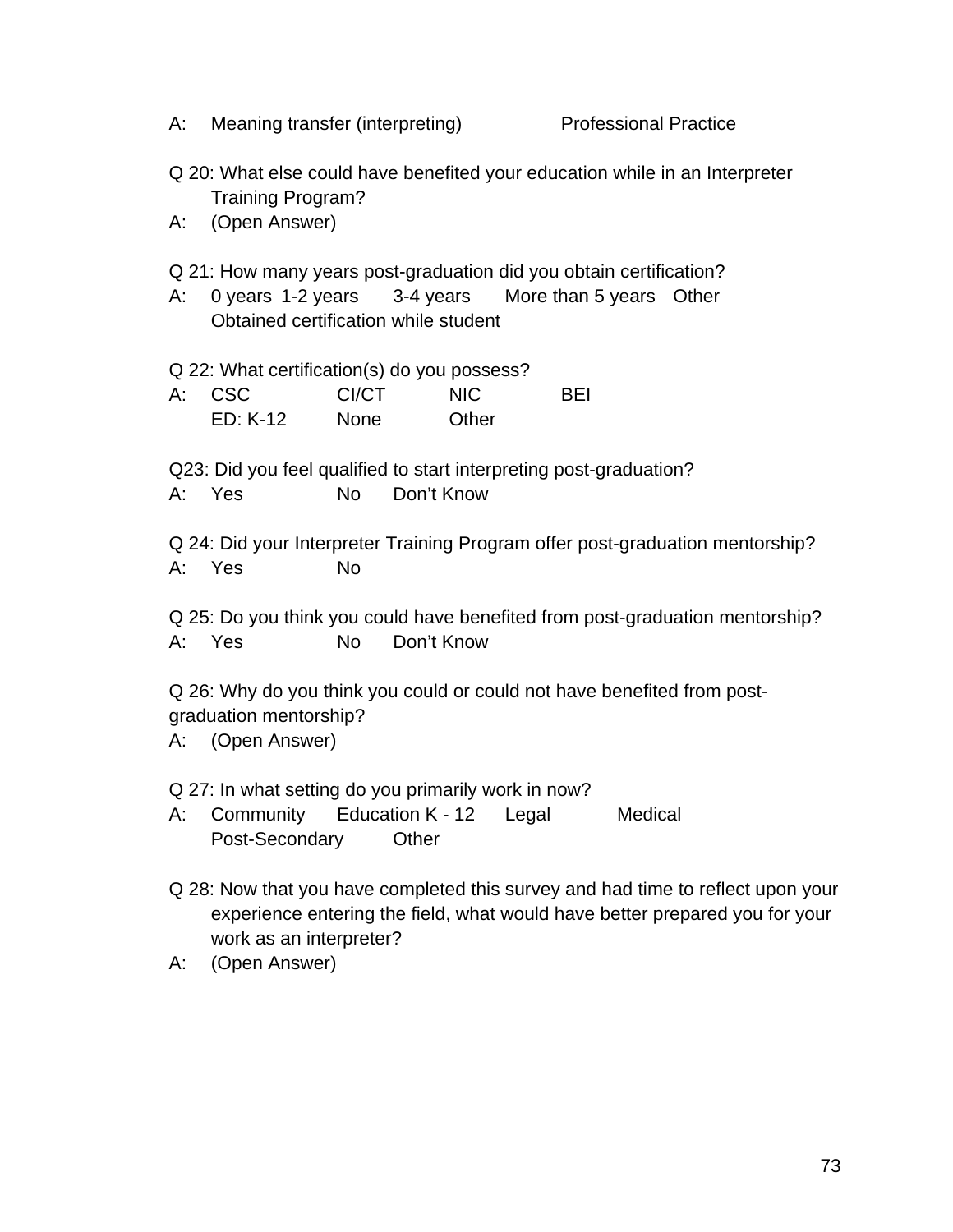A: Meaning transfer (interpreting) Professional Practice

- Q 20: What else could have benefited your education while in an Interpreter Training Program?
- A: (Open Answer)
- Q 21: How many years post-graduation did you obtain certification?
- A: 0 years 1-2 years 3-4 years More than 5 years Other Obtained certification while student
- Q 22: What certification(s) do you possess?
- A: CSC CI/CT NIC BEI ED: K-12 None Other
- Q23: Did you feel qualified to start interpreting post-graduation? A: Yes No Don't Know
- Q 24: Did your Interpreter Training Program offer post-graduation mentorship?
- A: Yes No

Q 25: Do you think you could have benefited from post-graduation mentorship? A: Yes No Don't Know

Q 26: Why do you think you could or could not have benefited from postgraduation mentorship?

A: (Open Answer)

Q 27: In what setting do you primarily work in now?

- A: Community Education K 12 Legal Medical Post-Secondary Other
- Q 28: Now that you have completed this survey and had time to reflect upon your experience entering the field, what would have better prepared you for your work as an interpreter?
- A: (Open Answer)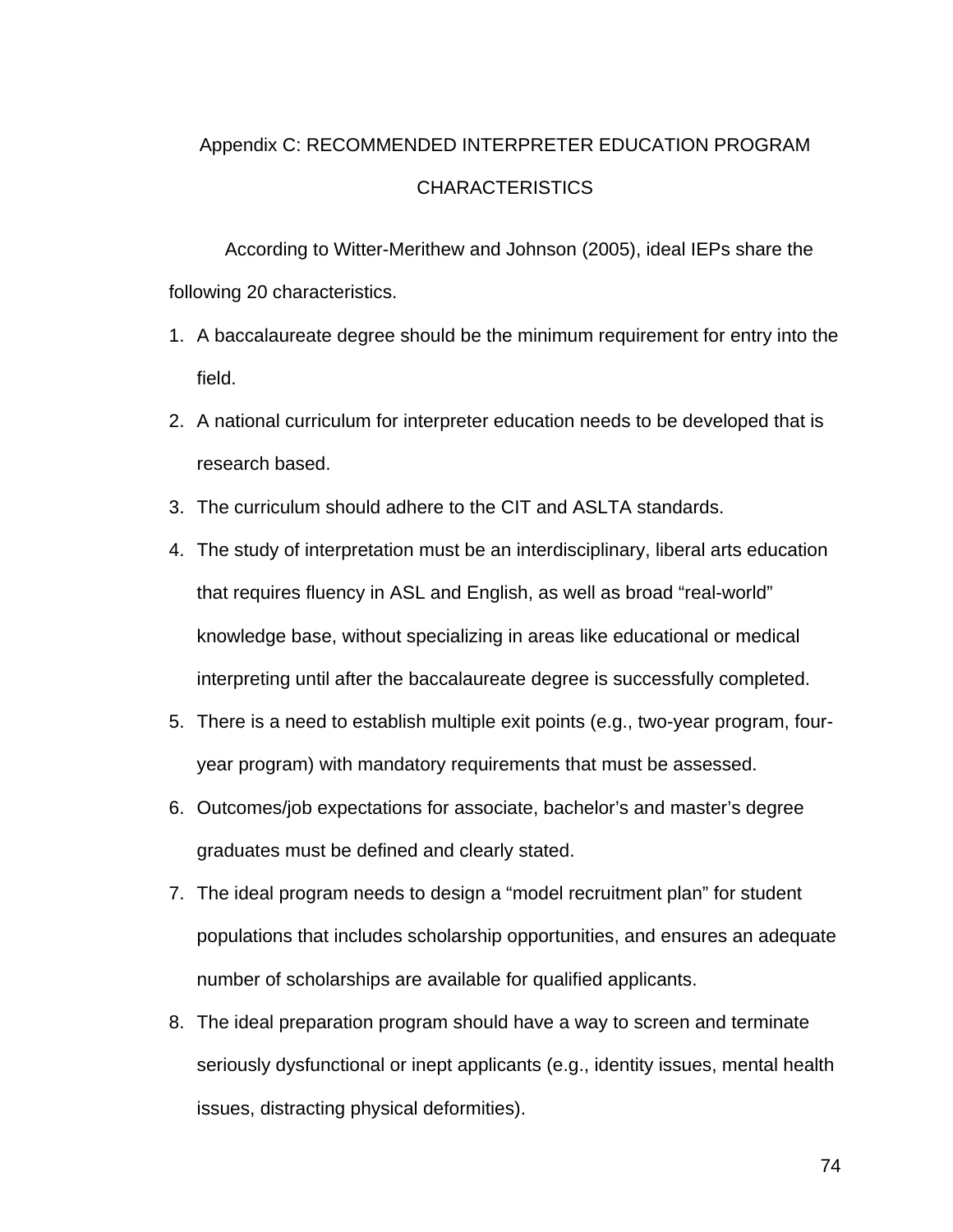## Appendix C: RECOMMENDED INTERPRETER EDUCATION PROGRAM CHARACTERISTICS

According to Witter-Merithew and Johnson (2005), ideal IEPs share the following 20 characteristics.

- 1. A baccalaureate degree should be the minimum requirement for entry into the field.
- 2. A national curriculum for interpreter education needs to be developed that is research based.
- 3. The curriculum should adhere to the CIT and ASLTA standards.
- 4. The study of interpretation must be an interdisciplinary, liberal arts education that requires fluency in ASL and English, as well as broad "real-world" knowledge base, without specializing in areas like educational or medical interpreting until after the baccalaureate degree is successfully completed.
- 5. There is a need to establish multiple exit points (e.g., two-year program, fouryear program) with mandatory requirements that must be assessed.
- 6. Outcomes/job expectations for associate, bachelor's and master's degree graduates must be defined and clearly stated.
- 7. The ideal program needs to design a "model recruitment plan" for student populations that includes scholarship opportunities, and ensures an adequate number of scholarships are available for qualified applicants.
- 8. The ideal preparation program should have a way to screen and terminate seriously dysfunctional or inept applicants (e.g., identity issues, mental health issues, distracting physical deformities).

74